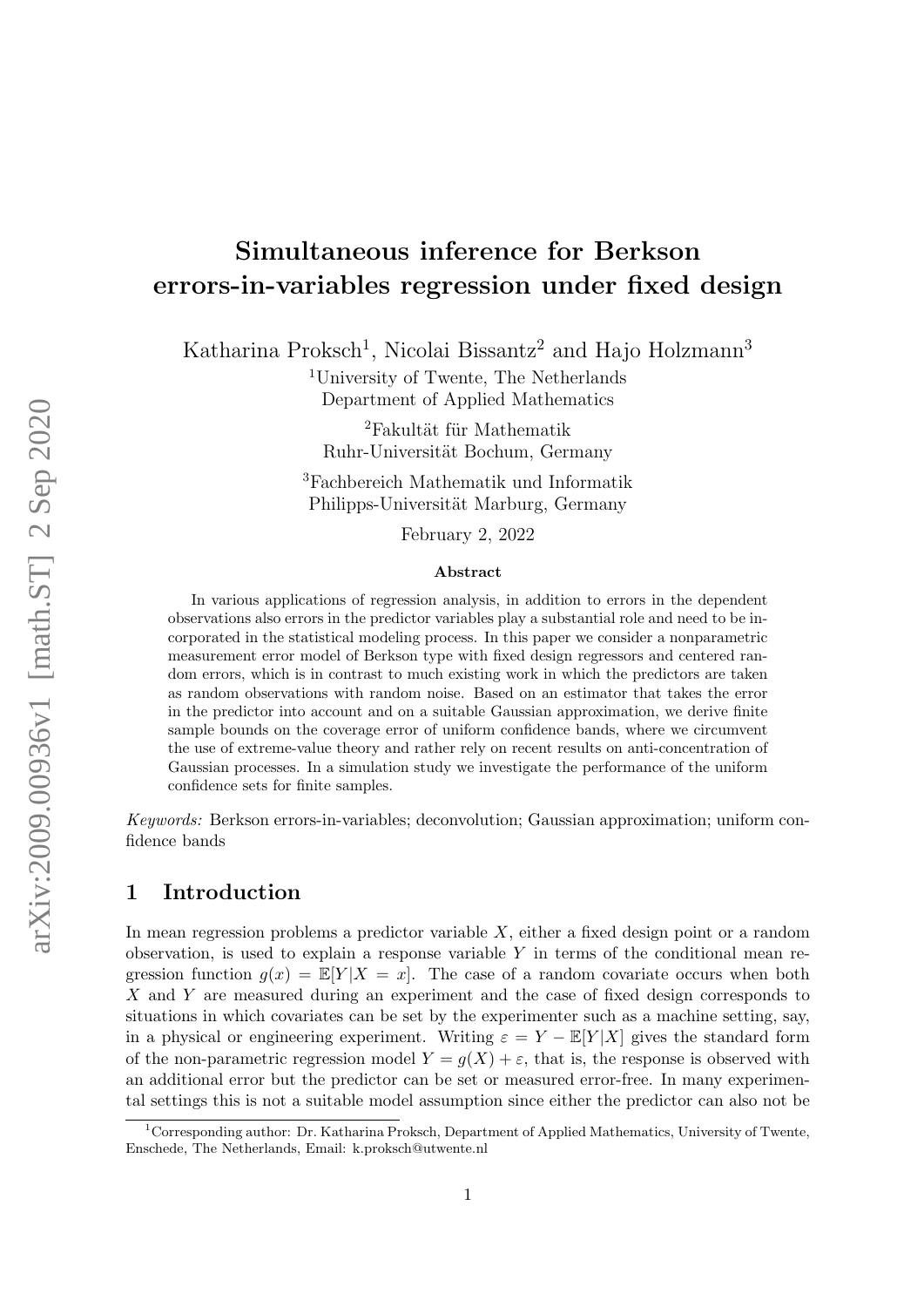# Simultaneous inference for Berkson errors-in-variables regression under fixed design

Katharina Proksch<sup>[1](#page-0-0)</sup>, Nicolai Bissantz<sup>2</sup> and Hajo Holzmann<sup>3</sup>

<sup>1</sup>University of Twente, The Netherlands Department of Applied Mathematics

 ${}^{2}$ Fakultät für Mathematik Ruhr-Universität Bochum, Germany

<sup>3</sup>Fachbereich Mathematik und Informatik Philipps-Universität Marburg, Germany

February 2, 2022

#### Abstract

In various applications of regression analysis, in addition to errors in the dependent observations also errors in the predictor variables play a substantial role and need to be incorporated in the statistical modeling process. In this paper we consider a nonparametric measurement error model of Berkson type with fixed design regressors and centered random errors, which is in contrast to much existing work in which the predictors are taken as random observations with random noise. Based on an estimator that takes the error in the predictor into account and on a suitable Gaussian approximation, we derive finite sample bounds on the coverage error of uniform confidence bands, where we circumvent the use of extreme-value theory and rather rely on recent results on anti-concentration of Gaussian processes. In a simulation study we investigate the performance of the uniform confidence sets for finite samples.

Keywords: Berkson errors-in-variables; deconvolution; Gaussian approximation; uniform confidence bands

## 1 Introduction

In mean regression problems a predictor variable  $X$ , either a fixed design point or a random observation, is used to explain a response variable  $Y$  in terms of the conditional mean regression function  $g(x) = \mathbb{E}[Y|X=x]$ . The case of a random covariate occurs when both X and Y are measured during an experiment and the case of fixed design corresponds to situations in which covariates can be set by the experimenter such as a machine setting, say, in a physical or engineering experiment. Writing  $\varepsilon = Y - \mathbb{E}[Y|X]$  gives the standard form of the non-parametric regression model  $Y = g(X) + \varepsilon$ , that is, the response is observed with an additional error but the predictor can be set or measured error-free. In many experimental settings this is not a suitable model assumption since either the predictor can also not be

<span id="page-0-0"></span><sup>1</sup>Corresponding author: Dr. Katharina Proksch, Department of Applied Mathematics, University of Twente, Enschede, The Netherlands, Email: k.proksch@utwente.nl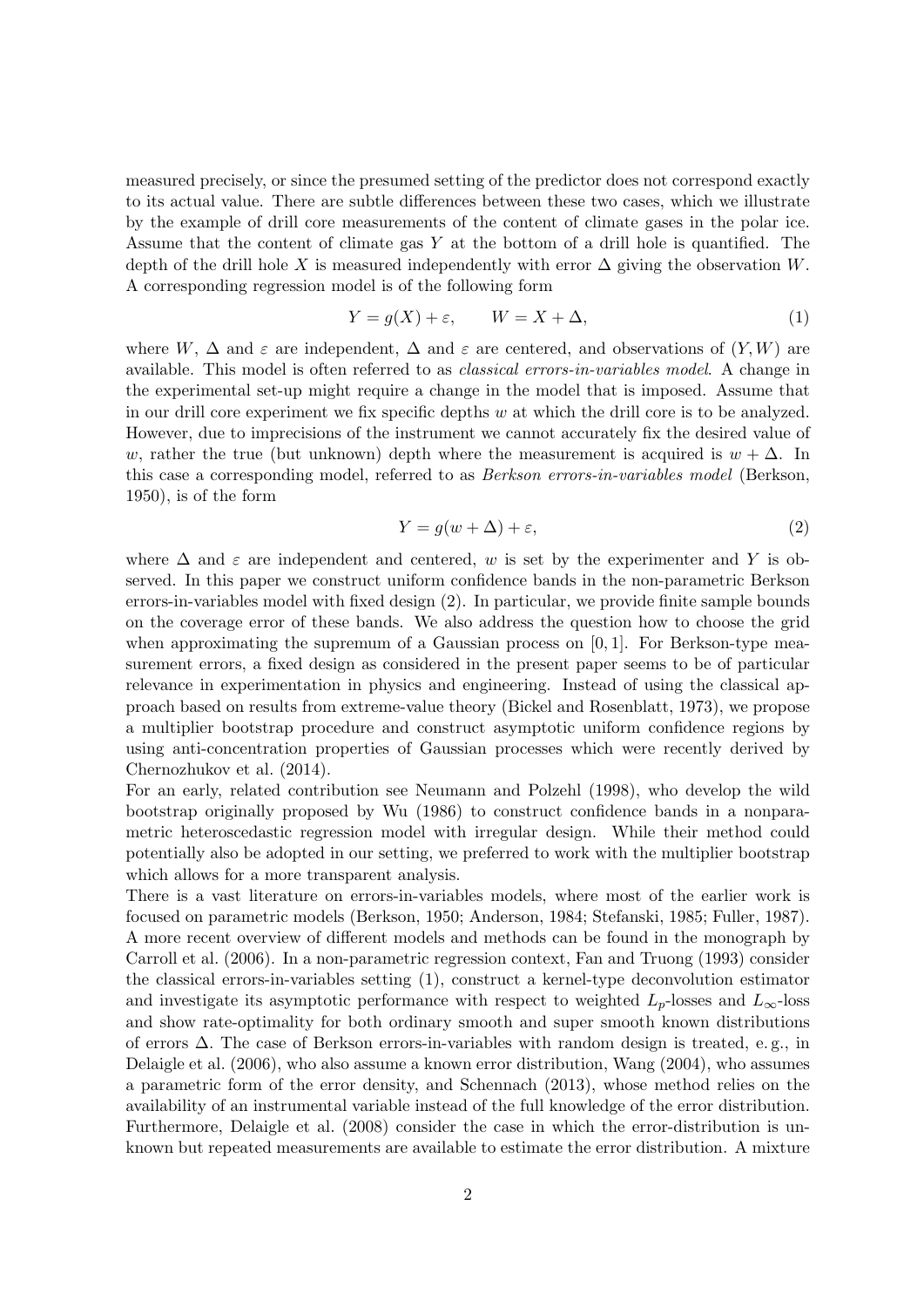measured precisely, or since the presumed setting of the predictor does not correspond exactly to its actual value. There are subtle differences between these two cases, which we illustrate by the example of drill core measurements of the content of climate gases in the polar ice. Assume that the content of climate gas  $Y$  at the bottom of a drill hole is quantified. The depth of the drill hole X is measured independently with error  $\Delta$  giving the observation W. A corresponding regression model is of the following form

<span id="page-1-1"></span>
$$
Y = g(X) + \varepsilon, \qquad W = X + \Delta,\tag{1}
$$

where W,  $\Delta$  and  $\varepsilon$  are independent,  $\Delta$  and  $\varepsilon$  are centered, and observations of  $(Y, W)$  are available. This model is often referred to as classical errors-in-variables model. A change in the experimental set-up might require a change in the model that is imposed. Assume that in our drill core experiment we fix specific depths  $w$  at which the drill core is to be analyzed. However, due to imprecisions of the instrument we cannot accurately fix the desired value of w, rather the true (but unknown) depth where the measurement is acquired is  $w + \Delta$ . In this case a corresponding model, referred to as Berkson errors-in-variables model [\(Berkson,](#page-22-0) [1950\)](#page-22-0), is of the form

<span id="page-1-0"></span>
$$
Y = g(w + \Delta) + \varepsilon,\tag{2}
$$

where  $\Delta$  and  $\varepsilon$  are independent and centered, w is set by the experimenter and Y is observed. In this paper we construct uniform confidence bands in the non-parametric Berkson errors-in-variables model with fixed design [\(2\)](#page-1-0). In particular, we provide finite sample bounds on the coverage error of these bands. We also address the question how to choose the grid when approximating the supremum of a Gaussian process on  $[0, 1]$ . For Berkson-type measurement errors, a fixed design as considered in the present paper seems to be of particular relevance in experimentation in physics and engineering. Instead of using the classical approach based on results from extreme-value theory [\(Bickel and Rosenblatt,](#page-22-1) [1973\)](#page-22-1), we propose a multiplier bootstrap procedure and construct asymptotic uniform confidence regions by using anti-concentration properties of Gaussian processes which were recently derived by [Chernozhukov et al.](#page-22-2) [\(2014\)](#page-22-2).

For an early, related contribution see [Neumann and Polzehl](#page-23-0) [\(1998\)](#page-23-0), who develop the wild bootstrap originally proposed by [Wu](#page-23-1) [\(1986\)](#page-23-1) to construct confidence bands in a nonparametric heteroscedastic regression model with irregular design. While their method could potentially also be adopted in our setting, we preferred to work with the multiplier bootstrap which allows for a more transparent analysis.

There is a vast literature on errors-in-variables models, where most of the earlier work is focused on parametric models [\(Berkson,](#page-22-0) [1950;](#page-22-0) [Anderson,](#page-22-3) [1984;](#page-22-3) [Stefanski,](#page-23-2) [1985;](#page-23-2) [Fuller,](#page-22-4) [1987\)](#page-22-4). A more recent overview of different models and methods can be found in the monograph by [Carroll et al.](#page-22-5) [\(2006\)](#page-22-5). In a non-parametric regression context, [Fan and Truong](#page-22-6) [\(1993\)](#page-22-6) consider the classical errors-in-variables setting [\(1\)](#page-1-1), construct a kernel-type deconvolution estimator and investigate its asymptotic performance with respect to weighted  $L_p$ -losses and  $L_\infty$ -loss and show rate-optimality for both ordinary smooth and super smooth known distributions of errors  $\Delta$ . The case of Berkson errors-in-variables with random design is treated, e.g., in [Delaigle et al.](#page-22-7) [\(2006\)](#page-22-7), who also assume a known error distribution, [Wang](#page-23-3) [\(2004\)](#page-23-3), who assumes a parametric form of the error density, and [Schennach](#page-23-4) [\(2013\)](#page-23-4), whose method relies on the availability of an instrumental variable instead of the full knowledge of the error distribution. Furthermore, [Delaigle et al.](#page-22-8) [\(2008\)](#page-22-8) consider the case in which the error-distribution is unknown but repeated measurements are available to estimate the error distribution. A mixture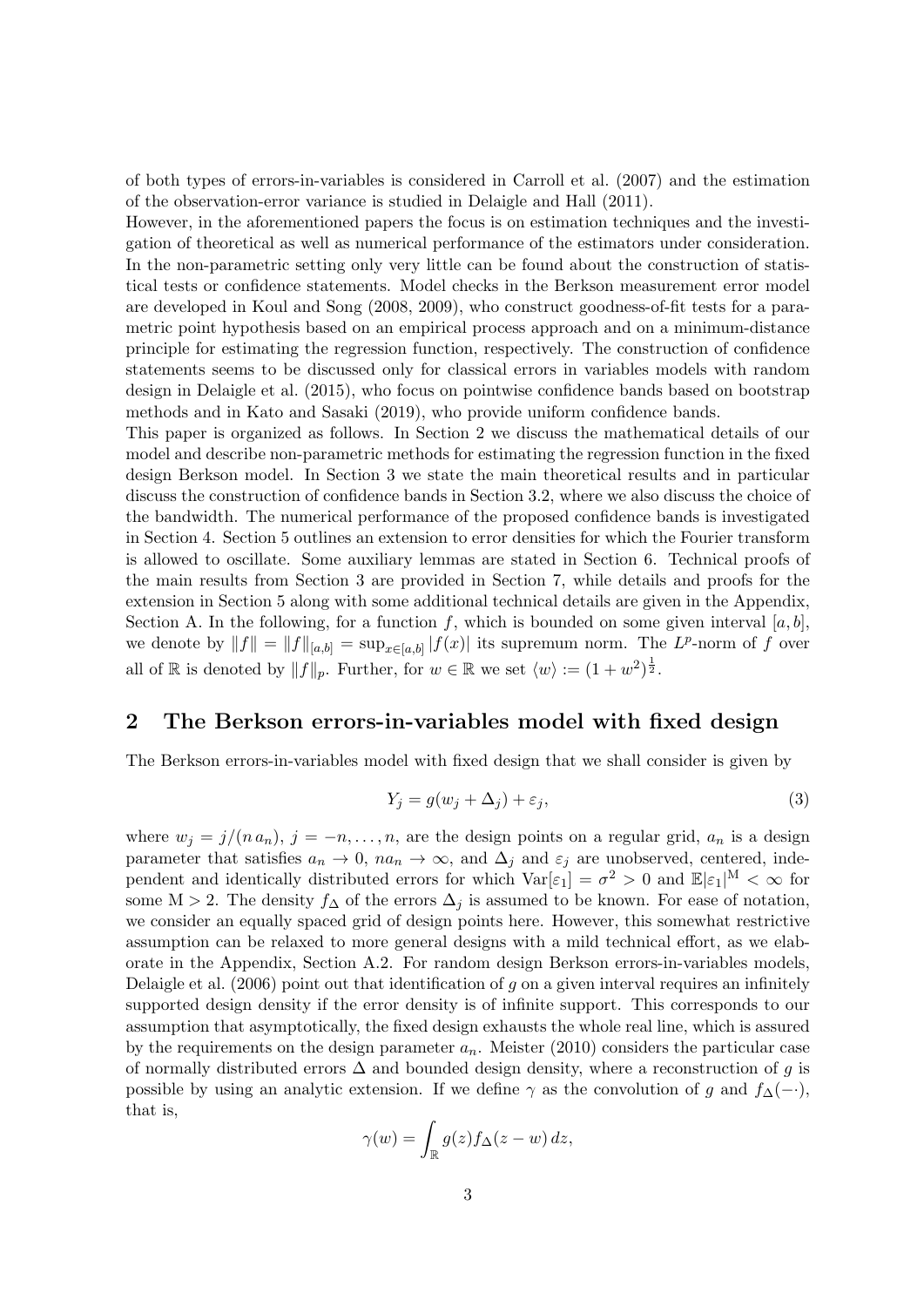of both types of errors-in-variables is considered in [Carroll et al.](#page-22-9) [\(2007\)](#page-22-9) and the estimation of the observation-error variance is studied in [Delaigle and Hall](#page-22-10) [\(2011\)](#page-22-10).

However, in the aforementioned papers the focus is on estimation techniques and the investigation of theoretical as well as numerical performance of the estimators under consideration. In the non-parametric setting only very little can be found about the construction of statistical tests or confidence statements. Model checks in the Berkson measurement error model are developed in [Koul and Song](#page-23-5) [\(2008,](#page-23-5) [2009\)](#page-23-6), who construct goodness-of-fit tests for a parametric point hypothesis based on an empirical process approach and on a minimum-distance principle for estimating the regression function, respectively. The construction of confidence statements seems to be discussed only for classical errors in variables models with random design in [Delaigle et al.](#page-22-11) [\(2015\)](#page-22-11), who focus on pointwise confidence bands based on bootstrap methods and in [Kato and Sasaki](#page-23-7) [\(2019\)](#page-23-7), who provide uniform confidence bands.

This paper is organized as follows. In Section [2](#page-2-0) we discuss the mathematical details of our model and describe non-parametric methods for estimating the regression function in the fixed design Berkson model. In Section [3](#page-4-0) we state the main theoretical results and in particular discuss the construction of confidence bands in Section [3.2,](#page-7-0) where we also discuss the choice of the bandwidth. The numerical performance of the proposed confidence bands is investigated in Section [4.](#page-8-0) Section [5](#page-10-0) outlines an extension to error densities for which the Fourier transform is allowed to oscillate. Some auxiliary lemmas are stated in Section [6.](#page-12-0) Technical proofs of the main results from Section [3](#page-4-0) are provided in Section [7,](#page-14-0) while details and proofs for the extension in Section [5](#page-10-0) along with some additional technical details are given in the Appendix, Section [A.](#page-24-0) In the following, for a function f, which is bounded on some given interval  $[a, b]$ , we denote by  $||f|| = ||f||_{[a,b]} = \sup_{x \in [a,b]} |f(x)|$  its supremum norm. The  $L^p$ -norm of f over all of R is denoted by  $||f||_p$ . Further, for  $w \in \mathbb{R}$  we set  $\langle w \rangle := (1 + w^2)^{\frac{1}{2}}$ .

## <span id="page-2-0"></span>2 The Berkson errors-in-variables model with fixed design

The Berkson errors-in-variables model with fixed design that we shall consider is given by

<span id="page-2-1"></span>
$$
Y_j = g(w_j + \Delta_j) + \varepsilon_j,\tag{3}
$$

where  $w_j = j/(n a_n)$ ,  $j = -n, \ldots, n$ , are the design points on a regular grid,  $a_n$  is a design parameter that satisfies  $a_n \to 0$ ,  $na_n \to \infty$ , and  $\Delta_j$  and  $\varepsilon_j$  are unobserved, centered, independent and identically distributed errors for which  $Var[\varepsilon_1] = \sigma^2 > 0$  and  $\mathbb{E}|\varepsilon_1|^M < \infty$  for some M > 2. The density  $f_{\Delta}$  of the errors  $\Delta_j$  is assumed to be known. For ease of notation, we consider an equally spaced grid of design points here. However, this somewhat restrictive assumption can be relaxed to more general designs with a mild technical effort, as we elaborate in the Appendix, Section [A.2.](#page-29-0) For random design Berkson errors-in-variables models, [Delaigle et al.](#page-22-7)  $(2006)$  point out that identification of q on a given interval requires an infinitely supported design density if the error density is of infinite support. This corresponds to our assumption that asymptotically, the fixed design exhausts the whole real line, which is assured by the requirements on the design parameter  $a_n$ . [Meister](#page-23-8) [\(2010\)](#page-23-8) considers the particular case of normally distributed errors  $\Delta$  and bounded design density, where a reconstruction of g is possible by using an analytic extension. If we define  $\gamma$  as the convolution of g and  $f_{\Delta}(-\cdot)$ , that is,

$$
\gamma(w) = \int_{\mathbb{R}} g(z) f_{\Delta}(z - w) dz,
$$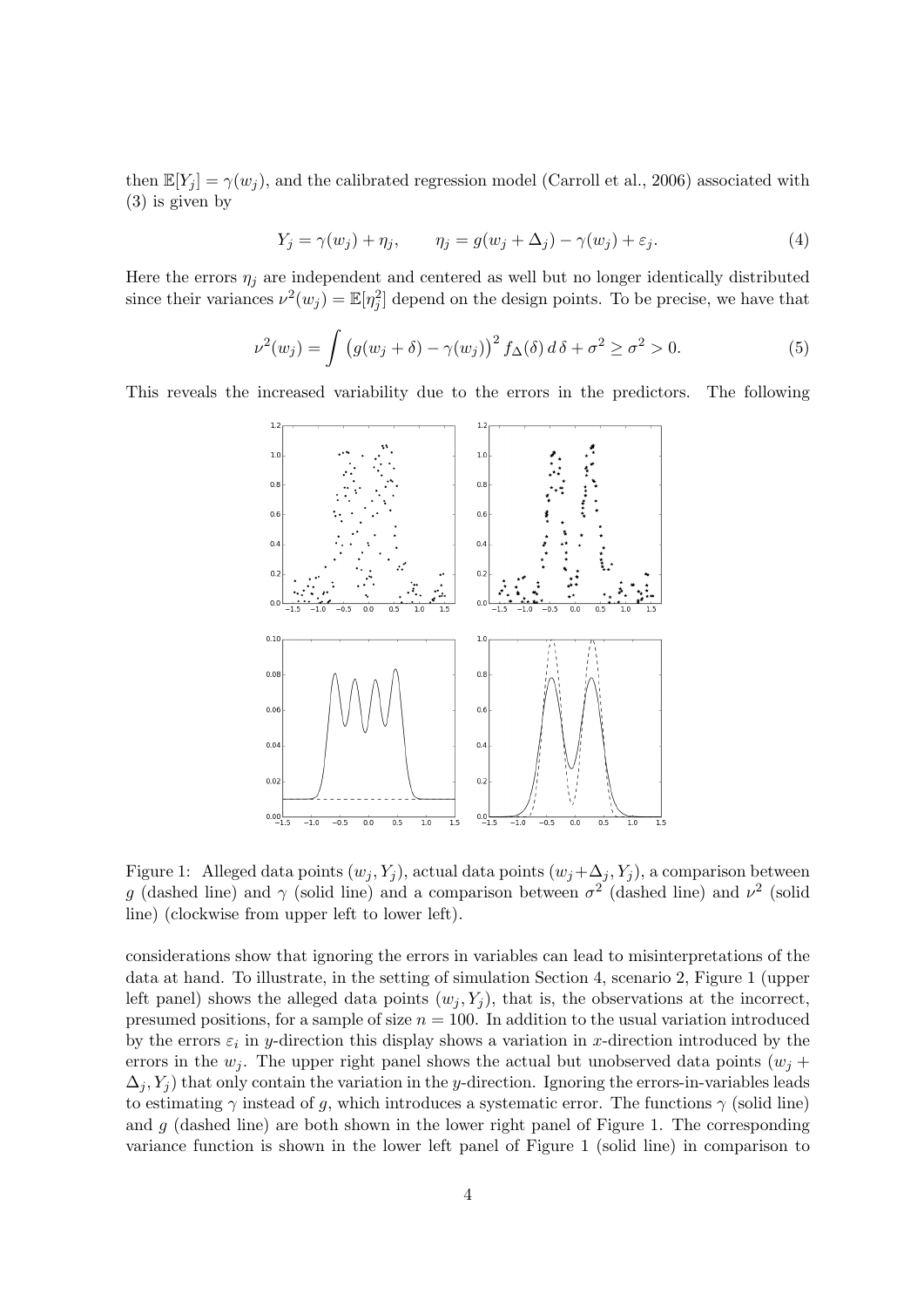then  $\mathbb{E}[Y_i] = \gamma(w_i)$ , and the calibrated regression model [\(Carroll et al.,](#page-22-5) [2006\)](#page-22-5) associated with [\(3\)](#page-2-1) is given by

<span id="page-3-2"></span><span id="page-3-1"></span>
$$
Y_j = \gamma(w_j) + \eta_j, \qquad \eta_j = g(w_j + \Delta_j) - \gamma(w_j) + \varepsilon_j.
$$
\n
$$
(4)
$$

Here the errors  $\eta_i$  are independent and centered as well but no longer identically distributed since their variances  $\nu^2(w_j) = \mathbb{E}[\eta_j^2]$  depend on the design points. To be precise, we have that

$$
\nu^2(w_j) = \int \left( g(w_j + \delta) - \gamma(w_j) \right)^2 f_\Delta(\delta) d\delta + \sigma^2 \ge \sigma^2 > 0. \tag{5}
$$

<span id="page-3-0"></span>This reveals the increased variability due to the errors in the predictors. The following



Figure 1: Alleged data points  $(w_j, Y_j)$ , actual data points  $(w_j + \Delta_j, Y_j)$ , a comparison between g (dashed line) and  $\gamma$  (solid line) and a comparison between  $\sigma^2$  (dashed line) and  $\nu^2$  (solid line) (clockwise from upper left to lower left).

considerations show that ignoring the errors in variables can lead to misinterpretations of the data at hand. To illustrate, in the setting of simulation Section [4,](#page-8-0) scenario 2, Figure [1](#page-3-0) (upper left panel) shows the alleged data points  $(w_i, Y_i)$ , that is, the observations at the incorrect, presumed positions, for a sample of size  $n = 100$ . In addition to the usual variation introduced by the errors  $\varepsilon_i$  in y-direction this display shows a variation in x-direction introduced by the errors in the  $w_i$ . The upper right panel shows the actual but unobserved data points  $(w_i +$  $\Delta_j$ , Y<sub>j</sub>) that only contain the variation in the y-direction. Ignoring the errors-in-variables leads to estimating  $\gamma$  instead of g, which introduces a systematic error. The functions  $\gamma$  (solid line) and  $g$  (dashed line) are both shown in the lower right panel of Figure [1.](#page-3-0) The corresponding variance function is shown in the lower left panel of Figure [1](#page-3-0) (solid line) in comparison to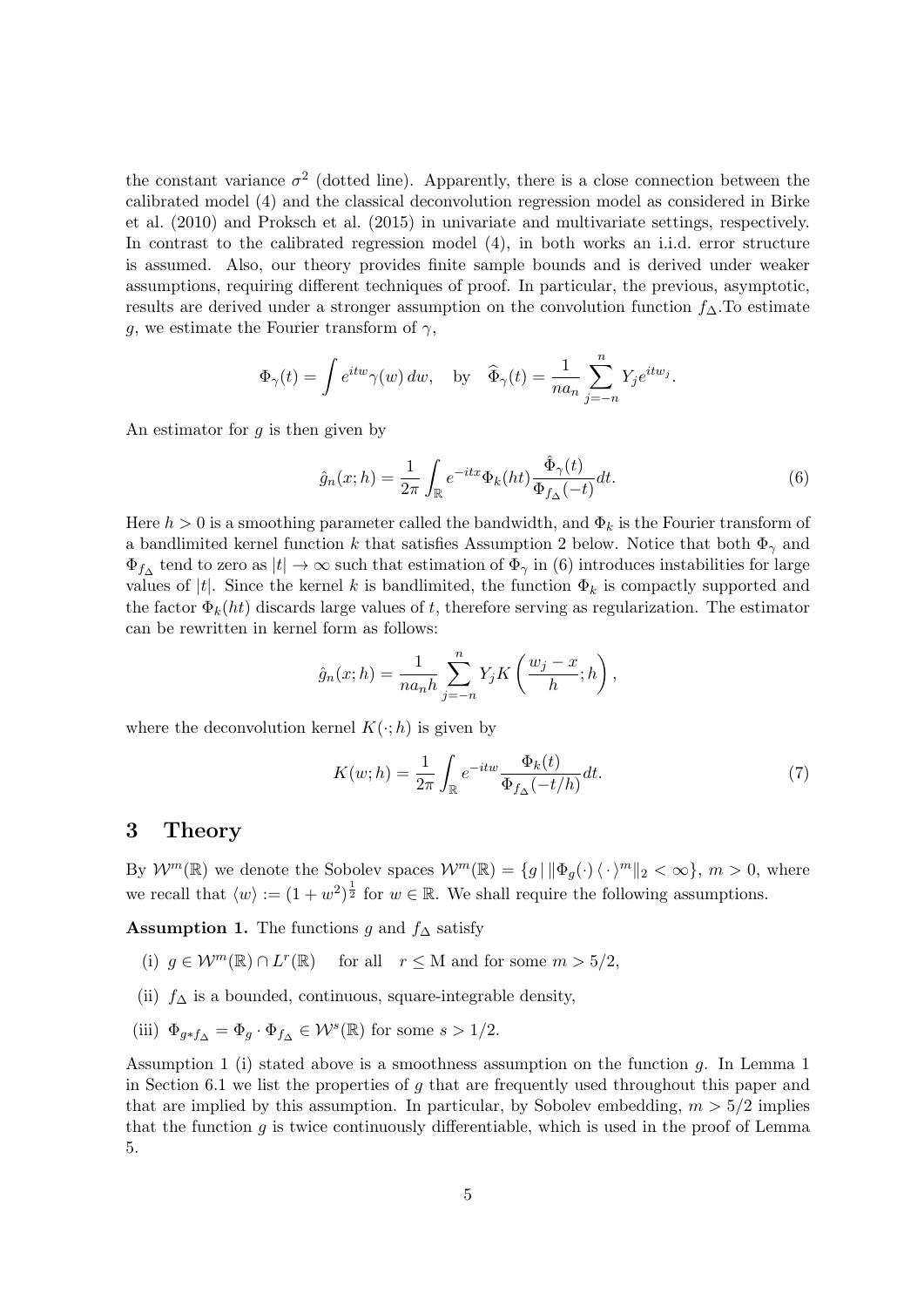the constant variance  $\sigma^2$  (dotted line). Apparently, there is a close connection between the calibrated model [\(4\)](#page-3-1) and the classical deconvolution regression model as considered in [Birke](#page-22-12) [et al.](#page-22-12) [\(2010\)](#page-22-12) and [Proksch et al.](#page-23-9) [\(2015\)](#page-23-9) in univariate and multivariate settings, respectively. In contrast to the calibrated regression model [\(4\)](#page-3-1), in both works an i.i.d. error structure is assumed. Also, our theory provides finite sample bounds and is derived under weaker assumptions, requiring different techniques of proof. In particular, the previous, asymptotic, results are derived under a stronger assumption on the convolution function  $f_{\Delta}$ . To estimate g, we estimate the Fourier transform of  $\gamma$ ,

$$
\Phi_{\gamma}(t) = \int e^{itw} \gamma(w) \, dw, \quad \text{by} \quad \widehat{\Phi}_{\gamma}(t) = \frac{1}{na_n} \sum_{j=-n}^{n} Y_j e^{itw_j}.
$$

An estimator for  $q$  is then given by

<span id="page-4-1"></span>
$$
\hat{g}_n(x; h) = \frac{1}{2\pi} \int_{\mathbb{R}} e^{-itx} \Phi_k(ht) \frac{\hat{\Phi}_{\gamma}(t)}{\Phi_{f_{\Delta}}(-t)} dt.
$$
\n(6)

Here  $h > 0$  is a smoothing parameter called the bandwidth, and  $\Phi_k$  is the Fourier transform of a bandlimited kernel function k that satisfies Assumption [2](#page-5-0) below. Notice that both  $\Phi_{\gamma}$  and  $\Phi_{f\Delta}$  tend to zero as  $|t|\to\infty$  such that estimation of  $\Phi_{\gamma}$  in [\(6\)](#page-4-1) introduces instabilities for large values of |t|. Since the kernel k is bandlimited, the function  $\Phi_k$  is compactly supported and the factor  $\Phi_k(ht)$  discards large values of t, therefore serving as regularization. The estimator can be rewritten in kernel form as follows:

$$
\hat{g}_n(x; h) = \frac{1}{n a_n h} \sum_{j=-n}^n Y_j K\left(\frac{w_j - x}{h}; h\right),\,
$$

where the deconvolution kernel  $K(\cdot; h)$  is given by

<span id="page-4-3"></span>
$$
K(w; h) = \frac{1}{2\pi} \int_{\mathbb{R}} e^{-itw} \frac{\Phi_k(t)}{\Phi_{f_\Delta}(-t/h)} dt.
$$
 (7)

### <span id="page-4-0"></span>3 Theory

By  $W^m(\mathbb{R})$  we denote the Sobolev spaces  $W^m(\mathbb{R}) = \{g \mid ||\Phi_q(\cdot)\langle \cdot \rangle^m||_2 < \infty\}, m > 0$ , where we recall that  $\langle w \rangle := (1 + w^2)^{\frac{1}{2}}$  for  $w \in \mathbb{R}$ . We shall require the following assumptions.

<span id="page-4-2"></span>Assumption 1. The functions g and  $f_$ Delta satisfy

- (i)  $g \in \mathcal{W}^m(\mathbb{R}) \cap L^r(\mathbb{R})$  for all  $r \leq M$  and for some  $m > 5/2$ ,
- (ii)  $f_{\Delta}$  is a bounded, continuous, square-integrable density,
- (iii)  $\Phi_{g*f_{\Delta}} = \Phi_g \cdot \Phi_{f_{\Delta}} \in \mathcal{W}^s(\mathbb{R})$  for some  $s > 1/2$ .

Assumption [1](#page-13-0) (i) stated above is a smoothness assumption on the function  $q$ . In Lemma 1 in Section [6.1](#page-13-1) we list the properties of  $q$  that are frequently used throughout this paper and that are implied by this assumption. In particular, by Sobolev embedding,  $m > 5/2$  implies that the function  $g$  is twice continuously differentiable, which is used in the proof of Lemma [5.](#page-13-2)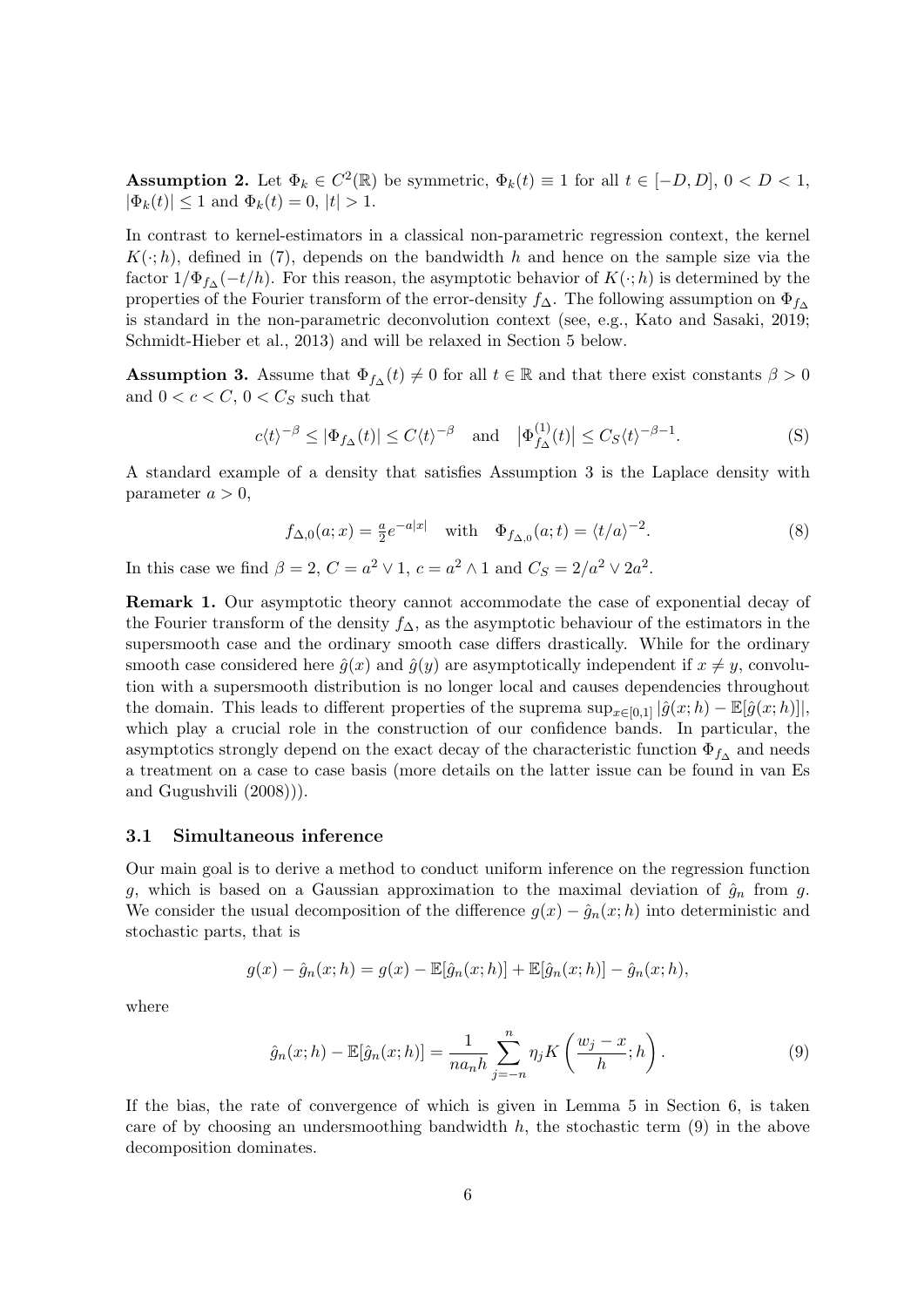<span id="page-5-0"></span>**Assumption 2.** Let  $\Phi_k \in C^2(\mathbb{R})$  be symmetric,  $\Phi_k(t) \equiv 1$  for all  $t \in [-D, D]$ ,  $0 < D < 1$ ,  $|\Phi_k(t)| \leq 1$  and  $\Phi_k(t) = 0, |t| > 1$ .

In contrast to kernel-estimators in a classical non-parametric regression context, the kernel  $K(\cdot; h)$ , defined in [\(7\)](#page-4-3), depends on the bandwidth h and hence on the sample size via the factor  $1/\Phi_{f\Delta}(-t/h)$ . For this reason, the asymptotic behavior of  $K(\cdot;h)$  is determined by the properties of the Fourier transform of the error-density  $f_{\Delta}$ . The following assumption on  $\Phi_{f_{\Delta}}$ is standard in the non-parametric deconvolution context (see, e.g., [Kato and Sasaki,](#page-23-7) [2019;](#page-23-7) [Schmidt-Hieber et al.,](#page-23-10) [2013\)](#page-23-10) and will be relaxed in Section [5](#page-10-0) below.

<span id="page-5-1"></span>**Assumption 3.** Assume that  $\Phi_{f\Delta}(t) \neq 0$  for all  $t \in \mathbb{R}$  and that there exist constants  $\beta > 0$ and  $0 < c < C$ ,  $0 < C_S$  such that

$$
c\langle t\rangle^{-\beta} \le |\Phi_{f_{\Delta}}(t)| \le C\langle t\rangle^{-\beta} \quad \text{and} \quad |\Phi_{f_{\Delta}}^{(1)}(t)| \le C_S\langle t\rangle^{-\beta-1}.\tag{S}
$$

A standard example of a density that satisfies Assumption [3](#page-5-1) is the Laplace density with parameter  $a > 0$ ,

<span id="page-5-3"></span>
$$
f_{\Delta,0}(a;x) = \frac{a}{2}e^{-a|x|} \quad \text{with} \quad \Phi_{f_{\Delta,0}}(a;t) = \langle t/a \rangle^{-2}.
$$
 (8)

In this case we find  $\beta = 2, C = a^2 \vee 1, c = a^2 \wedge 1$  and  $C_S = 2/a^2 \vee 2a^2$ .

Remark 1. Our asymptotic theory cannot accommodate the case of exponential decay of the Fourier transform of the density  $f_{\Delta}$ , as the asymptotic behaviour of the estimators in the supersmooth case and the ordinary smooth case differs drastically. While for the ordinary smooth case considered here  $\hat{g}(x)$  and  $\hat{g}(y)$  are asymptotically independent if  $x \neq y$ , convolution with a supersmooth distribution is no longer local and causes dependencies throughout the domain. This leads to different properties of the suprema  $\sup_{x\in[0,1]}|\hat{g}(x;h)-\mathbb{E}[\hat{g}(x;h)]|$ , which play a crucial role in the construction of our confidence bands. In particular, the asymptotics strongly depend on the exact decay of the characteristic function  $\Phi_{f\Delta}$  and needs a treatment on a case to case basis (more details on the latter issue can be found in [van Es](#page-23-11) [and Gugushvili](#page-23-11) [\(2008\)](#page-23-11))).

#### 3.1 Simultaneous inference

Our main goal is to derive a method to conduct uniform inference on the regression function g, which is based on a Gaussian approximation to the maximal deviation of  $\hat{g}_n$  from g. We consider the usual decomposition of the difference  $g(x) - \hat{g}_n(x; h)$  into deterministic and stochastic parts, that is

$$
g(x) - \hat{g}_n(x; h) = g(x) - \mathbb{E}[\hat{g}_n(x; h)] + \mathbb{E}[\hat{g}_n(x; h)] - \hat{g}_n(x; h),
$$

where

<span id="page-5-2"></span>
$$
\hat{g}_n(x; h) - \mathbb{E}[\hat{g}_n(x; h)] = \frac{1}{n a_n h} \sum_{j=-n}^n \eta_j K\left(\frac{w_j - x}{h}; h\right). \tag{9}
$$

If the bias, the rate of convergence of which is given in Lemma [5](#page-13-2) in Section [6,](#page-12-0) is taken care of by choosing an undersmoothing bandwidth  $h$ , the stochastic term  $(9)$  in the above decomposition dominates.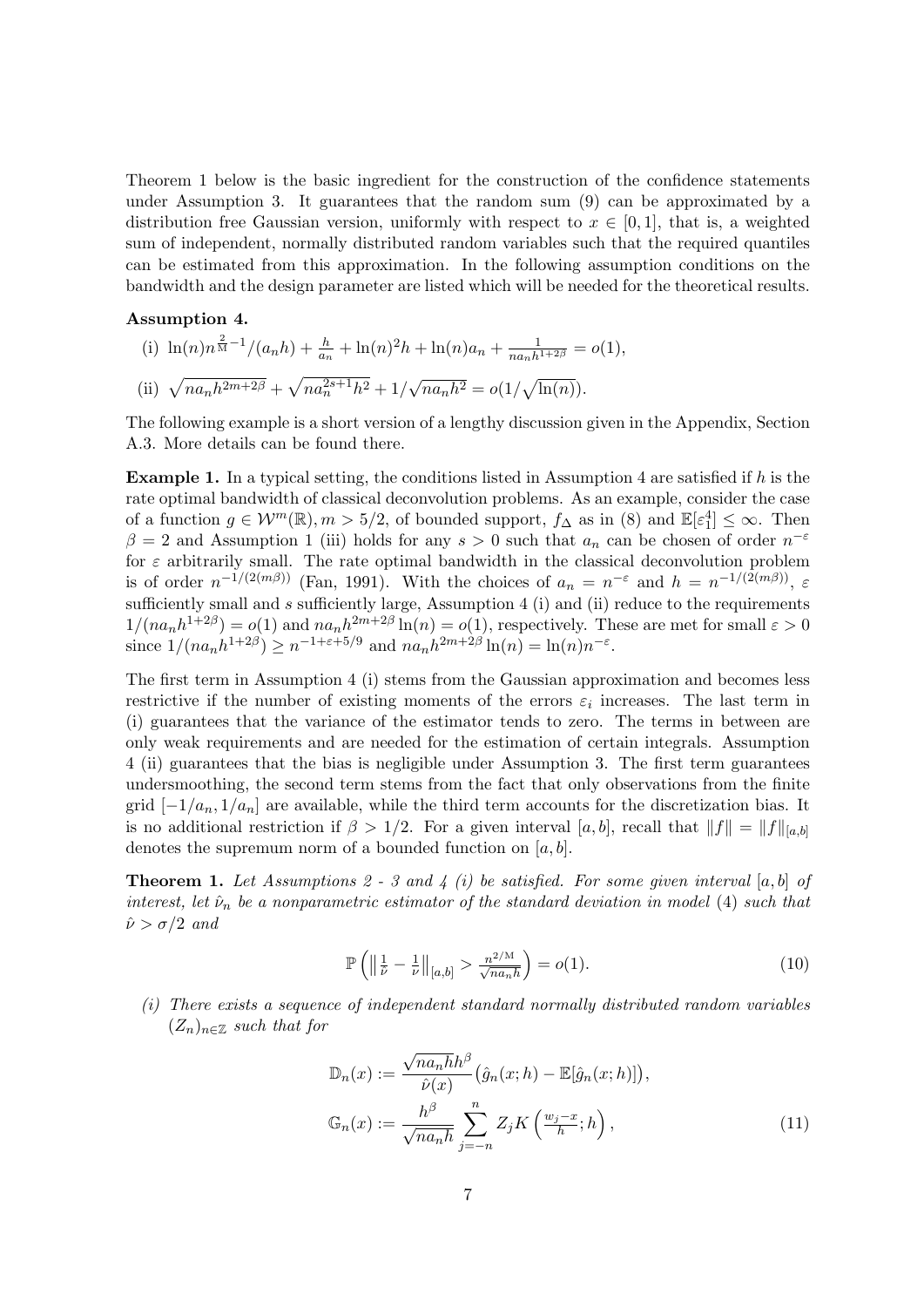Theorem [1](#page-6-0) below is the basic ingredient for the construction of the confidence statements under Assumption [3.](#page-5-1) It guarantees that the random sum [\(9\)](#page-5-2) can be approximated by a distribution free Gaussian version, uniformly with respect to  $x \in [0,1]$ , that is, a weighted sum of independent, normally distributed random variables such that the required quantiles can be estimated from this approximation. In the following assumption conditions on the bandwidth and the design parameter are listed which will be needed for the theoretical results.

#### <span id="page-6-1"></span>Assumption 4.

(i) 
$$
\ln(n)n^{\frac{2}{M}-1}/(a_n h) + \frac{h}{a_n} + \ln(n)^2 h + \ln(n)a_n + \frac{1}{na_n h^{1+2\beta}} = o(1),
$$
  
\n(ii)  $\sqrt{na_n h^{2m+2\beta}} + \sqrt{na_n^{2s+1} h^2} + 1/\sqrt{na_n h^2} = o(1/\sqrt{\ln(n)}).$ 

The following example is a short version of a lengthy discussion given in the Appendix, Section [A.3.](#page-32-0) More details can be found there.

<span id="page-6-4"></span>**Example 1.** In a typical setting, the conditions listed in Assumption [4](#page-6-1) are satisfied if  $h$  is the rate optimal bandwidth of classical deconvolution problems. As an example, consider the case of a function  $g \in \mathcal{W}^m(\mathbb{R}), m > 5/2$ , of bounded support,  $f_{\Delta}$  as in [\(8\)](#page-5-3) and  $\mathbb{E}[\varepsilon_1^4] \leq \infty$ . Then  $\beta = 2$  and Assumption [1](#page-4-2) (iii) holds for any  $s > 0$  such that  $a_n$  can be chosen of order  $n^{-\varepsilon}$ for  $\varepsilon$  arbitrarily small. The rate optimal bandwidth in the classical deconvolution problem is of order  $n^{-1/(2(m\beta))}$  [\(Fan,](#page-22-13) [1991\)](#page-22-13). With the choices of  $a_n = n^{-\varepsilon}$  and  $h = n^{-1/(2(m\beta))}$ ,  $\varepsilon$ sufficiently small and  $s$  sufficiently large, Assumption [4](#page-6-1) (i) and (ii) reduce to the requirements  $1/(na_nh^{1+2\beta}) = o(1)$  and  $na_nh^{2m+2\beta}$  ln(n) =  $o(1)$ , respectively. These are met for small  $\varepsilon > 0$ since  $1/(na_n h^{1+2\beta}) \ge n^{-1+\varepsilon+5/9}$  and  $na_n h^{2m+2\beta} \ln(n) = \ln(n) n^{-\varepsilon}$ .

The first term in Assumption [4](#page-6-1) (i) stems from the Gaussian approximation and becomes less restrictive if the number of existing moments of the errors  $\varepsilon_i$  increases. The last term in (i) guarantees that the variance of the estimator tends to zero. The terms in between are only weak requirements and are needed for the estimation of certain integrals. Assumption [4](#page-6-1) (ii) guarantees that the bias is negligible under Assumption [3.](#page-5-1) The first term guarantees undersmoothing, the second term stems from the fact that only observations from the finite grid  $[-1/a_n, 1/a_n]$  are available, while the third term accounts for the discretization bias. It is no additional restriction if  $\beta > 1/2$ . For a given interval [a, b], recall that  $||f|| = ||f||_{[a,b]}$ denotes the supremum norm of a bounded function on  $[a, b]$ .

<span id="page-6-0"></span>**Theorem 1.** Let Assumptions [2](#page-5-0) - [3](#page-5-1) and [4](#page-6-1) (i) be satisfied. For some given interval [a, b] of interest, let  $\hat{\nu}_n$  be a nonparametric estimator of the standard deviation in model [\(4\)](#page-3-1) such that  $\hat{\nu} > \sigma/2$  and

<span id="page-6-3"></span>
$$
\mathbb{P}\left(\left\|\frac{1}{\hat{\nu}} - \frac{1}{\nu}\right\|_{[a,b]} > \frac{n^{2/M}}{\sqrt{na_n h}}\right) = o(1). \tag{10}
$$

(i) There exists a sequence of independent standard normally distributed random variables  $(Z_n)_{n \in \mathbb{Z}}$  such that for

<span id="page-6-2"></span>
$$
\mathbb{D}_n(x) := \frac{\sqrt{na_n h} h^{\beta}}{\hat{\nu}(x)} \left( \hat{g}_n(x; h) - \mathbb{E}[\hat{g}_n(x; h)] \right),
$$
  

$$
\mathbb{G}_n(x) := \frac{h^{\beta}}{\sqrt{na_n h}} \sum_{j=-n}^n Z_j K\left(\frac{w_j - x}{h}; h\right),
$$
 (11)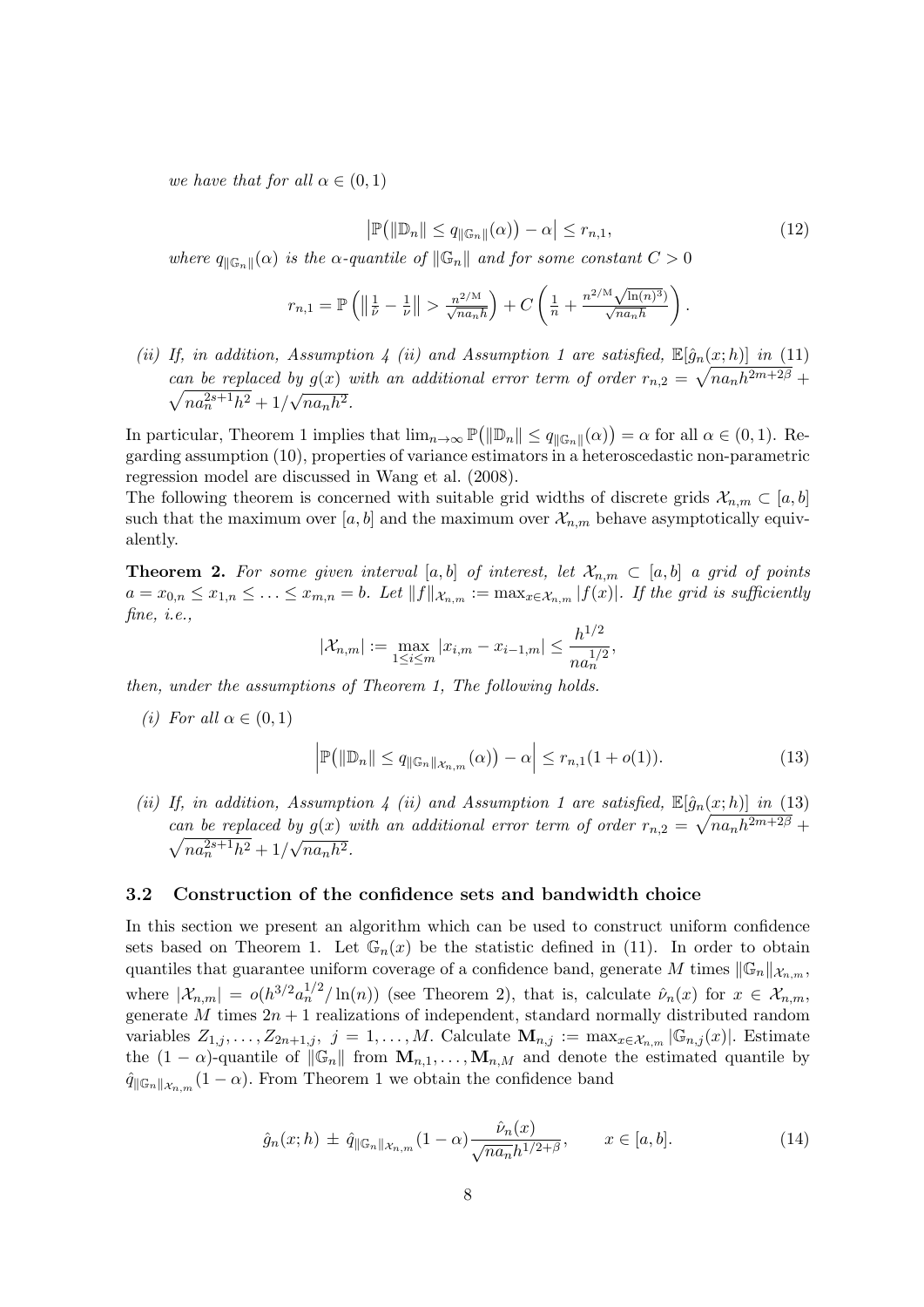<span id="page-7-4"></span>we have that for all  $\alpha \in (0,1)$ 

$$
\left|\mathbb{P}\left(\left|\mathbb{D}_{n}\right|\right| \leq q_{\left|\mathbb{G}_{n}\right|}(\alpha)\right) - \alpha\right| \leq r_{n,1},\tag{12}
$$

where  $q_{\|\mathbb{G}_n\|}(\alpha)$  is the  $\alpha$ -quantile of  $\|\mathbb{G}_n\|$  and for some constant  $C > 0$ 

$$
r_{n,1} = \mathbb{P}\left(\left\|\frac{1}{\hat{\nu}} - \frac{1}{\nu}\right\| > \frac{n^{2/M}}{\sqrt{na_n h}}\right) + C\left(\frac{1}{n} + \frac{n^{2/M}\sqrt{\ln(n)^3}}{\sqrt{na_n h}}\right).
$$

(ii) If, in addition, Assumption [4](#page-6-1) (ii) and Assumption [1](#page-4-2) are satisfied,  $\mathbb{E}[\hat{g}_n(x; h)]$  in [\(11\)](#page-6-2) can be replaced by  $g(x)$  with an additional error term of order  $r_{n,2} = \sqrt{n a_n h^{2m+2\beta}} +$  $\sqrt{na_n^{2s+1}h^2} + 1/$ √  $\overline{na_nh^2}$ .

In particular, Theorem [1](#page-6-0) implies that  $\lim_{n\to\infty} \mathbb{P}(\|\mathbb{D}_n\| \leq q_{\|\mathbb{G}_n\|}(\alpha)) = \alpha$  for all  $\alpha \in (0,1)$ . Regarding assumption [\(10\)](#page-6-3), properties of variance estimators in a heteroscedastic non-parametric regression model are discussed in [Wang et al.](#page-23-12) [\(2008\)](#page-23-12).

The following theorem is concerned with suitable grid widths of discrete grids  $\mathcal{X}_{n,m} \subset [a, b]$ such that the maximum over  $[a, b]$  and the maximum over  $\mathcal{X}_{n,m}$  behave asymptotically equivalently.

<span id="page-7-2"></span>**Theorem 2.** For some given interval [a, b] of interest, let  $\mathcal{X}_{n,m} \subset [a,b]$  a grid of points  $a = x_{0,n} \leq x_{1,n} \leq \ldots \leq x_{m,n} = b$ . Let  $||f||_{\mathcal{X}_{n,m}} := \max_{x \in \mathcal{X}_{n,m}} |f(x)|$ . If the grid is sufficiently fine, *i.e.*,

$$
|\mathcal{X}_{n,m}| := \max_{1 \leq i \leq m} |x_{i,m} - x_{i-1,m}| \leq \frac{h^{1/2}}{n a_n^{1/2}},
$$

then, under the assumptions of Theorem [1,](#page-6-0) The following holds.

(i) For all  $\alpha \in (0,1)$ 

<span id="page-7-1"></span>
$$
\left|\mathbb{P}\left(\left\|\mathbb{D}_{n}\right\| \leq q_{\left\|\mathbb{G}_{n}\right\| \mathcal{X}_{n,m}}(\alpha)\right)-\alpha\right| \leq r_{n,1}(1+o(1)).\tag{13}
$$

(ii) If, in addition, Assumption [4](#page-6-1) (ii) and Assumption [1](#page-4-2) are satisfied,  $\mathbb{E}[\hat{g}_n(x; h)]$  in [\(13\)](#page-7-1) can be replaced by  $g(x)$  with an additional error term of order  $r_{n,2} = \sqrt{n a_n h^{2m+2\beta}} +$  $\sqrt{na_n^{2s+1}h^2} + 1/$ √  $\overline{na_nh^2}$ .

#### <span id="page-7-0"></span>3.2 Construction of the confidence sets and bandwidth choice

In this section we present an algorithm which can be used to construct uniform confidence sets based on Theorem [1.](#page-6-0) Let  $\mathbb{G}_n(x)$  be the statistic defined in [\(11\)](#page-6-2). In order to obtain quantiles that guarantee uniform coverage of a confidence band, generate M times  $\|\mathbb{G}_n\|_{\mathcal{X}_{n,m}}$ , where  $|\mathcal{X}_{n,m}| = o(h^{3/2} a_n^{1/2} / \ln(n))$  (see Theorem [2\)](#page-7-2), that is, calculate  $\hat{\nu}_n(x)$  for  $x \in \mathcal{X}_{n,m}$ , generate  $\tilde{M}$  times  $2n + 1$  realizations of independent, standard normally distributed random variables  $Z_{1,j}, \ldots, Z_{2n+1,j}, j = 1, \ldots, M$ . Calculate  $\mathbf{M}_{n,j} := \max_{x \in \mathcal{X}_{n,m}} |\mathbb{G}_{n,j}(x)|$ . Estimate the  $(1 - \alpha)$ -quantile of  $\|\mathbb{G}_n\|$  from  $\mathbf{M}_{n,1}, \ldots, \mathbf{M}_{n,M}$  and denote the estimated quantile by  $\hat{q}_{\|\mathbb{G}_n\|_{\mathcal{X}_{n,m}}}(1-\alpha)$  $\hat{q}_{\|\mathbb{G}_n\|_{\mathcal{X}_{n,m}}}(1-\alpha)$  $\hat{q}_{\|\mathbb{G}_n\|_{\mathcal{X}_{n,m}}}(1-\alpha)$ . From Theorem 1 we obtain the confidence band

<span id="page-7-3"></span>
$$
\hat{g}_n(x; h) \pm \hat{q}_{\|\mathbb{G}_n\|_{\mathcal{X}_{n,m}}}(1-\alpha) \frac{\hat{\nu}_n(x)}{\sqrt{na_n}h^{1/2+\beta}}, \qquad x \in [a, b]. \tag{14}
$$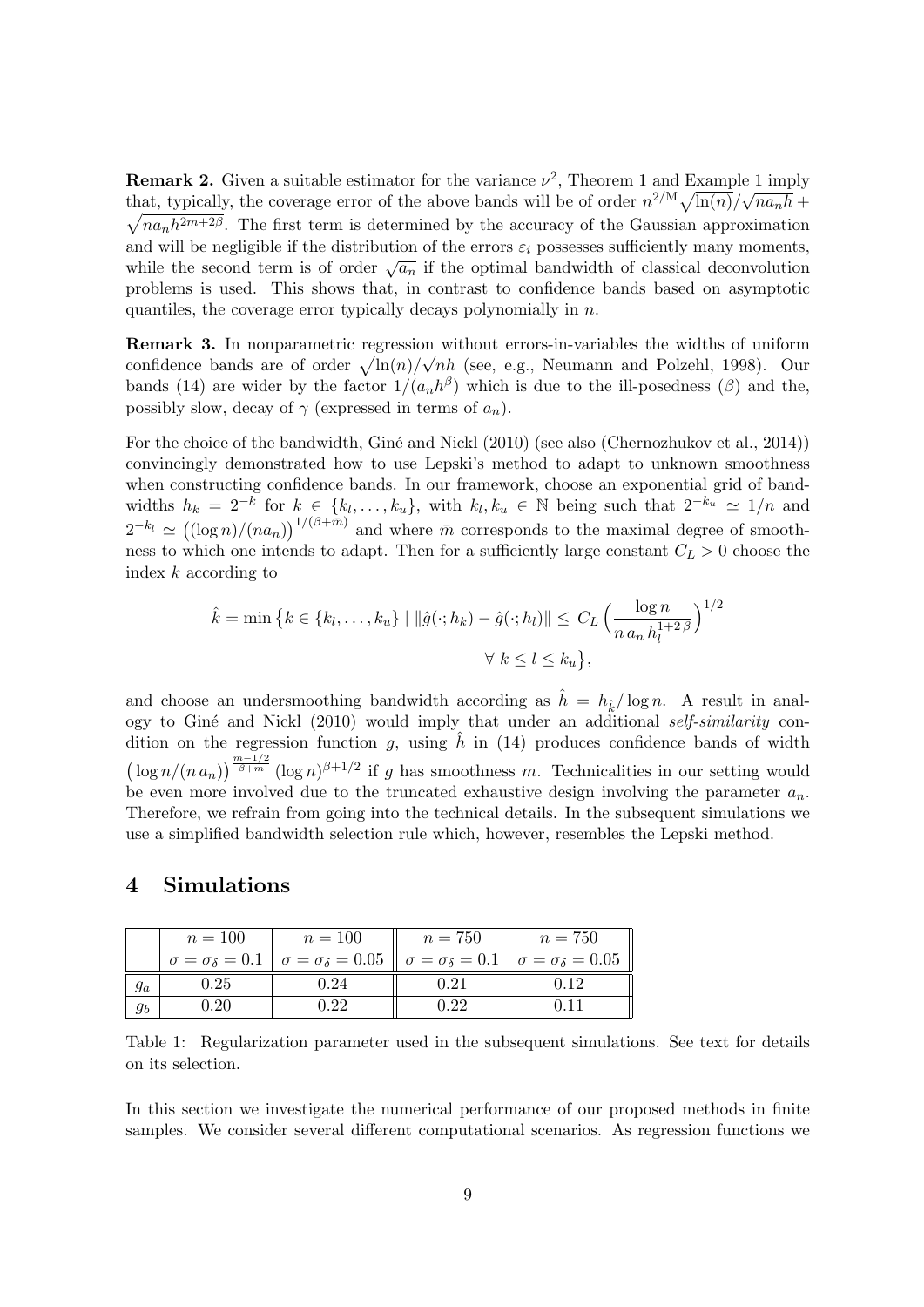**Remark 2.** Given a suitable estimator for the variance  $\nu^2$ , Theorem [1](#page-6-4) and Example 1 imply that, typically, the coverage error of the above bands will be of order  $n^{2/M} \sqrt{\ln(n)}/\sqrt{na_n h}$  +  $\sqrt{na_nh^{2m+2\beta}}$ . The first term is determined by the accuracy of the Gaussian approximation and will be negligible if the distribution of the errors  $\varepsilon_i$  possesses sufficiently many moments, while the second term is of order  $\sqrt{a_n}$  if the optimal bandwidth of classical deconvolution problems is used. This shows that, in contrast to confidence bands based on asymptotic quantiles, the coverage error typically decays polynomially in n.

Remark 3. In nonparametric regression without errors-in-variables the widths of uniform confidence bands are of order  $\sqrt{\ln(n)}/\sqrt{n}$  (see, e.g., [Neumann and Polzehl,](#page-23-0) [1998\)](#page-23-0). Our bands [\(14\)](#page-7-3) are wider by the factor  $1/(a_n h^{\beta})$  which is due to the ill-posedness ( $\beta$ ) and the, possibly slow, decay of  $\gamma$  (expressed in terms of  $a_n$ ).

For the choice of the bandwidth, Giné and Nickl [\(2010\)](#page-22-14) (see also [\(Chernozhukov et al.,](#page-22-2) [2014\)](#page-22-2)) convincingly demonstrated how to use Lepski's method to adapt to unknown smoothness when constructing confidence bands. In our framework, choose an exponential grid of bandwidths  $h_k = 2^{-k}$  for  $k \in \{k_l, ..., k_u\}$ , with  $k_l, k_u \in \mathbb{N}$  being such that  $2^{-k_u} \simeq 1/n$  and  $2^{-k_l} \simeq ((\log n)/(na_n))^{1/(\beta + \bar{m})}$  and where  $\bar{m}$  corresponds to the maximal degree of smoothness to which one intends to adapt. Then for a sufficiently large constant  $C_L > 0$  choose the index k according to

$$
\hat{k} = \min \left\{ k \in \{k_l, \dots, k_u\} \mid \|\hat{g}(\cdot; h_k) - \hat{g}(\cdot; h_l)\| \le C_L \left( \frac{\log n}{n a_n h_l^{1+2\beta}} \right)^{1/2} \right\}
$$

$$
\forall k \le l \le k_u \left\},
$$

and choose an undersmoothing bandwidth according as  $\hat{h} = h_{\hat{k}}/\log n$ . A result in analogy to Giné and Nickl  $(2010)$  would imply that under an additional self-similarity condition on the regression function g, using  $\hat{h}$  in [\(14\)](#page-7-3) produces confidence bands of width  $\left(\log n/(n a_n)\right)^{\frac{m-1/2}{\beta+m}} (\log n)^{\beta+1/2}$  if g has smoothness m. Technicalities in our setting would be even more involved due to the truncated exhaustive design involving the parameter  $a_n$ . Therefore, we refrain from going into the technical details. In the subsequent simulations we use a simplified bandwidth selection rule which, however, resembles the Lepski method.

## <span id="page-8-0"></span>4 Simulations

<span id="page-8-1"></span>

|       | $n=100$ | $n=100$                                                                                                                               | $n = 750$ | $n = 750$ |
|-------|---------|---------------------------------------------------------------------------------------------------------------------------------------|-----------|-----------|
|       |         | $\sigma = \sigma_{\delta} = 0.1$ $\sigma = \sigma_{\delta} = 0.05$ $\sigma = \sigma_{\delta} = 0.1$ $\sigma = \sigma_{\delta} = 0.05$ |           |           |
| $g_a$ | 0.25    |                                                                                                                                       | 0.21      | ነ 19      |
| $g_b$ | $20 -$  |                                                                                                                                       |           |           |

Table 1: Regularization parameter used in the subsequent simulations. See text for details on its selection.

In this section we investigate the numerical performance of our proposed methods in finite samples. We consider several different computational scenarios. As regression functions we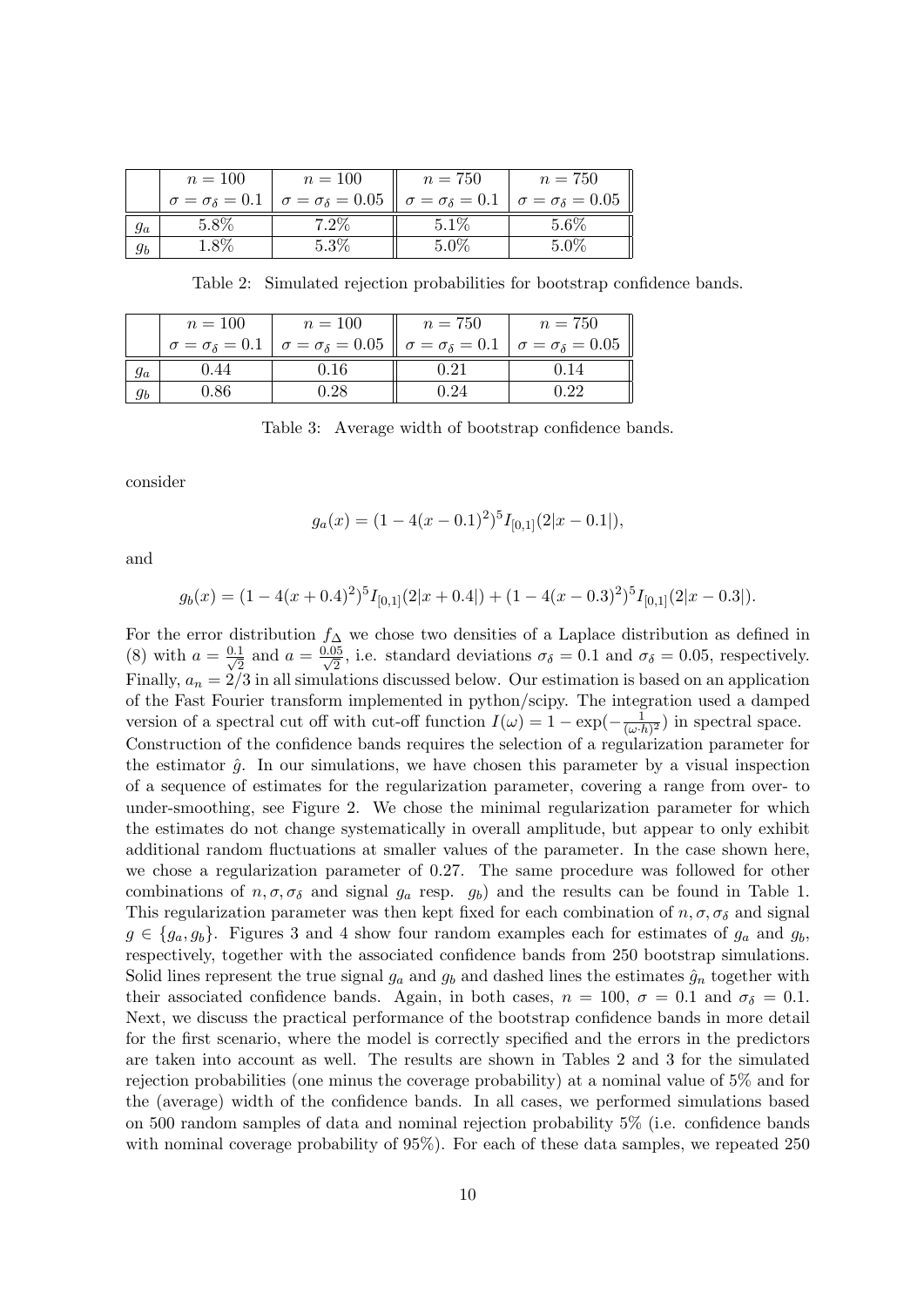<span id="page-9-0"></span>

|       | $n=100$ | $n=100$                                                                                                                                        | $n = 750$ | $n = 750$ |
|-------|---------|------------------------------------------------------------------------------------------------------------------------------------------------|-----------|-----------|
|       |         | $\sigma = \sigma_{\delta} = 0.1 \mid \sigma = \sigma_{\delta} = 0.05 \mid \sigma = \sigma_{\delta} = 0.1 \mid \sigma = \sigma_{\delta} = 0.05$ |           |           |
| $g_a$ |         |                                                                                                                                                | $5.1\%$   | $5.6\%$   |
| gь    |         |                                                                                                                                                | 5.0%      | 5 0%      |

Table 2: Simulated rejection probabilities for bootstrap confidence bands.

<span id="page-9-1"></span>

| $n=100$ | $n=100$                                                                                                                               | $n = 750$ | $n = 750$ |
|---------|---------------------------------------------------------------------------------------------------------------------------------------|-----------|-----------|
|         | $\sigma = \sigma_{\delta} = 0.1$ $\sigma = \sigma_{\delta} = 0.05$ $\sigma = \sigma_{\delta} = 0.1$ $\sigma = \sigma_{\delta} = 0.05$ |           |           |
| 0.44    | 0.16                                                                                                                                  | $-0.21$   | 0.14      |
|         |                                                                                                                                       |           |           |

Table 3: Average width of bootstrap confidence bands.

consider

$$
g_a(x) = (1 - 4(x - 0.1)^2)^5 I_{[0,1]}(2|x - 0.1|),
$$

and

$$
g_b(x) = (1 - 4(x + 0.4)^2)^5 I_{[0,1]}(2|x + 0.4|) + (1 - 4(x - 0.3)^2)^5 I_{[0,1]}(2|x - 0.3|).
$$

For the error distribution  $f_{\Delta}$  we chose two densities of a Laplace distribution as defined in [\(8\)](#page-5-3) with  $a = \frac{0.1}{\sqrt{2}}$  $\frac{1}{2}$  and  $a = \frac{0.05}{\sqrt{2}}$ , i.e. standard deviations  $\sigma_{\delta} = 0.1$  and  $\sigma_{\delta} = 0.05$ , respectively. Finally,  $a_n = 2/3$  in all simulations discussed below. Our estimation is based on an application of the Fast Fourier transform implemented in python/scipy. The integration used a damped version of a spectral cut off with cut-off function  $I(\omega) = 1 - \exp(-\frac{1}{(\omega)}$  $\frac{1}{(\omega \cdot h)^2}$  in spectral space. Construction of the confidence bands requires the selection of a regularization parameter for the estimator  $\hat{q}$ . In our simulations, we have chosen this parameter by a visual inspection of a sequence of estimates for the regularization parameter, covering a range from over- to under-smoothing, see Figure [2.](#page-10-1) We chose the minimal regularization parameter for which the estimates do not change systematically in overall amplitude, but appear to only exhibit additional random fluctuations at smaller values of the parameter. In the case shown here, we chose a regularization parameter of 0.27. The same procedure was followed for other combinations of  $n, \sigma, \sigma_{\delta}$  and signal  $g_a$  resp.  $g_b$ ) and the results can be found in Table [1.](#page-8-1) This regularization parameter was then kept fixed for each combination of  $n, \sigma, \sigma_{\delta}$  and signal  $g \in \{g_a, g_b\}$ . Figures [3](#page-11-0) and [4](#page-12-1) show four random examples each for estimates of  $g_a$  and  $g_b$ , respectively, together with the associated confidence bands from 250 bootstrap simulations. Solid lines represent the true signal  $g_a$  and  $g_b$  and dashed lines the estimates  $\hat{g}_n$  together with their associated confidence bands. Again, in both cases,  $n = 100$ ,  $\sigma = 0.1$  and  $\sigma_{\delta} = 0.1$ . Next, we discuss the practical performance of the bootstrap confidence bands in more detail for the first scenario, where the model is correctly specified and the errors in the predictors are taken into account as well. The results are shown in Tables [2](#page-9-0) and [3](#page-9-1) for the simulated rejection probabilities (one minus the coverage probability) at a nominal value of 5% and for the (average) width of the confidence bands. In all cases, we performed simulations based on 500 random samples of data and nominal rejection probability 5% (i.e. confidence bands with nominal coverage probability of 95%). For each of these data samples, we repeated 250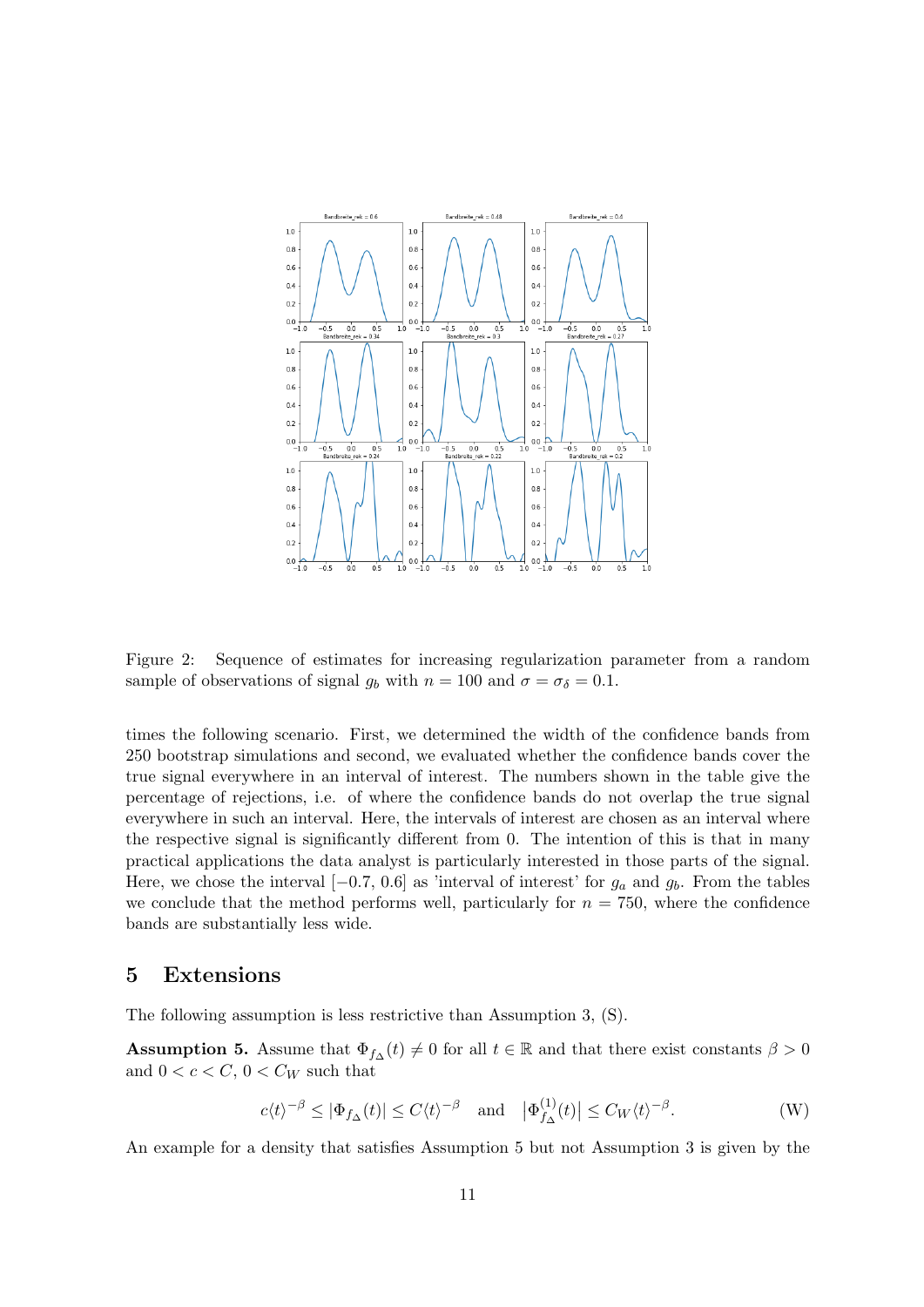<span id="page-10-1"></span>

Figure 2: Sequence of estimates for increasing regularization parameter from a random sample of observations of signal  $g_b$  with  $n = 100$  and  $\sigma = \sigma_\delta = 0.1$ .

times the following scenario. First, we determined the width of the confidence bands from 250 bootstrap simulations and second, we evaluated whether the confidence bands cover the true signal everywhere in an interval of interest. The numbers shown in the table give the percentage of rejections, i.e. of where the confidence bands do not overlap the true signal everywhere in such an interval. Here, the intervals of interest are chosen as an interval where the respective signal is significantly different from 0. The intention of this is that in many practical applications the data analyst is particularly interested in those parts of the signal. Here, we chose the interval  $[-0.7, 0.6]$  as 'interval of interest' for  $g_a$  and  $g_b$ . From the tables we conclude that the method performs well, particularly for  $n = 750$ , where the confidence bands are substantially less wide.

## <span id="page-10-0"></span>5 Extensions

The following assumption is less restrictive than Assumption [3,](#page-5-1) [\(S\)](#page-5-1).

<span id="page-10-2"></span>**Assumption 5.** Assume that  $\Phi_{f\Delta}(t) \neq 0$  for all  $t \in \mathbb{R}$  and that there exist constants  $\beta > 0$ and  $0 < c < C$ ,  $0 < C<sub>W</sub>$  such that

$$
c\langle t\rangle^{-\beta} \le |\Phi_{f_{\Delta}}(t)| \le C\langle t\rangle^{-\beta} \quad \text{and} \quad |\Phi_{f_{\Delta}}^{(1)}(t)| \le C_W \langle t\rangle^{-\beta}.
$$
 (W)

An example for a density that satisfies Assumption [5](#page-10-2) but not Assumption [3](#page-5-1) is given by the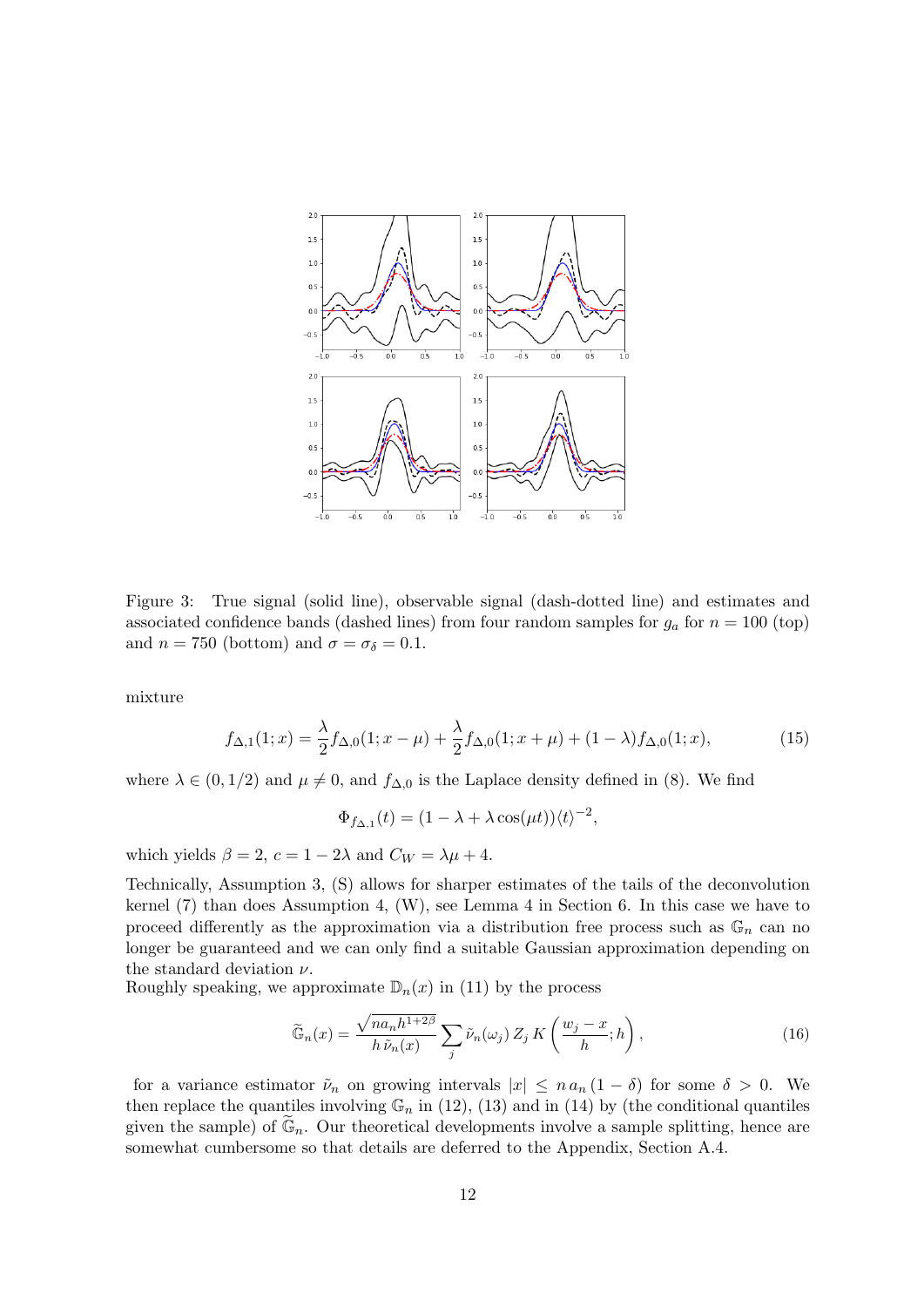<span id="page-11-0"></span>

Figure 3: True signal (solid line), observable signal (dash-dotted line) and estimates and associated confidence bands (dashed lines) from four random samples for  $g_a$  for  $n = 100$  (top) and  $n = 750$  (bottom) and  $\sigma = \sigma_{\delta} = 0.1$ .

mixture

$$
f_{\Delta,1}(1;x) = \frac{\lambda}{2} f_{\Delta,0}(1;x-\mu) + \frac{\lambda}{2} f_{\Delta,0}(1;x+\mu) + (1-\lambda) f_{\Delta,0}(1;x),\tag{15}
$$

where  $\lambda \in (0, 1/2)$  and  $\mu \neq 0$ , and  $f_{\Delta,0}$  is the Laplace density defined in [\(8\)](#page-5-3). We find

$$
\Phi_{f_{\Delta,1}}(t) = (1 - \lambda + \lambda \cos(\mu t)) \langle t \rangle^{-2},
$$

which yields  $\beta = 2$ ,  $c = 1 - 2\lambda$  and  $C_W = \lambda \mu + 4$ .

Technically, Assumption 3, [\(S\)](#page-5-1) allows for sharper estimates of the tails of the deconvolution kernel [\(7\)](#page-4-3) than does Assumption 4, [\(W\)](#page-10-2), see Lemma [4](#page-13-3) in Section [6.](#page-12-0) In this case we have to proceed differently as the approximation via a distribution free process such as  $\mathbb{G}_n$  can no longer be guaranteed and we can only find a suitable Gaussian approximation depending on the standard deviation  $\nu$ .

Roughly speaking, we approximate  $\mathbb{D}_n(x)$  in [\(11\)](#page-6-2) by the process

$$
\widetilde{\mathbb{G}}_n(x) = \frac{\sqrt{na_n h^{1+2\beta}}}{h \,\widetilde{\nu}_n(x)} \sum_j \widetilde{\nu}_n(\omega_j) \, Z_j \, K\left(\frac{w_j - x}{h}; h\right),\tag{16}
$$

for a variance estimator  $\tilde{\nu}_n$  on growing intervals  $|x| \leq n a_n (1 - \delta)$  for some  $\delta > 0$ . We then replace the quantiles involving  $\mathbb{G}_n$  in [\(12\)](#page-7-4), [\(13\)](#page-7-1) and in [\(14\)](#page-7-3) by (the conditional quantiles given the sample) of  $\mathbb{G}_n$ . Our theoretical developments involve a sample splitting, hence are somewhat cumbersome so that details are deferred to the Appendix, Section [A.4.](#page-33-0)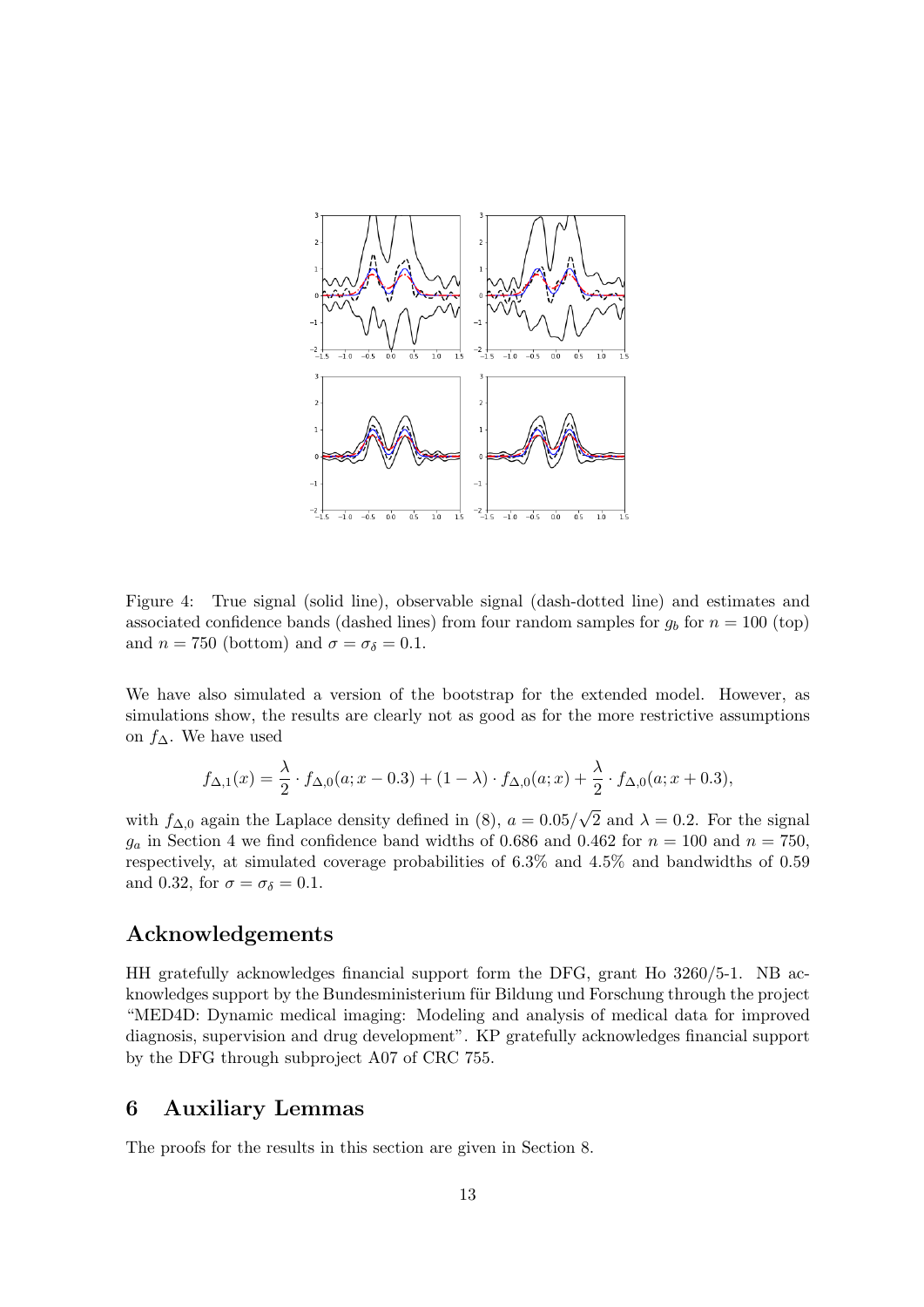<span id="page-12-1"></span>

Figure 4: True signal (solid line), observable signal (dash-dotted line) and estimates and associated confidence bands (dashed lines) from four random samples for  $g_b$  for  $n = 100$  (top) and  $n = 750$  (bottom) and  $\sigma = \sigma_{\delta} = 0.1$ .

We have also simulated a version of the bootstrap for the extended model. However, as simulations show, the results are clearly not as good as for the more restrictive assumptions on  $f$ ∆. We have used

$$
f_{\Delta,1}(x) = \frac{\lambda}{2} \cdot f_{\Delta,0}(a; x - 0.3) + (1 - \lambda) \cdot f_{\Delta,0}(a; x) + \frac{\lambda}{2} \cdot f_{\Delta,0}(a; x + 0.3),
$$

with  $f_{\Delta,0}$  again the Laplace density defined in [\(8\)](#page-5-3),  $a = 0.05/$ √ 2 and  $\lambda = 0.2$ . For the signal  $g_a$  in Section [4](#page-8-0) we find confidence band widths of 0.686 and 0.462 for  $n = 100$  and  $n = 750$ , respectively, at simulated coverage probabilities of 6.3% and 4.5% and bandwidths of 0.59 and 0.32, for  $\sigma = \sigma_{\delta} = 0.1$ .

## Acknowledgements

HH gratefully acknowledges financial support form the DFG, grant Ho 3260/5-1. NB acknowledges support by the Bundesministerium für Bildung und Forschung through the project "MED4D: Dynamic medical imaging: Modeling and analysis of medical data for improved diagnosis, supervision and drug development". KP gratefully acknowledges financial support by the DFG through subproject A07 of CRC 755.

## <span id="page-12-0"></span>6 Auxiliary Lemmas

The proofs for the results in this section are given in Section [8.](#page-20-0)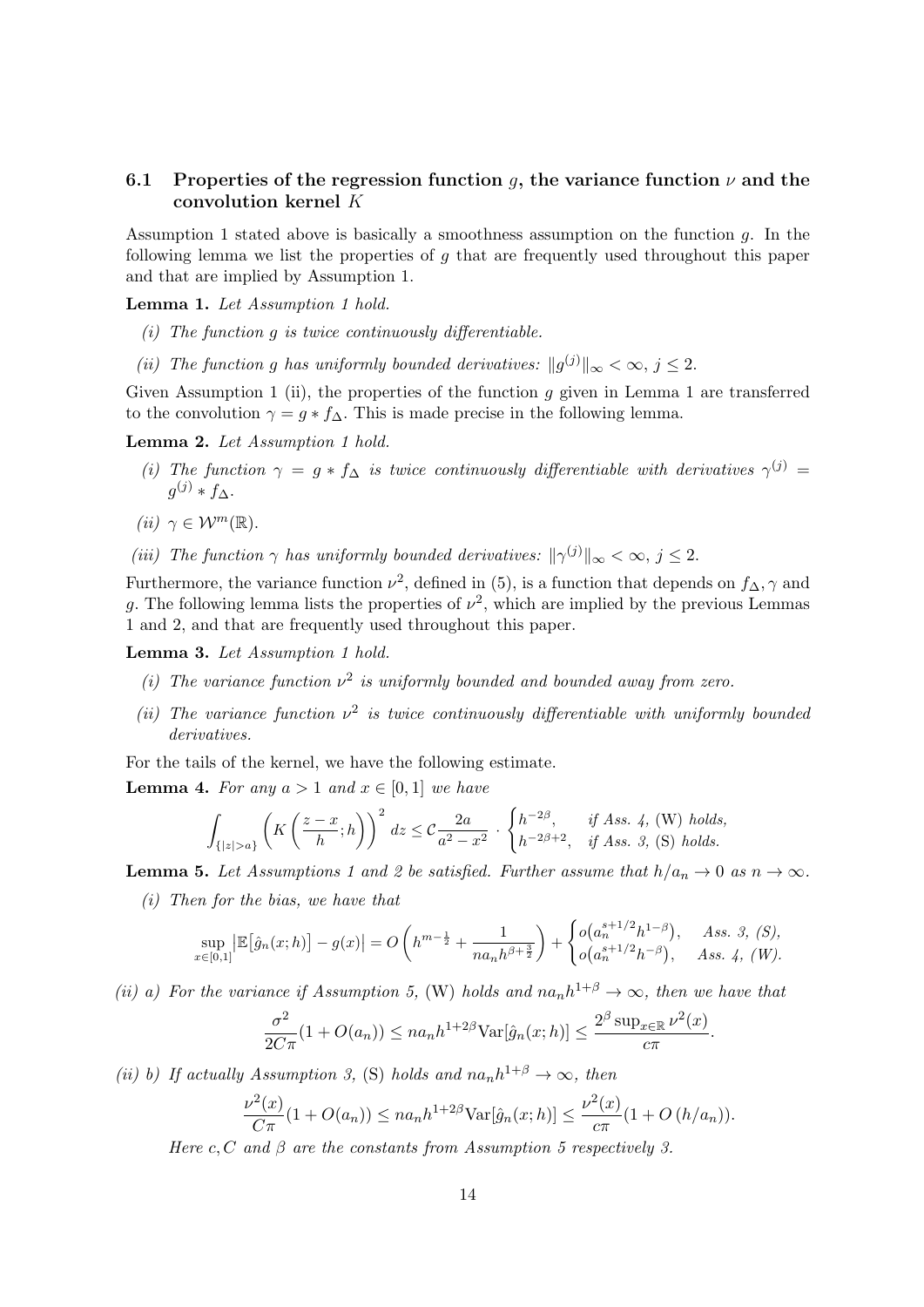## <span id="page-13-1"></span>6.1 Properties of the regression function q, the variance function  $\nu$  and the convolution kernel K

Assumption [1](#page-4-2) stated above is basically a smoothness assumption on the function  $q$ . In the following lemma we list the properties of  $q$  that are frequently used throughout this paper and that are implied by Assumption [1.](#page-4-2)

<span id="page-13-0"></span>Lemma [1](#page-4-2). Let Assumption 1 hold.

- (i) The function  $g$  is twice continuously differentiable.
- (ii) The function g has uniformly bounded derivatives:  $||g^{(j)}||_{\infty} < \infty$ ,  $j \leq 2$ .

Given Assumption [1](#page-13-0) (ii), the properties of the function  $g$  given in Lemma 1 are transferred to the convolution  $\gamma = g * f_{\Delta}$ . This is made precise in the following lemma.

<span id="page-13-4"></span>Lemma 2. Let Assumption [1](#page-4-2) hold.

(i) The function  $\gamma = g * f_{\Delta}$  is twice continuously differentiable with derivatives  $\gamma^{(j)} =$  $g^{(j)} * f_{\Delta}$ .

(ii)  $\gamma \in \mathcal{W}^m(\mathbb{R})$ .

(iii) The function  $\gamma$  has uniformly bounded derivatives:  $\|\gamma^{(j)}\|_{\infty} < \infty$ ,  $j \leq 2$ .

Furthermore, the variance function  $\nu^2$ , defined in [\(5\)](#page-3-2), is a function that depends on  $f_{\Delta}$ ,  $\gamma$  and g. The following lemma lists the properties of  $\nu^2$ , which are implied by the previous Lemmas [1](#page-13-0) and [2,](#page-13-4) and that are frequently used throughout this paper.

<span id="page-13-5"></span>Lemma 3. Let Assumption [1](#page-4-2) hold.

- (i) The variance function  $\nu^2$  is uniformly bounded and bounded away from zero.
- (ii) The variance function  $\nu^2$  is twice continuously differentiable with uniformly bounded derivatives.

For the tails of the kernel, we have the following estimate.

<span id="page-13-3"></span>**Lemma 4.** For any  $a > 1$  and  $x \in [0, 1]$  we have

$$
\int_{\{|z|>a\}} \left(K\left(\frac{z-x}{h};h\right)\right)^2 dz \le C\frac{2a}{a^2-x^2} \cdot \begin{cases} h^{-2\beta}, & \text{if Ass. 4, (W) holds,} \\ h^{-2\beta+2}, & \text{if Ass. 3, (S) holds.} \end{cases}
$$

<span id="page-13-2"></span>**Lemma 5.** Let Assumptions [1](#page-4-2) and [2](#page-5-0) be satisfied. Further assume that  $h/a_n \to 0$  as  $n \to \infty$ .

(i) Then for the bias, we have that

$$
\sup_{x\in[0,1]} \left| \mathbb{E}\left[\hat{g}_n(x;h)\right] - g(x) \right| = O\left(h^{m-\frac{1}{2}} + \frac{1}{na_n h^{\beta+\frac{3}{2}}}\right) + \begin{cases} o\left(a_n^{s+1/2} h^{1-\beta}\right), & Ass. 3, (S), \\ o\left(a_n^{s+1/2} h^{-\beta}\right), & Ass. 4, (W). \end{cases}
$$

(ii) a) For the variance if Assumption [5,](#page-10-2) [\(W\)](#page-10-2) holds and  $na_n h^{1+\beta} \to \infty$ , then we have that

$$
\frac{\sigma^2}{2C\pi}(1 + O(a_n)) \le na_n h^{1+2\beta} \text{Var}[\hat{g}_n(x; h)] \le \frac{2^{\beta} \sup_{x \in \mathbb{R}} \nu^2(x)}{c\pi}
$$

.

(ii) b) If actually Assumption [3,](#page-5-1) [\(S\)](#page-5-1) holds and  $n a_n h^{1+\beta} \to \infty$ , then

$$
\frac{\nu^{2}(x)}{C\pi}(1+O(a_{n})) \leq na_{n}h^{1+2\beta} \text{Var}[\hat{g}_{n}(x; h)] \leq \frac{\nu^{2}(x)}{c\pi}(1+O(h/a_{n})).
$$

Here c, C and  $\beta$  are the constants from Assumption [5](#page-10-2) respectively [3.](#page-5-1)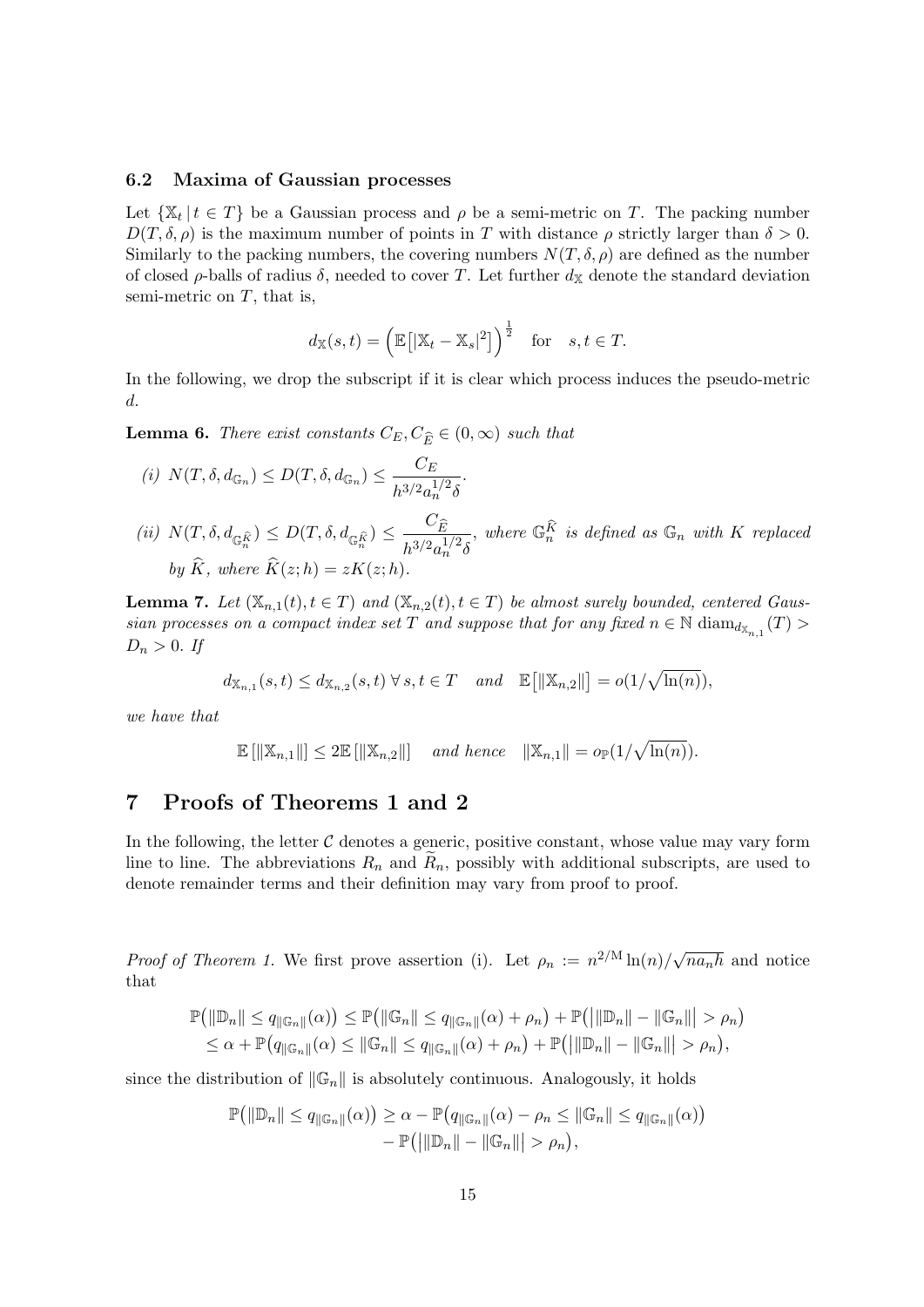#### 6.2 Maxima of Gaussian processes

Let  $\{X_t | t \in T\}$  be a Gaussian process and  $\rho$  be a semi-metric on T. The packing number  $D(T, \delta, \rho)$  is the maximum number of points in T with distance  $\rho$  strictly larger than  $\delta > 0$ . Similarly to the packing numbers, the covering numbers  $N(T, \delta, \rho)$  are defined as the number of closed  $\rho$ -balls of radius  $\delta$ , needed to cover T. Let further  $d_{\mathbb{X}}$  denote the standard deviation semi-metric on  $T$ , that is,

$$
d_{\mathbb{X}}(s,t) = (\mathbb{E}[\|\mathbb{X}_t - \mathbb{X}_s|^2]\big)^{\frac{1}{2}}
$$
 for  $s, t \in T$ .

In the following, we drop the subscript if it is clear which process induces the pseudo-metric d.

<span id="page-14-1"></span>**Lemma 6.** There exist constants  $C_E, C_{\widehat{E}} \in (0, \infty)$  such that

(i) 
$$
N(T, \delta, d_{\mathbb{G}_n}) \leq D(T, \delta, d_{\mathbb{G}_n}) \leq \frac{C_E}{h^{3/2} a_n^{1/2} \delta}
$$
.  
\n(ii)  $N(T, \delta, d_{\mathbb{G}_n^{\hat{K}}}) \leq D(T, \delta, d_{\mathbb{G}_n^{\hat{K}}}) \leq \frac{C_{\hat{E}}}{h^{3/2} a_n^{1/2} \delta}$ , where  $\mathbb{G}_n^{\hat{K}}$  is defined as  $\mathbb{G}_n$  with  $K$  replaced by  $\hat{K}$ , where  $\hat{K}(z; h) = zK(z; h)$ .

**Lemma 7.** Let  $(\mathbb{X}_{n,1}(t), t \in T)$  and  $(\mathbb{X}_{n,2}(t), t \in T)$  be almost surely bounded, centered Gaussian processes on a compact index set T and suppose that for any fixed  $n \in \mathbb{N}$  diam $_{d_{\mathbb{X}_{n,1}}}(T)$  $D_n > 0$ . If

$$
d_{\mathbb{X}_{n,1}}(s,t) \leq d_{\mathbb{X}_{n,2}}(s,t) \,\forall\, s,t \in T \quad and \quad \mathbb{E}\big[\|\mathbb{X}_{n,2}\|\big] = o(1/\sqrt{\ln(n)}),
$$

we have that

$$
\mathbb{E}[\|\mathbb{X}_{n,1}\|] \leq 2\mathbb{E}[\|\mathbb{X}_{n,2}\|] \quad \text{and hence} \quad \|\mathbb{X}_{n,1}\| = o_{\mathbb{P}}(1/\sqrt{\ln(n)}).
$$

## <span id="page-14-0"></span>7 Proofs of Theorems [1](#page-6-0) and [2](#page-7-2)

In the following, the letter  $C$  denotes a generic, positive constant, whose value may vary form line to line. The abbreviations  $R_n$  and  $R_n$ , possibly with additional subscripts, are used to denote remainder terms and their definition may vary from proof to proof.

*Proof of Theorem [1.](#page-6-0)* We first prove assertion (i). Let  $\rho_n := n^{2/M} \ln(n)/\sqrt{n}$  $n_{n}h$  and notice that

$$
\mathbb{P}(|\mathbb{D}_n|| \leq q_{\|\mathbb{G}_n\|}(\alpha)) \leq \mathbb{P}(|\mathbb{G}_n|| \leq q_{\|\mathbb{G}_n\|}(\alpha) + \rho_n) + \mathbb{P}(|\mathbb{D}_n|| - \|\mathbb{G}_n\| > \rho_n) \leq \alpha + \mathbb{P}(q_{\|\mathbb{G}_n\|}(\alpha) \leq \|\mathbb{G}_n\| \leq q_{\|\mathbb{G}_n\|}(\alpha) + \rho_n) + \mathbb{P}(|\mathbb{D}_n|| - \|\mathbb{G}_n\| > \rho_n),
$$

since the distribution of  $\|\mathbb{G}_n\|$  is absolutely continuous. Analogously, it holds

$$
\mathbb{P}\left(\left\|\mathbb{D}_{n}\right\| \leq q_{\|\mathbb{G}_{n}\|}(\alpha)\right) \geq \alpha - \mathbb{P}\left(q_{\|\mathbb{G}_{n}\|}(\alpha) - \rho_{n} \leq \|\mathbb{G}_{n}\| \leq q_{\|\mathbb{G}_{n}\|}(\alpha)\right) - \mathbb{P}\left(\left\|\|\mathbb{D}_{n}\| - \|\mathbb{G}_{n}\|\right| > \rho_{n}\right),
$$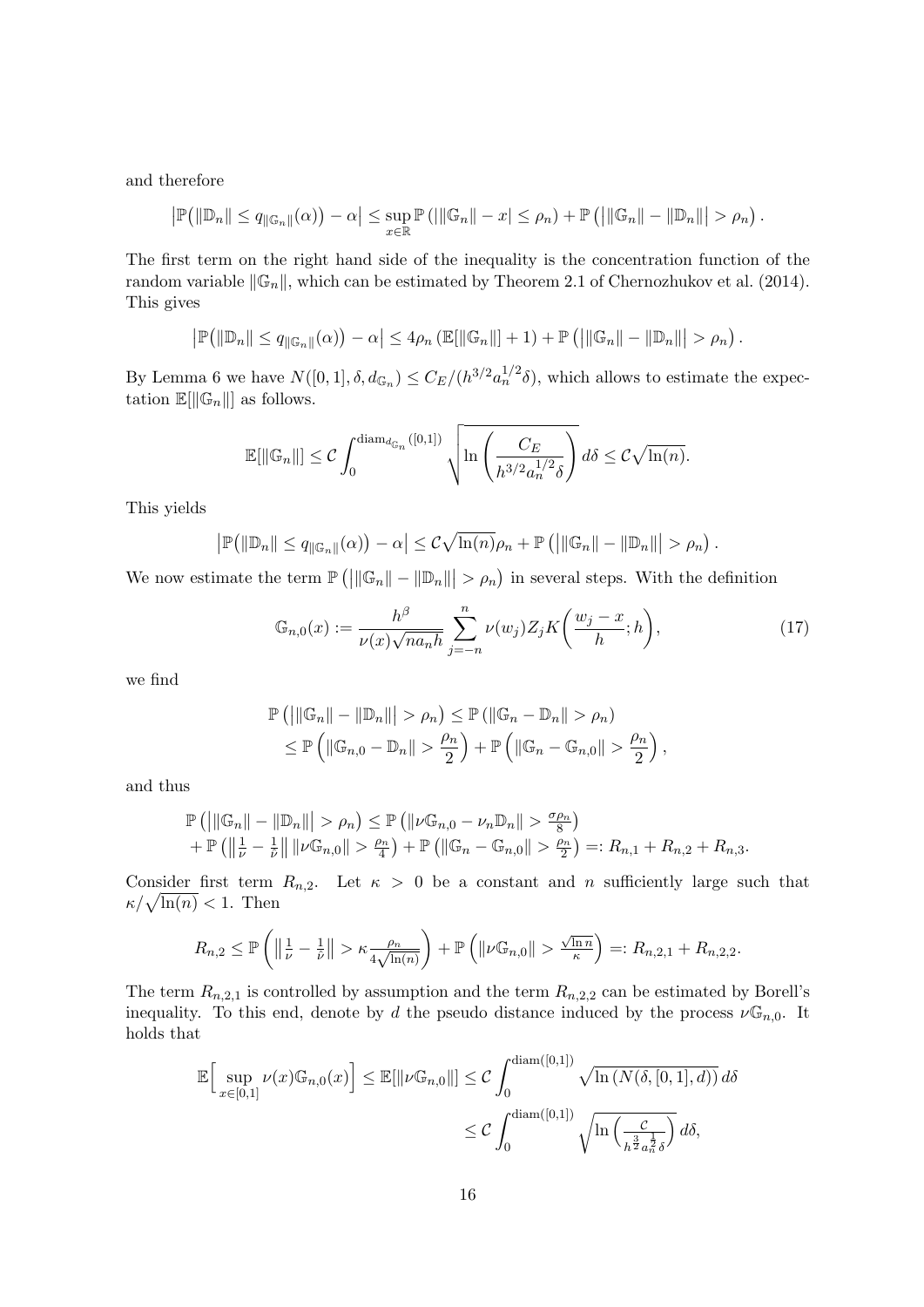and therefore

$$
\left|\mathbb{P}\left(\left\|\mathbb{D}_{n}\right\| \leq q_{\left\|\mathbb{G}_{n}\right\|}(\alpha)\right)-\alpha\right| \leq \sup_{x \in \mathbb{R}} \mathbb{P}\left(\left|\left\|\mathbb{G}_{n}\right\| - x\right| \leq \rho_{n}\right) + \mathbb{P}\left(\left|\left\|\mathbb{G}_{n}\right\| - \left\|\mathbb{D}_{n}\right\|\right| > \rho_{n}\right).
$$

The first term on the right hand side of the inequality is the concentration function of the random variable  $\|\mathbb{G}_n\|$ , which can be estimated by Theorem 2.1 of [Chernozhukov et al.](#page-22-2) [\(2014\)](#page-22-2). This gives

$$
\left|\mathbb{P}\left(\left\|\mathbb{D}_{n}\right\| \leq q_{\left\|\mathbb{G}_{n}\right\|}(\alpha)\right)-\alpha\right| \leq 4\rho_{n}\left(\mathbb{E}[\left\|\mathbb{G}_{n}\right\|]+1\right)+\mathbb{P}\left(\left|\left\|\mathbb{G}_{n}\right\|-\left\|\mathbb{D}_{n}\right\|\right|>\rho_{n}\right).
$$

By Lemma [6](#page-14-1) we have  $N([0,1], \delta, d_{\mathbb{G}_n}) \leq C_E/(h^{3/2} a_n^{1/2} \delta)$ , which allows to estimate the expectation  $\mathbb{E}[\|\mathbb{G}_n\|]$  as follows.

$$
\mathbb{E}[\|\mathbb{G}_n\|] \leq C \int_0^{\text{diam}_{d_{\mathbb{G}_n}}([0,1])} \sqrt{\ln\left(\frac{C_E}{h^{3/2} a_n^{1/2} \delta}\right)} d\delta \leq C \sqrt{\ln(n)}.
$$

This yields

$$
\left|\mathbb{P}\left(\left\|\mathbb{D}_{n}\right\| \leq q_{\left\|\mathbb{G}_{n}\right\|}(\alpha)\right)-\alpha\right| \leq C\sqrt{\ln(n)}\rho_{n}+\mathbb{P}\left(\left|\left\|\mathbb{G}_{n}\right\|-\left\|\mathbb{D}_{n}\right\|\right| > \rho_{n}\right).
$$

We now estimate the term  $\mathbb{P}(|\|\mathbb{G}_n\| - \|\mathbb{D}_n\|| > \rho_n)$  in several steps. With the definition

$$
\mathbb{G}_{n,0}(x) := \frac{h^{\beta}}{\nu(x)\sqrt{na_n h}} \sum_{j=-n}^{n} \nu(w_j) Z_j K\left(\frac{w_j - x}{h}; h\right),\tag{17}
$$

we find

$$
\mathbb{P}\left(\left|\|\mathbb{G}_n\|-\|\mathbb{D}_n\|\right| > \rho_n\right) \leq \mathbb{P}\left(\left|\mathbb{G}_n - \mathbb{D}_n\right\| > \rho_n\right) \leq \mathbb{P}\left(\left|\mathbb{G}_{n,0} - \mathbb{D}_n\right\| > \frac{\rho_n}{2}\right) + \mathbb{P}\left(\left|\mathbb{G}_n - \mathbb{G}_{n,0}\right\| > \frac{\rho_n}{2}\right),
$$

and thus

$$
\mathbb{P}(|\|\mathbb{G}_n\| - \|\mathbb{D}_n\|| > \rho_n) \leq \mathbb{P}(|\nu \mathbb{G}_{n,0} - \nu_n \mathbb{D}_n|| > \frac{\sigma \rho_n}{8}) + \mathbb{P}(|\frac{1}{\nu} - \frac{1}{\tilde{\nu}}| \|\nu \mathbb{G}_{n,0}\| > \frac{\rho_n}{4}) + \mathbb{P}(|\mathbb{G}_n - \mathbb{G}_{n,0}\| > \frac{\rho_n}{2}) =: R_{n,1} + R_{n,2} + R_{n,3}.
$$

Consider first term  $R_{n,2}$ . Let  $\kappa > 0$  be a constant and n sufficiently large such that  $\kappa/\sqrt{\ln(n)} < 1$ . Then

$$
R_{n,2} \leq \mathbb{P}\left(\left\|\frac{1}{\nu}-\frac{1}{\hat{\nu}}\right\| > \kappa \frac{\rho_n}{4\sqrt{\ln(n)}}\right) + \mathbb{P}\left(\left\|\nu \mathbb{G}_{n,0}\right\| > \frac{\sqrt{\ln n}}{\kappa}\right) =: R_{n,2,1} + R_{n,2,2}.
$$

The term  $R_{n,2,1}$  is controlled by assumption and the term  $R_{n,2,2}$  can be estimated by Borell's inequality. To this end, denote by d the pseudo distance induced by the process  $\nu \mathbb{G}_{n,0}$ . It holds that

$$
\mathbb{E}\Big[\sup_{x\in[0,1]}\nu(x)\mathbb{G}_{n,0}(x)\Big]\leq \mathbb{E}[\|\nu\mathbb{G}_{n,0}\|]\leq C\int_0^{\text{diam}([0,1])}\sqrt{\ln\big(N(\delta,[0,1],d)\big)}\,d\delta
$$

$$
\leq C\int_0^{\text{diam}([0,1])}\sqrt{\ln\Big(\frac{c}{h^{\frac{3}{2}}a_n^{\frac{1}{2}}\delta}\Big)}\,d\delta,
$$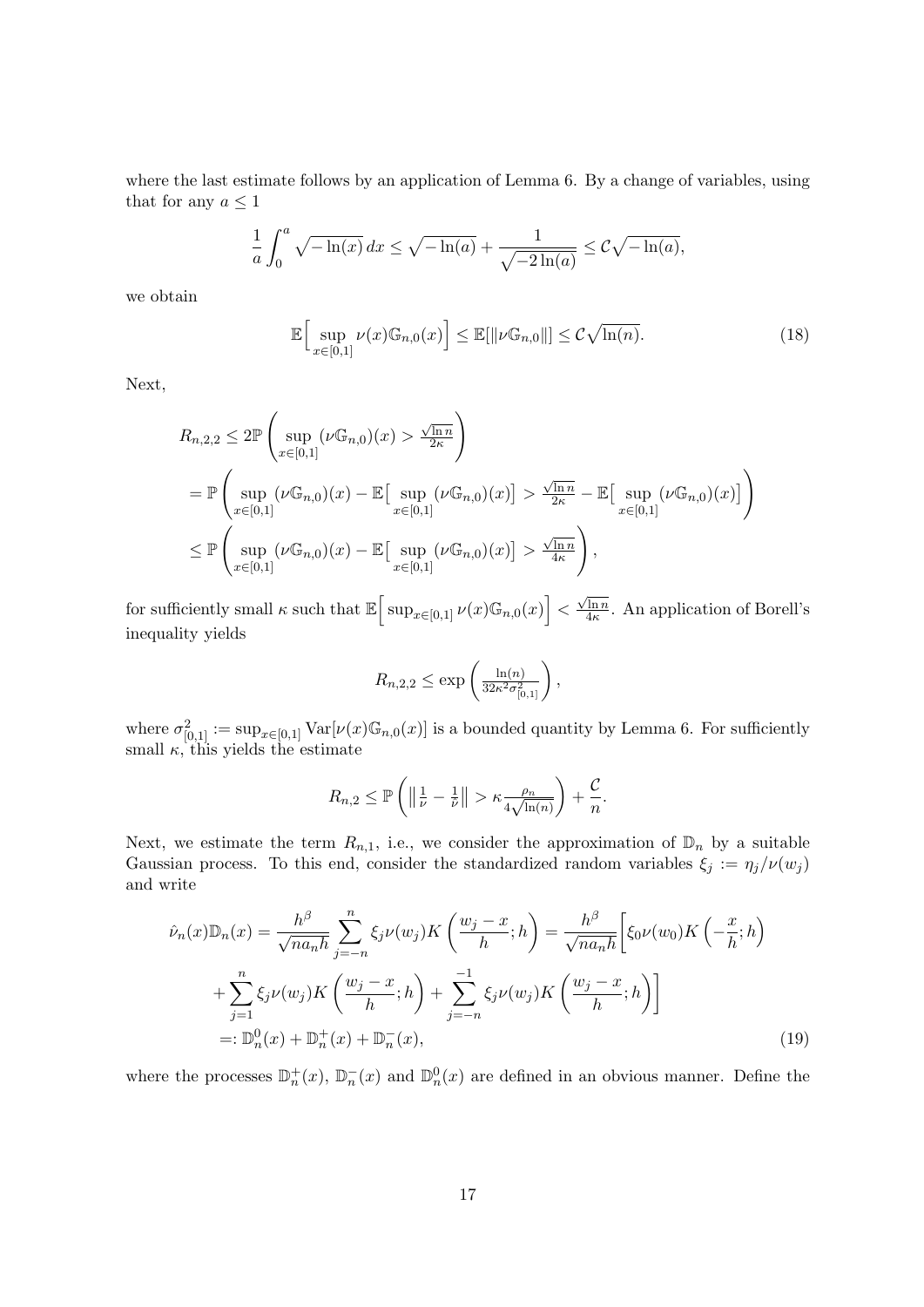where the last estimate follows by an application of Lemma [6.](#page-14-1) By a change of variables, using that for any  $a \leq 1$ 

$$
\frac{1}{a} \int_0^a \sqrt{-\ln(x)} \, dx \le \sqrt{-\ln(a)} + \frac{1}{\sqrt{-2\ln(a)}} \le C\sqrt{-\ln(a)},
$$

we obtain

$$
\mathbb{E}\Big[\sup_{x\in[0,1]}\nu(x)\mathbb{G}_{n,0}(x)\Big]\leq \mathbb{E}[\|\nu\mathbb{G}_{n,0}\|]\leq C\sqrt{\ln(n)}.\tag{18}
$$

Next,

$$
R_{n,2,2} \leq 2\mathbb{P}\left(\sup_{x\in[0,1]}(\nu\mathbb{G}_{n,0})(x) > \frac{\sqrt{\ln n}}{2\kappa}\right)
$$
  
=  $\mathbb{P}\left(\sup_{x\in[0,1]}(\nu\mathbb{G}_{n,0})(x) - \mathbb{E}\left[\sup_{x\in[0,1]}(\nu\mathbb{G}_{n,0})(x)\right] > \frac{\sqrt{\ln n}}{2\kappa} - \mathbb{E}\left[\sup_{x\in[0,1]}(\nu\mathbb{G}_{n,0})(x)\right]\right)$   
 $\leq \mathbb{P}\left(\sup_{x\in[0,1]}(\nu\mathbb{G}_{n,0})(x) - \mathbb{E}\left[\sup_{x\in[0,1]}(\nu\mathbb{G}_{n,0})(x)\right] > \frac{\sqrt{\ln n}}{4\kappa}\right),$ 

for sufficiently small  $\kappa$  such that  $\mathbb{E} \Big[ \sup_{x \in [0,1]} \nu(x) \mathbb{G}_{n,0}(x) \Big] <$  $\sqrt{\ln n}$  $\frac{\ln n}{4\kappa}$ . An application of Borell's inequality yields

$$
R_{n,2,2} \le \exp\left(\frac{\ln(n)}{32\kappa^2 \sigma_{[0,1]}^2}\right),\,
$$

where  $\sigma_{[0,1]}^2 := \sup_{x \in [0,1]} \text{Var}[\nu(x) \mathbb{G}_{n,0}(x)]$  is a bounded quantity by Lemma [6.](#page-14-1) For sufficiently small  $\kappa$ , this yields the estimate

<span id="page-16-0"></span>
$$
R_{n,2} \leq \mathbb{P}\left(\left\|\frac{1}{\nu}-\frac{1}{\hat{\nu}}\right\| > \kappa \frac{\rho_n}{4\sqrt{\ln(n)}}\right) + \frac{\mathcal{C}}{n}.
$$

Next, we estimate the term  $R_{n,1}$ , i.e., we consider the approximation of  $\mathbb{D}_n$  by a suitable Gaussian process. To this end, consider the standardized random variables  $\xi_j := \eta_j/\nu(w_j)$ and write

$$
\hat{\nu}_n(x)\mathbb{D}_n(x) = \frac{h^{\beta}}{\sqrt{na_n h}} \sum_{j=-n}^n \xi_j \nu(w_j) K\left(\frac{w_j - x}{h}; h\right) = \frac{h^{\beta}}{\sqrt{na_n h}} \left[\xi_0 \nu(w_0) K\left(-\frac{x}{h}; h\right) + \sum_{j=1}^n \xi_j \nu(w_j) K\left(\frac{w_j - x}{h}; h\right) + \sum_{j=-n}^{-1} \xi_j \nu(w_j) K\left(\frac{w_j - x}{h}; h\right)\right]
$$
\n
$$
=:\mathbb{D}_n^0(x) + \mathbb{D}_n^+(x) + \mathbb{D}_n^-(x),\tag{19}
$$

where the processes  $\mathbb{D}_n^+(x)$ ,  $\mathbb{D}_n^-(x)$  and  $\mathbb{D}_n^0(x)$  are defined in an obvious manner. Define the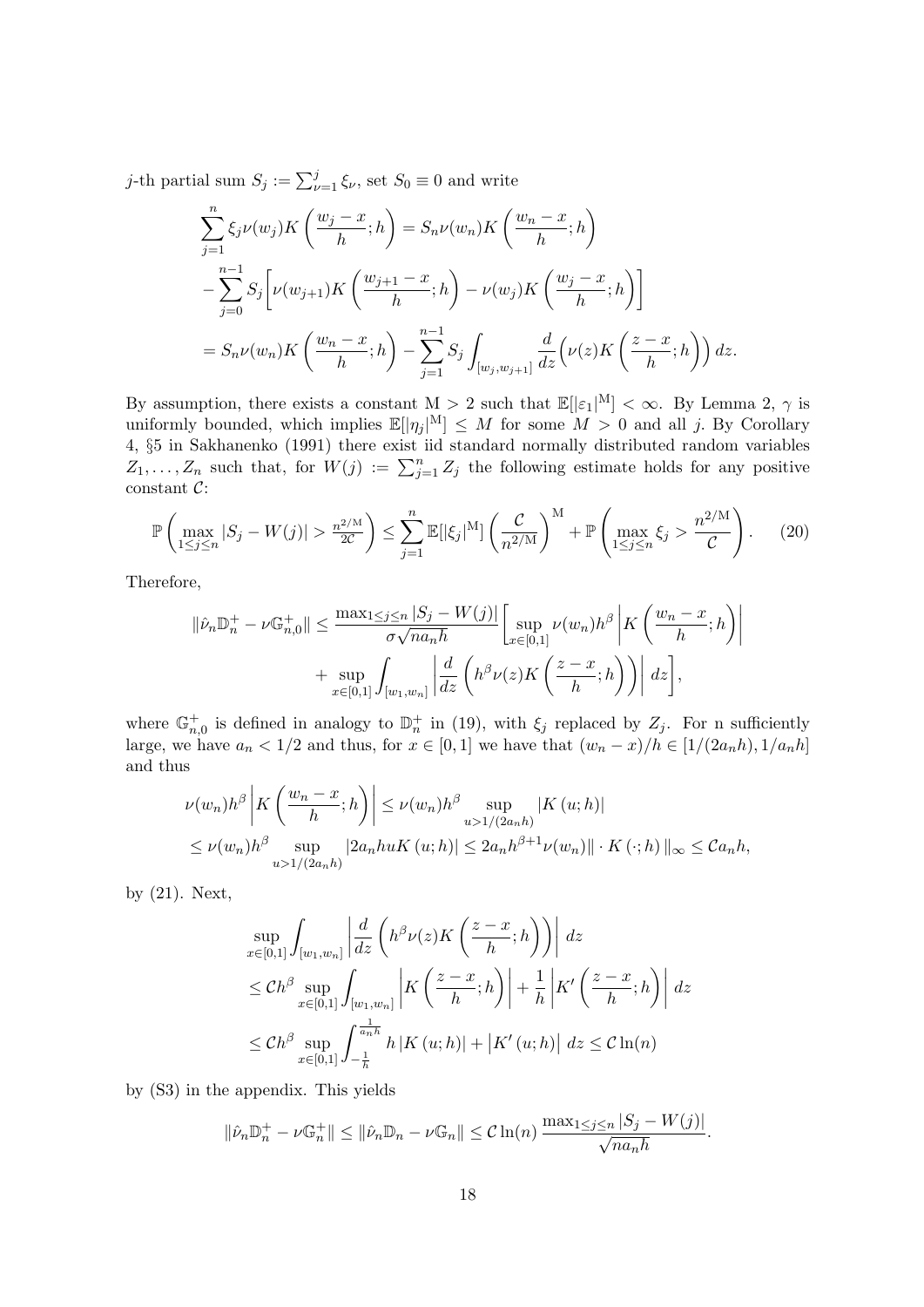*j*-th partial sum  $S_j := \sum_{\nu=1}^j \xi_{\nu}$ , set  $S_0 \equiv 0$  and write

$$
\sum_{j=1}^{n} \xi_j \nu(w_j) K\left(\frac{w_j - x}{h}; h\right) = S_n \nu(w_n) K\left(\frac{w_n - x}{h}; h\right)
$$
  

$$
- \sum_{j=0}^{n-1} S_j \left[ \nu(w_{j+1}) K\left(\frac{w_{j+1} - x}{h}; h\right) - \nu(w_j) K\left(\frac{w_j - x}{h}; h\right) \right]
$$
  

$$
= S_n \nu(w_n) K\left(\frac{w_n - x}{h}; h\right) - \sum_{j=1}^{n-1} S_j \int_{[w_j, w_{j+1}]} \frac{d}{dz} \left(\nu(z) K\left(\frac{z - x}{h}; h\right)\right) dz.
$$

By assumption, there exists a constant  $M > 2$  such that  $\mathbb{E}[|\varepsilon_1|^M] < \infty$ . By Lemma [2,](#page-13-4)  $\gamma$  is uniformly bounded, which implies  $\mathbb{E}[|\eta_j|^M] \leq M$  for some  $M > 0$  and all j. By Corollary 4, §5 in [Sakhanenko](#page-23-13) [\(1991\)](#page-23-13) there exist iid standard normally distributed random variables  $Z_1, \ldots, Z_n$  such that, for  $W(j) := \sum_{j=1}^n Z_j$  the following estimate holds for any positive constant C:

$$
\mathbb{P}\left(\max_{1\leq j\leq n}|S_j - W(j)| > \frac{n^{2/M}}{2C}\right) \leq \sum_{j=1}^n \mathbb{E}[\left|\xi_j\right]^M] \left(\frac{\mathcal{C}}{n^{2/M}}\right)^M + \mathbb{P}\left(\max_{1\leq j\leq n}\xi_j > \frac{n^{2/M}}{\mathcal{C}}\right). \tag{20}
$$

Therefore,

<span id="page-17-0"></span>
$$
\|\hat{\nu}_n\mathbb{D}_n^+ - \nu \mathbb{G}_{n,0}^+ \| \le \frac{\max_{1 \le j \le n} |S_j - W(j)|}{\sigma \sqrt{na_n h}} \left[ \sup_{x \in [0,1]} \nu(w_n) h^{\beta} \middle| K\left(\frac{w_n - x}{h}; h\right) \right]
$$

$$
+ \sup_{x \in [0,1]} \int_{[w_1, w_n]} \left| \frac{d}{dz} \left( h^{\beta} \nu(z) K\left(\frac{z - x}{h}; h\right) \right) \right| dz \right],
$$

where  $\mathbb{G}_{n,0}^+$  is defined in analogy to  $\mathbb{D}_n^+$  in [\(19\)](#page-16-0), with  $\xi_j$  replaced by  $Z_j$ . For n sufficiently large, we have  $a_n < 1/2$  and thus, for  $x \in [0,1]$  we have that  $(w_n - x)/h \in [1/(2a_n h), 1/a_n h]$ and thus

$$
\nu(w_n)h^{\beta}\left|K\left(\frac{w_n-x}{h};h\right)\right| \leq \nu(w_n)h^{\beta}\sup_{u>1/(2a_nh)}|K(u;h)|
$$
  
\n
$$
\leq \nu(w_n)h^{\beta}\sup_{u>1/(2a_nh)}|2a_nhuK(u;h)| \leq 2a_nh^{\beta+1}\nu(w_n)\|\cdot K(\cdot;h)\|_{\infty} \leq Ca_nh,
$$

by [\(21\)](#page-21-0). Next,

$$
\sup_{x \in [0,1]} \int_{[w_1, w_n]} \left| \frac{d}{dz} \left( h^{\beta} \nu(z) K\left( \frac{z-x}{h}; h \right) \right) \right| dz
$$
\n
$$
\leq Ch^{\beta} \sup_{x \in [0,1]} \int_{[w_1, w_n]} \left| K\left( \frac{z-x}{h}; h \right) \right| + \frac{1}{h} \left| K'\left( \frac{z-x}{h}; h \right) \right| dz
$$
\n
$$
\leq Ch^{\beta} \sup_{x \in [0,1]} \int_{-\frac{1}{h}}^{-\frac{1}{h}} h \left| K(u; h) \right| + \left| K'(u; h) \right| dz \leq C \ln(n)
$$

by [\(S3\)](#page-24-1) in the appendix. This yields

$$
\|\hat{\nu}_n \mathbb{D}_n^+ - \nu \mathbb{G}_n^+\| \le \|\hat{\nu}_n \mathbb{D}_n - \nu \mathbb{G}_n\| \le C \ln(n) \frac{\max_{1 \le j \le n} |S_j - W(j)|}{\sqrt{n a_n h}}.
$$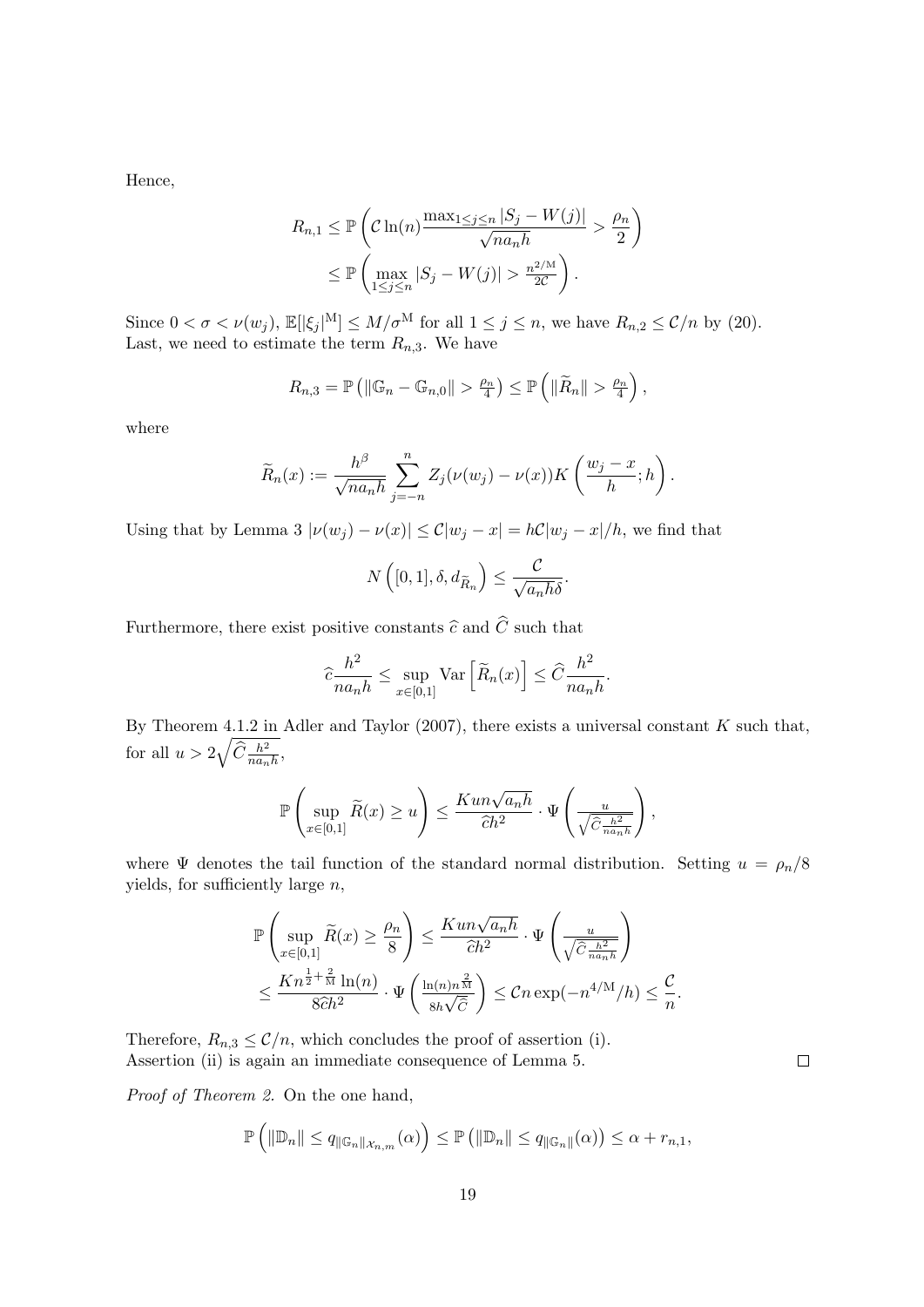Hence,

$$
R_{n,1} \leq \mathbb{P}\left(\mathcal{C}\ln(n)\frac{\max_{1\leq j\leq n}|S_j - W(j)|}{\sqrt{na_n h}} > \frac{\rho_n}{2}\right)
$$

$$
\leq \mathbb{P}\left(\max_{1\leq j\leq n}|S_j - W(j)| > \frac{n^{2/M}}{2C}\right).
$$

Since  $0 < \sigma < \nu(w_j)$ ,  $\mathbb{E}[|\xi_j|^M] \leq M/\sigma^M$  for all  $1 \leq j \leq n$ , we have  $R_{n,2} \leq C/n$  by [\(20\)](#page-17-0). Last, we need to estimate the term  $R_{n,3}$ . We have

$$
R_{n,3} = \mathbb{P}\left(\left\|\mathbb{G}_n - \mathbb{G}_{n,0}\right\| > \frac{\rho_n}{4}\right) \leq \mathbb{P}\left(\left\|\widetilde{R}_n\right\| > \frac{\rho_n}{4}\right),
$$

where

$$
\widetilde{R}_n(x) := \frac{h^{\beta}}{\sqrt{na_n h}} \sum_{j=-n}^n Z_j(\nu(w_j) - \nu(x)) K\left(\frac{w_j - x}{h}; h\right).
$$

Using that by Lemma [3](#page-13-5)  $|\nu(w_j) - \nu(x)| \leq C|w_j - x| = hC|w_j - x|/h$ , we find that

$$
N\left([0,1],\delta,d_{\widetilde{R}_n}\right) \leq \frac{\mathcal{C}}{\sqrt{a_n h\delta}}.
$$

Furthermore, there exist positive constants  $\widehat{c}$  and  $\widehat{C}$  such that

$$
\widehat{c}\frac{h^2}{na_nh} \le \sup_{x\in[0,1]} \text{Var}\left[\widetilde{R}_n(x)\right] \le \widehat{C}\frac{h^2}{na_nh}.
$$

By Theorem 4.1.2 in [Adler and Taylor](#page-22-15) [\(2007\)](#page-22-15), there exists a universal constant  $K$  such that, for all  $u > 2\sqrt{\widehat{C} \frac{h^2}{na_n h}},$ 

$$
\mathbb{P}\left(\sup_{x\in[0,1]}\widetilde{R}(x)\geq u\right)\leq \frac{Kun\sqrt{a_n h}}{\widehat{c}h^2}\cdot \Psi\left(\frac{u}{\sqrt{\widehat{C}\frac{h^2}{nanh}}}\right),
$$

where  $\Psi$  denotes the tail function of the standard normal distribution. Setting  $u = \rho_n/8$ yields, for sufficiently large  $n$ ,

$$
\mathbb{P}\left(\sup_{x\in[0,1]}\widetilde{R}(x)\geq\frac{\rho_n}{8}\right)\leq\frac{Kun\sqrt{a_n h}}{\widehat{c}h^2}\cdot\Psi\left(\frac{u}{\sqrt{\widehat{C}\frac{h^2}{n a_n h}}}\right)
$$

$$
\leq\frac{Kn^{\frac{1}{2}+\frac{2}{M}}\ln(n)}{8\widehat{c}h^2}\cdot\Psi\left(\frac{\ln(n)n^{\frac{2}{M}}}{8h\sqrt{\widehat{C}}}\right)\leq Cn\exp(-n^{4/M}/h)\leq\frac{\mathcal{C}}{n}.
$$

Therefore,  $R_{n,3} \leq \mathcal{C}/n$ , which concludes the proof of assertion (i). Assertion (ii) is again an immediate consequence of Lemma [5.](#page-13-2)

 $\Box$ 

Proof of Theorem [2.](#page-7-2) On the one hand,

$$
\mathbb{P}\left(\|\mathbb{D}_n\| \leq q_{\|\mathbb{G}_n\|_{\mathcal{X}_{n,m}}}(\alpha)\right) \leq \mathbb{P}\left(\|\mathbb{D}_n\| \leq q_{\|\mathbb{G}_n\|}(\alpha)\right) \leq \alpha + r_{n,1},
$$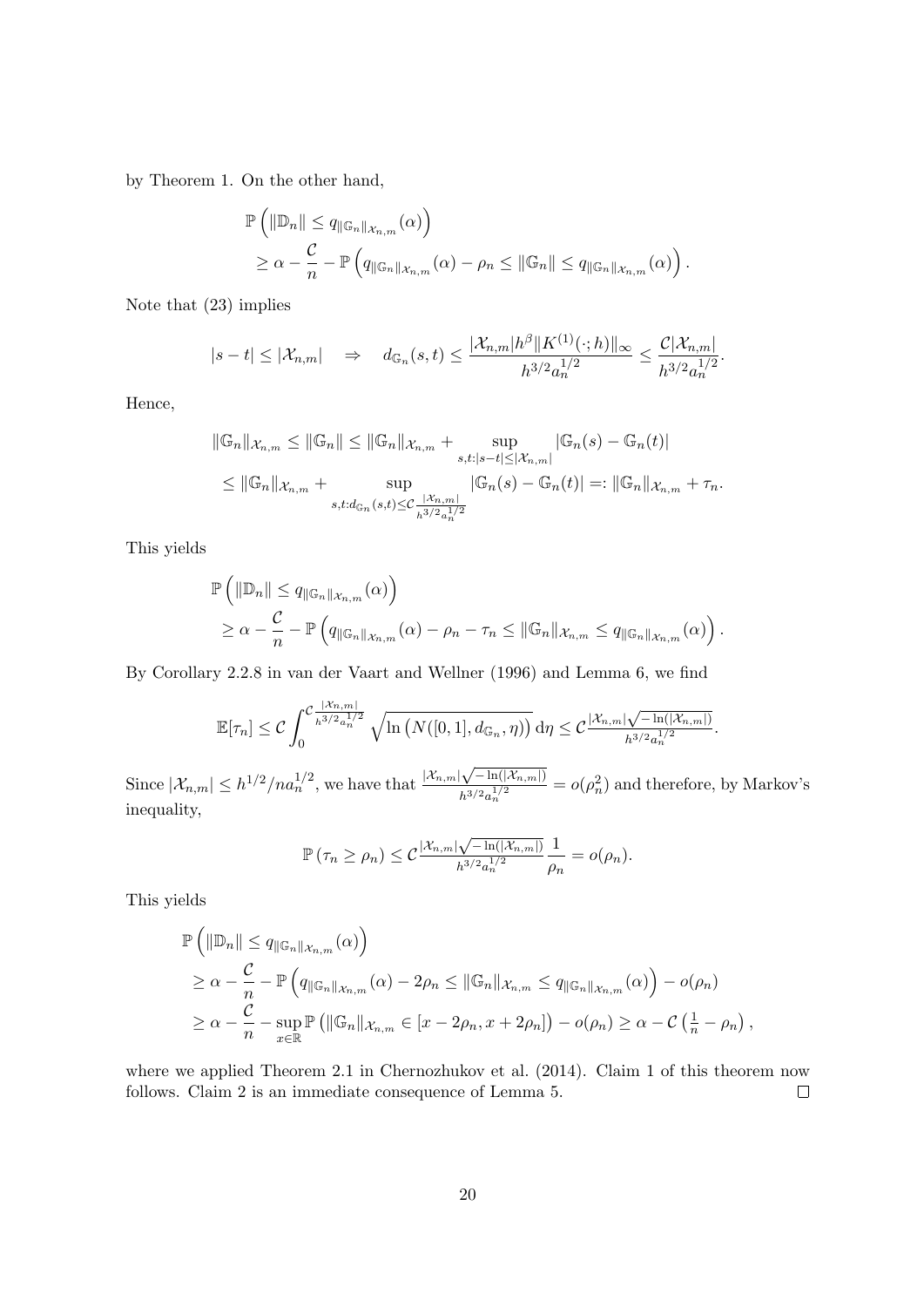by Theorem [1.](#page-6-0) On the other hand,

$$
\mathbb{P}\left(\|\mathbb{D}_{n}\| \leq q_{\|\mathbb{G}_{n}\|_{\mathcal{X}_{n,m}}}(\alpha)\right) \geq \alpha - \frac{c}{n} - \mathbb{P}\left(q_{\|\mathbb{G}_{n}\|_{\mathcal{X}_{n,m}}}(\alpha) - \rho_{n} \leq \|\mathbb{G}_{n}\| \leq q_{\|\mathbb{G}_{n}\|_{\mathcal{X}_{n,m}}}(\alpha)\right).
$$

Note that [\(23\)](#page-21-1) implies

$$
|s-t| \leq |\mathcal{X}_{n,m}| \Rightarrow d_{\mathbb{G}_n}(s,t) \leq \frac{|\mathcal{X}_{n,m}|h^{\beta}||K^{(1)}(\cdot;h)||_{\infty}}{h^{3/2}a_n^{1/2}} \leq \frac{\mathcal{C}|\mathcal{X}_{n,m}|}{h^{3/2}a_n^{1/2}}.
$$

Hence,

$$
\|\mathbb{G}_n\|_{\mathcal{X}_{n,m}} \le \|\mathbb{G}_n\| \le \|\mathbb{G}_n\|_{\mathcal{X}_{n,m}} + \sup_{s,t:|s-t| \le |\mathcal{X}_{n,m}|} |\mathbb{G}_n(s) - \mathbb{G}_n(t)|
$$
  

$$
\le \|\mathbb{G}_n\|_{\mathcal{X}_{n,m}} + \sup_{s,t: d_{\mathbb{G}_n}(s,t) \le C} \frac{|\mathcal{X}_{n,m}|}{\frac{|\mathbb{G}_n(s) - \mathbb{G}_n(t)|}{\frac{|\mathcal{X}_{n,m}|^2}{\frac{1}{2}}}} |\mathbb{G}_n(s) - \mathbb{G}_n(t)| =: \|\mathbb{G}_n\|_{\mathcal{X}_{n,m}} + \tau_n.
$$

This yields

$$
\mathbb{P}\left(\|\mathbb{D}_{n}\| \leq q_{\|\mathbb{G}_{n}\|_{\mathcal{X}_{n,m}}}(\alpha)\right) \geq \alpha - \frac{\mathcal{C}}{n} - \mathbb{P}\left(q_{\|\mathbb{G}_{n}\|_{\mathcal{X}_{n,m}}}(\alpha) - \rho_{n} - \tau_{n} \leq \|\mathbb{G}_{n}\|_{\mathcal{X}_{n,m}} \leq q_{\|\mathbb{G}_{n}\|_{\mathcal{X}_{n,m}}}(\alpha)\right).
$$

By Corollary 2.2.8 in [van der Vaart and Wellner](#page-23-14) [\(1996\)](#page-23-14) and Lemma [6,](#page-14-1) we find

$$
\mathbb{E}[\tau_n] \leq C \int_0^{\mathcal{C}} \frac{|\mathcal{X}_{n,m}|}{h^{3/2} a_n^{1/2}} \sqrt{\ln\left(N([0,1],d_{\mathbb{G}_n},\eta)\right)} d\eta \leq C \frac{|\mathcal{X}_{n,m}|\sqrt{-\ln(|\mathcal{X}_{n,m}|)}}{h^{3/2} a_n^{1/2}}.
$$

Since  $|\mathcal{X}_{n,m}| \leq h^{1/2}/n a_n^{1/2}$ , we have that  $\frac{|\mathcal{X}_{n,m}|}{n}$  $\sqrt{-\ln(|\mathcal{X}_{n,m}|)}$  $\frac{|\mathcal{N}-\ln(|\mathcal{A}_{n,m}|)}{h^{3/2}a_n^{1/2}}=o(\rho_n^2)$  and therefore, by Markov's inequality,

$$
\mathbb{P}(\tau_n \geq \rho_n) \leq C \frac{|\mathcal{X}_{n,m}|\sqrt{-\ln(|\mathcal{X}_{n,m}|)}}{h^{3/2} a_n^{1/2}} \frac{1}{\rho_n} = o(\rho_n).
$$

This yields

$$
\mathbb{P}\left(\|\mathbb{D}_{n}\| \leq q_{\|\mathbb{G}_{n}\|_{\mathcal{X}_{n,m}}(\alpha)}\right) \n\geq \alpha - \frac{\mathcal{C}}{n} - \mathbb{P}\left(q_{\|\mathbb{G}_{n}\|_{\mathcal{X}_{n,m}}(\alpha)} - 2\rho_{n} \leq \|\mathbb{G}_{n}\|_{\mathcal{X}_{n,m}} \leq q_{\|\mathbb{G}_{n}\|_{\mathcal{X}_{n,m}}(\alpha)}\right) - o(\rho_{n}) \n\geq \alpha - \frac{\mathcal{C}}{n} - \sup_{x \in \mathbb{R}} \mathbb{P}\left(\|\mathbb{G}_{n}\|_{\mathcal{X}_{n,m}} \in [x - 2\rho_{n}, x + 2\rho_{n}]\right) - o(\rho_{n}) \geq \alpha - \mathcal{C}\left(\frac{1}{n} - \rho_{n}\right),
$$

where we applied Theorem 2.1 in [Chernozhukov et al.](#page-22-2) [\(2014\)](#page-22-2). Claim 1 of this theorem now follows. Claim 2 is an immediate consequence of Lemma [5.](#page-13-2)  $\Box$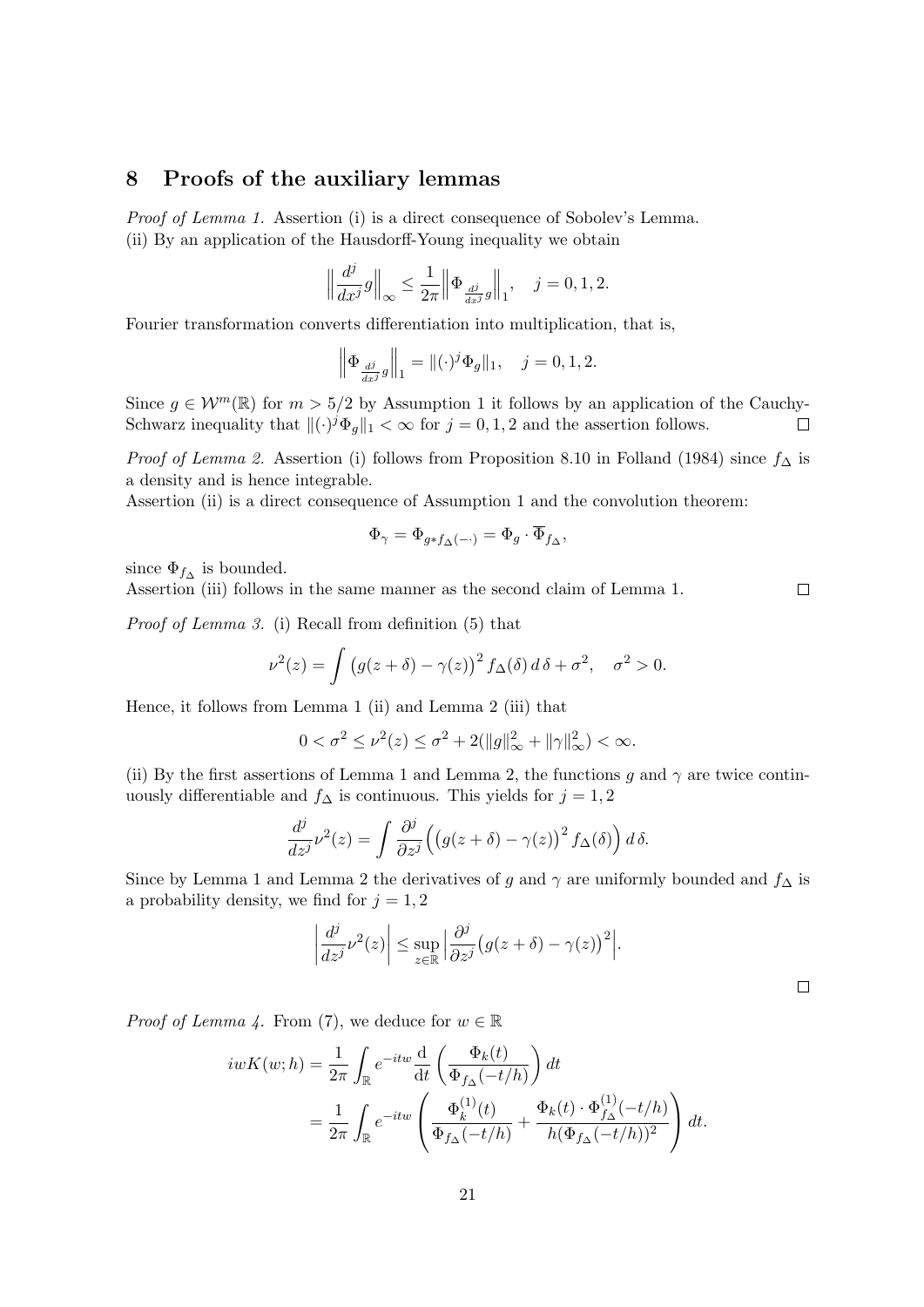## <span id="page-20-0"></span>8 Proofs of the auxiliary lemmas

Proof of Lemma [1.](#page-13-0) Assertion (i) is a direct consequence of Sobolev's Lemma. (ii) By an application of the Hausdorff-Young inequality we obtain

$$
\left\|\frac{d^j}{dx^j}g\right\|_{\infty}\leq\frac{1}{2\pi}\left\|\Phi_{\frac{d^j}{dx^j}g}\right\|_{1},\quad j=0,1,2.
$$

Fourier transformation converts differentiation into multiplication, that is,

$$
\left\| \Phi_{\frac{dj}{dx^j}g} \right\|_1 = \| (\cdot)^j \Phi_g \|_1, \quad j = 0, 1, 2.
$$

Since  $g \in \mathcal{W}^m(\mathbb{R})$  for  $m > 5/2$  by Assumption [1](#page-4-2) it follows by an application of the Cauchy-Schwarz inequality that  $\|(\cdot)^j \Phi_{g}\|_1 < \infty$  for  $j = 0, 1, 2$  and the assertion follows.  $\Box$ 

*Proof of Lemma [2.](#page-13-4)* Assertion (i) follows from Proposition 8.10 in [Folland](#page-22-16) [\(1984\)](#page-22-16) since  $f_{\Delta}$  is a density and is hence integrable.

Assertion (ii) is a direct consequence of Assumption [1](#page-4-2) and the convolution theorem:

$$
\Phi_\gamma = \Phi_{g * f_\Delta(-\cdot)} = \Phi_g \cdot \overline{\Phi}_{f_\Delta},
$$

since  $\Phi_{f_{\Delta}}$  is bounded.

Assertion (iii) follows in the same manner as the second claim of Lemma [1.](#page-13-0)

Proof of Lemma [3.](#page-13-5) (i) Recall from definition [\(5\)](#page-3-2) that

$$
\nu^{2}(z) = \int (g(z+\delta) - \gamma(z))^{2} f_{\Delta}(\delta) d\delta + \sigma^{2}, \quad \sigma^{2} > 0.
$$

Hence, it follows from Lemma [1](#page-13-0) (ii) and Lemma [2](#page-13-4) (iii) that

$$
0 < \sigma^2 \le \nu^2(z) \le \sigma^2 + 2(||g||^2_{\infty} + ||\gamma||^2_{\infty}) < \infty.
$$

(ii) By the first assertions of Lemma [1](#page-13-0) and Lemma [2,](#page-13-4) the functions g and  $\gamma$  are twice continuously differentiable and  $f_$ Delta is continuous. This yields for  $j = 1, 2$ 

$$
\frac{d^j}{dz^j}\nu^2(z) = \int \frac{\partial^j}{\partial z^j} \Big( \big(g(z+\delta) - \gamma(z)\big)^2 f_\Delta(\delta) \Big) d\,\delta.
$$

Since by Lemma [1](#page-13-0) and Lemma [2](#page-13-4) the derivatives of g and  $\gamma$  are uniformly bounded and  $f_{\Delta}$  is a probability density, we find for  $j = 1, 2$ 

$$
\left|\frac{d^j}{dz^j}\nu^2(z)\right| \leq \sup_{z\in\mathbb{R}} \left|\frac{\partial^j}{\partial z^j}\big(g(z+\delta)-\gamma(z)\big)^2\right|.
$$

 $\Box$ 

*Proof of Lemma [4.](#page-13-3)* From [\(7\)](#page-4-3), we deduce for  $w \in \mathbb{R}$ 

$$
iwK(w; h) = \frac{1}{2\pi} \int_{\mathbb{R}} e^{-itw} \frac{d}{dt} \left( \frac{\Phi_k(t)}{\Phi_{f\Delta}(-t/h)} \right) dt
$$
  
= 
$$
\frac{1}{2\pi} \int_{\mathbb{R}} e^{-itw} \left( \frac{\Phi_k^{(1)}(t)}{\Phi_{f\Delta}(-t/h)} + \frac{\Phi_k(t) \cdot \Phi_{f\Delta}^{(1)}(-t/h)}{h(\Phi_{f\Delta}(-t/h))^2} \right) dt.
$$

 $\Box$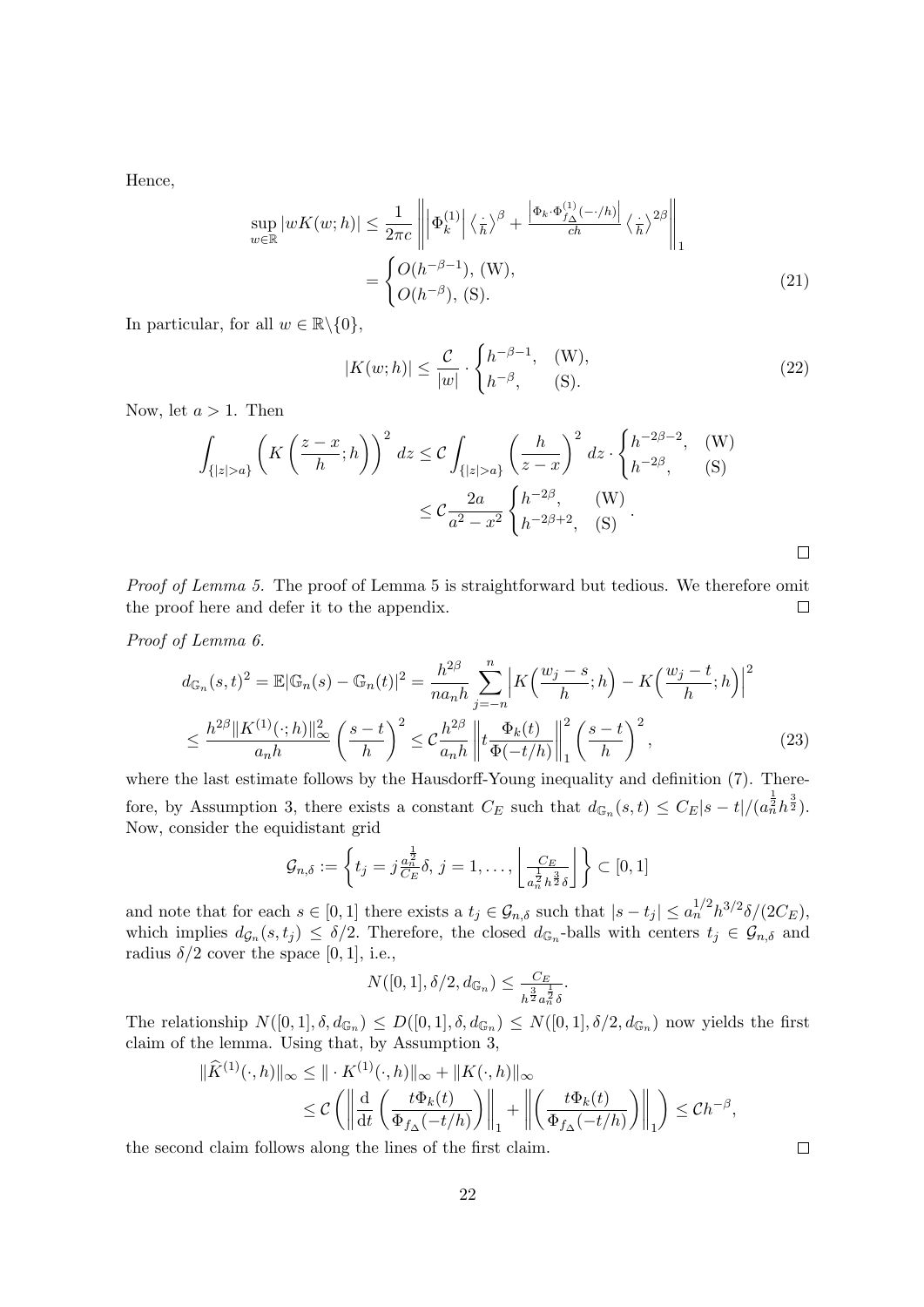Hence,

$$
\sup_{w \in \mathbb{R}} |wK(w; h)| \leq \frac{1}{2\pi c} \left\| \left| \Phi_k^{(1)} \right| \left\langle \frac{\cdot}{h} \right\rangle^\beta + \frac{\left| \Phi_k \cdot \Phi_{f_\Delta}^{(1)}(-/h) \right|}{ch} \left\langle \frac{\cdot}{h} \right\rangle^{2\beta} \right\|_1
$$
\n
$$
= \begin{cases} O(h^{-\beta - 1}), (W), \\ O(h^{-\beta}), (S). \end{cases} \tag{21}
$$

In particular, for all  $w \in \mathbb{R} \backslash \{0\},\$ 

<span id="page-21-0"></span>
$$
|K(w; h)| \leq \frac{\mathcal{C}}{|w|} \cdot \begin{cases} h^{-\beta - 1}, & (W), \\ h^{-\beta}, & (S). \end{cases}
$$
 (22)

Now, let  $a > 1$ . Then

$$
\int_{\{|z|>a\}} \left(K\left(\frac{z-x}{h};h\right)\right)^2 dz \leq C \int_{\{|z|>a\}} \left(\frac{h}{z-x}\right)^2 dz \cdot \begin{cases} h^{-2\beta-2}, & (W) \\ h^{-2\beta}, & (S) \end{cases}
$$

$$
\leq C \frac{2a}{a^2 - x^2} \begin{cases} h^{-2\beta}, & (W) \\ h^{-2\beta+2}, & (S) \end{cases}.
$$

Proof of Lemma [5.](#page-13-2) The proof of Lemma [5](#page-13-2) is straightforward but tedious. We therefore omit the proof here and defer it to the appendix.  $\Box$ 

Proof of Lemma [6.](#page-14-1)

$$
d_{\mathbb{G}_n}(s,t)^2 = \mathbb{E}|\mathbb{G}_n(s) - \mathbb{G}_n(t)|^2 = \frac{h^{2\beta}}{na_n h} \sum_{j=-n}^n \left| K\left(\frac{w_j - s}{h}; h\right) - K\left(\frac{w_j - t}{h}; h\right) \right|^2
$$
  

$$
\leq \frac{h^{2\beta} \| K^{(1)}(\cdot; h) \|_{\infty}^2}{a_n h} \left( \frac{s - t}{h} \right)^2 \leq C \frac{h^{2\beta}}{a_n h} \left\| t \frac{\Phi_k(t)}{\Phi(-t/h)} \right\|_1^2 \left( \frac{s - t}{h} \right)^2,
$$
 (23)

where the last estimate follows by the Hausdorff-Young inequality and definition  $(7)$ . There-fore, by Assumption [3,](#page-5-1) there exists a constant  $C_E$  such that  $d_{\mathbb{G}_n}(s,t) \leq C_E|s-t|/(a_n^{\frac{1}{2}}h^{\frac{3}{2}})$ . Now, consider the equidistant grid

$$
\mathcal{G}_{n,\delta} := \left\{ t_j = j \frac{a_n^{\frac{1}{2}}}{C_E} \delta, j = 1, \dots, \left\lfloor \frac{C_E}{a_n^{\frac{1}{2}} h^{\frac{3}{2}} \delta} \right\rfloor \right\} \subset [0,1]
$$

and note that for each  $s \in [0,1]$  there exists a  $t_j \in \mathcal{G}_{n,\delta}$  such that  $|s-t_j| \leq a_n^{1/2} h^{3/2} \delta / (2C_E)$ , which implies  $d_{\mathcal{G}_n}(s,t_j) \leq \delta/2$ . Therefore, the closed  $d_{\mathbb{G}_n}$ -balls with centers  $t_j \in \mathcal{G}_{n,\delta}$  and radius  $\delta/2$  cover the space [0, 1], i.e.,

$$
N([0,1], \delta/2, d_{\mathbb{G}_n}) \le \frac{C_E}{h^{\frac{3}{2}} a_n^{\frac{1}{2}} \delta}.
$$

The relationship  $N([0,1], \delta, d_{\mathbb{G}_n}) \leq D([0,1], \delta, d_{\mathbb{G}_n}) \leq N([0,1], \delta/2, d_{\mathbb{G}_n})$  now yields the first claim of the lemma. Using that, by Assumption [3,](#page-5-1)

$$
\|\widehat{K}^{(1)}(\cdot,h)\|_{\infty} \leq \|\cdot K^{(1)}(\cdot,h)\|_{\infty} + \|K(\cdot,h)\|_{\infty}
$$
  

$$
\leq C \left( \left\|\frac{d}{dt}\left(\frac{t\Phi_k(t)}{\Phi_{f_{\Delta}}(-t/h)}\right)\right\|_{1} + \left\|\left(\frac{t\Phi_k(t)}{\Phi_{f_{\Delta}}(-t/h)}\right)\right\|_{1}\right) \leq Ch^{-\beta},
$$

the second claim follows along the lines of the first claim.

<span id="page-21-1"></span> $\Box$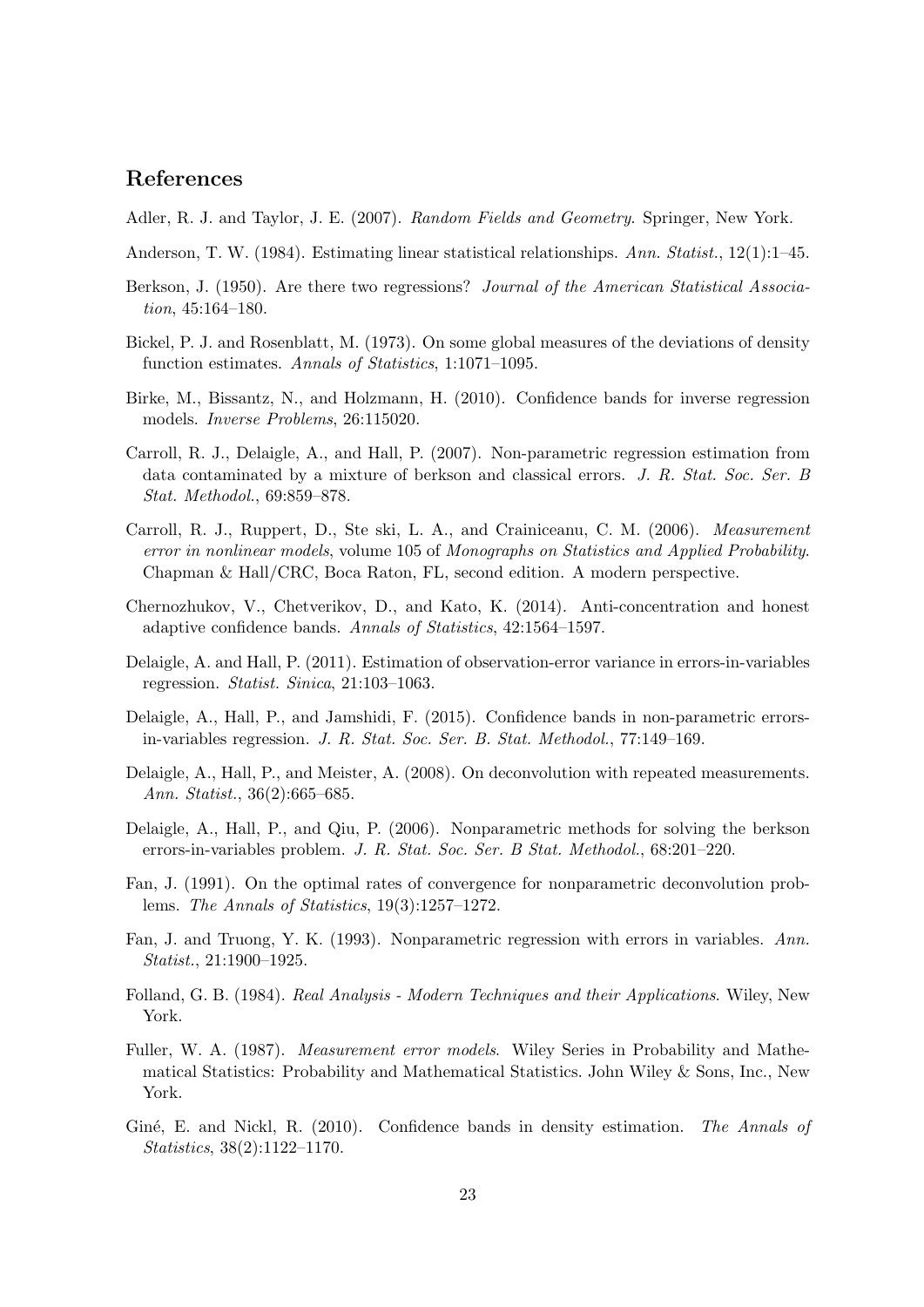# References

- <span id="page-22-15"></span>Adler, R. J. and Taylor, J. E. (2007). Random Fields and Geometry. Springer, New York.
- <span id="page-22-3"></span>Anderson, T. W. (1984). Estimating linear statistical relationships. Ann. Statist., 12(1):1–45.
- <span id="page-22-0"></span>Berkson, J. (1950). Are there two regressions? Journal of the American Statistical Association, 45:164–180.
- <span id="page-22-1"></span>Bickel, P. J. and Rosenblatt, M. (1973). On some global measures of the deviations of density function estimates. Annals of Statistics, 1:1071–1095.
- <span id="page-22-12"></span>Birke, M., Bissantz, N., and Holzmann, H. (2010). Confidence bands for inverse regression models. Inverse Problems, 26:115020.
- <span id="page-22-9"></span>Carroll, R. J., Delaigle, A., and Hall, P. (2007). Non-parametric regression estimation from data contaminated by a mixture of berkson and classical errors. J. R. Stat. Soc. Ser. B Stat. Methodol., 69:859–878.
- <span id="page-22-5"></span>Carroll, R. J., Ruppert, D., Ste ski, L. A., and Crainiceanu, C. M. (2006). Measurement error in nonlinear models, volume 105 of Monographs on Statistics and Applied Probability. Chapman & Hall/CRC, Boca Raton, FL, second edition. A modern perspective.
- <span id="page-22-2"></span>Chernozhukov, V., Chetverikov, D., and Kato, K. (2014). Anti-concentration and honest adaptive confidence bands. Annals of Statistics, 42:1564–1597.
- <span id="page-22-10"></span>Delaigle, A. and Hall, P. (2011). Estimation of observation-error variance in errors-in-variables regression. Statist. Sinica, 21:103–1063.
- <span id="page-22-11"></span>Delaigle, A., Hall, P., and Jamshidi, F. (2015). Confidence bands in non-parametric errorsin-variables regression. J. R. Stat. Soc. Ser. B. Stat. Methodol., 77:149–169.
- <span id="page-22-8"></span>Delaigle, A., Hall, P., and Meister, A. (2008). On deconvolution with repeated measurements. Ann. Statist., 36(2):665–685.
- <span id="page-22-7"></span>Delaigle, A., Hall, P., and Qiu, P. (2006). Nonparametric methods for solving the berkson errors-in-variables problem. J. R. Stat. Soc. Ser. B Stat. Methodol., 68:201–220.
- <span id="page-22-13"></span>Fan, J. (1991). On the optimal rates of convergence for nonparametric deconvolution problems. The Annals of Statistics, 19(3):1257–1272.
- <span id="page-22-6"></span>Fan, J. and Truong, Y. K. (1993). Nonparametric regression with errors in variables. Ann. Statist., 21:1900–1925.
- <span id="page-22-16"></span>Folland, G. B. (1984). Real Analysis - Modern Techniques and their Applications. Wiley, New York.
- <span id="page-22-4"></span>Fuller, W. A. (1987). Measurement error models. Wiley Series in Probability and Mathematical Statistics: Probability and Mathematical Statistics. John Wiley & Sons, Inc., New York.
- <span id="page-22-14"></span>Giné, E. and Nickl, R. (2010). Confidence bands in density estimation. The Annals of Statistics, 38(2):1122–1170.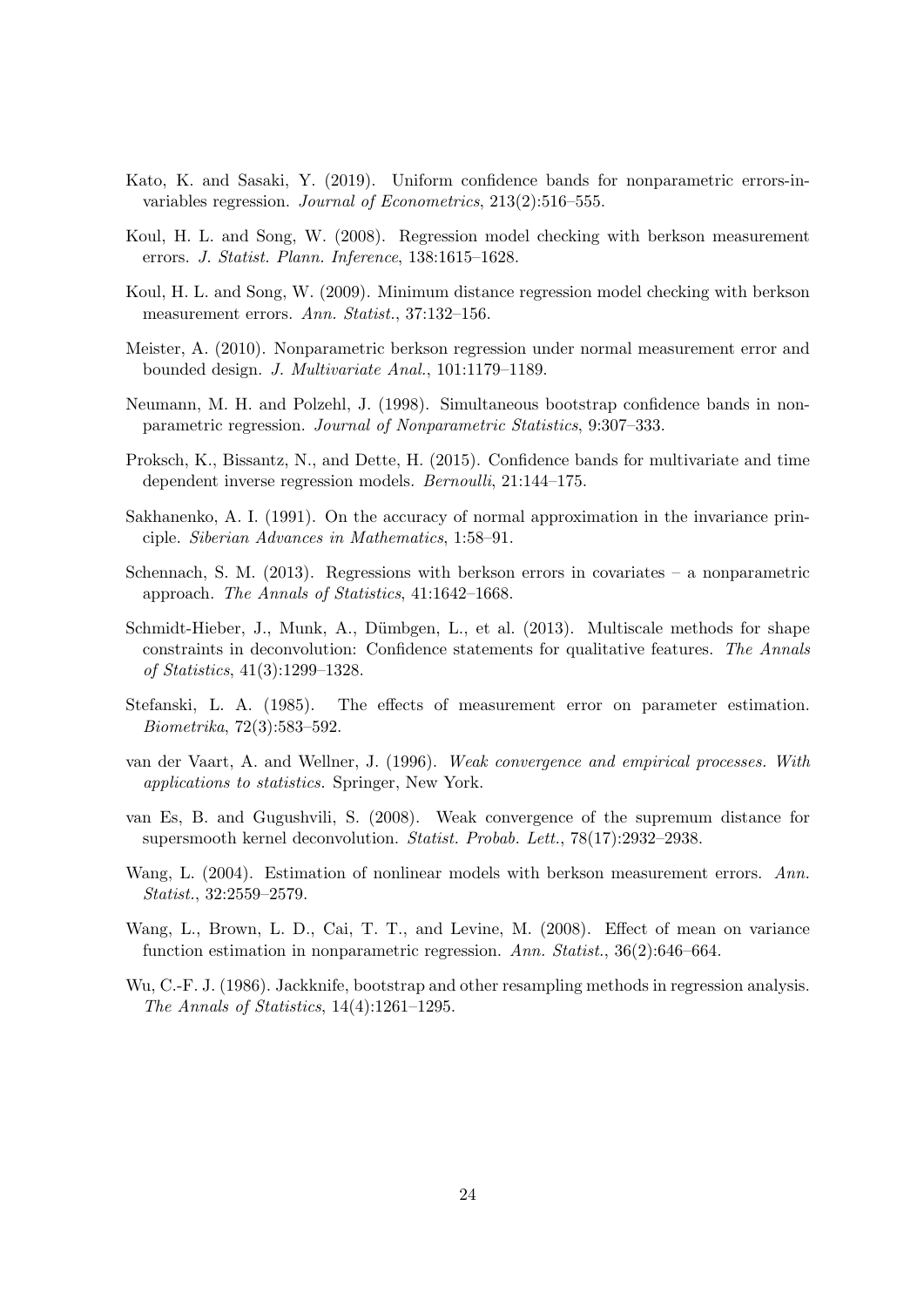- <span id="page-23-7"></span>Kato, K. and Sasaki, Y. (2019). Uniform confidence bands for nonparametric errors-invariables regression. Journal of Econometrics, 213(2):516–555.
- <span id="page-23-5"></span>Koul, H. L. and Song, W. (2008). Regression model checking with berkson measurement errors. J. Statist. Plann. Inference, 138:1615–1628.
- <span id="page-23-6"></span>Koul, H. L. and Song, W. (2009). Minimum distance regression model checking with berkson measurement errors. Ann. Statist., 37:132–156.
- <span id="page-23-8"></span>Meister, A. (2010). Nonparametric berkson regression under normal measurement error and bounded design. J. Multivariate Anal., 101:1179–1189.
- <span id="page-23-0"></span>Neumann, M. H. and Polzehl, J. (1998). Simultaneous bootstrap confidence bands in nonparametric regression. Journal of Nonparametric Statistics, 9:307–333.
- <span id="page-23-9"></span>Proksch, K., Bissantz, N., and Dette, H. (2015). Confidence bands for multivariate and time dependent inverse regression models. Bernoulli, 21:144–175.
- <span id="page-23-13"></span>Sakhanenko, A. I. (1991). On the accuracy of normal approximation in the invariance principle. Siberian Advances in Mathematics, 1:58–91.
- <span id="page-23-4"></span>Schennach, S. M. (2013). Regressions with berkson errors in covariates – a nonparametric approach. The Annals of Statistics, 41:1642–1668.
- <span id="page-23-10"></span>Schmidt-Hieber, J., Munk, A., Dümbgen, L., et al. (2013). Multiscale methods for shape constraints in deconvolution: Confidence statements for qualitative features. The Annals of Statistics, 41(3):1299–1328.
- <span id="page-23-2"></span>Stefanski, L. A. (1985). The effects of measurement error on parameter estimation. Biometrika, 72(3):583–592.
- <span id="page-23-14"></span>van der Vaart, A. and Wellner, J. (1996). Weak convergence and empirical processes. With applications to statistics. Springer, New York.
- <span id="page-23-11"></span>van Es, B. and Gugushvili, S. (2008). Weak convergence of the supremum distance for supersmooth kernel deconvolution. Statist. Probab. Lett., 78(17):2932–2938.
- <span id="page-23-3"></span>Wang, L. (2004). Estimation of nonlinear models with berkson measurement errors. Ann. Statist., 32:2559–2579.
- <span id="page-23-12"></span>Wang, L., Brown, L. D., Cai, T. T., and Levine, M. (2008). Effect of mean on variance function estimation in nonparametric regression. Ann. Statist., 36(2):646–664.
- <span id="page-23-1"></span>Wu, C.-F. J. (1986). Jackknife, bootstrap and other resampling methods in regression analysis. The Annals of Statistics, 14(4):1261–1295.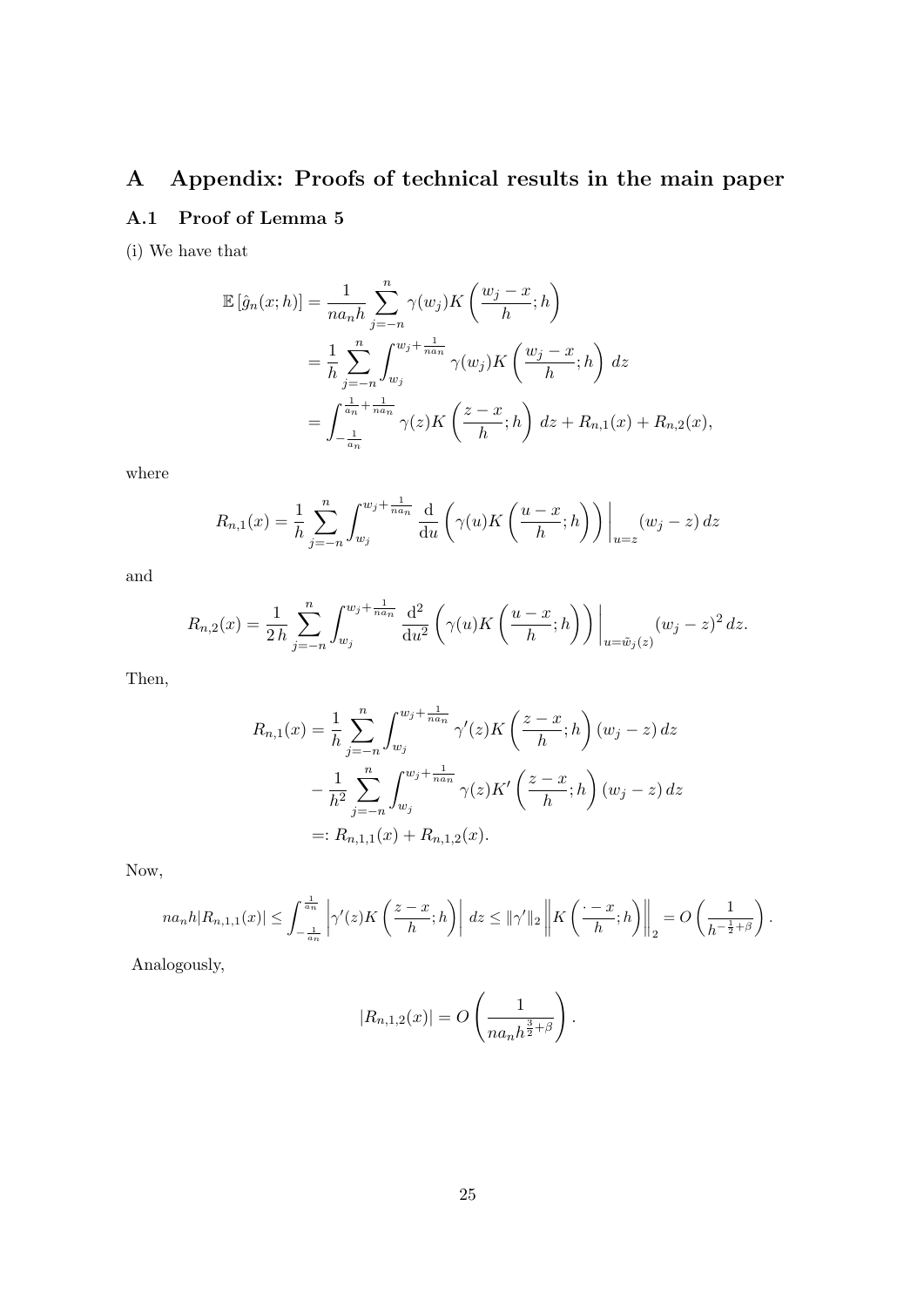# <span id="page-24-0"></span>A Appendix: Proofs of technical results in the main paper A.1 Proof of Lemma [5](#page-13-2)

<span id="page-24-1"></span>(i) We have that

$$
\mathbb{E}\left[\hat{g}_n(x;h)\right] = \frac{1}{na_n h} \sum_{j=-n}^n \gamma(w_j) K\left(\frac{w_j - x}{h}; h\right)
$$
  
= 
$$
\frac{1}{h} \sum_{j=-n}^n \int_{w_j}^{w_j + \frac{1}{na_n}} \gamma(w_j) K\left(\frac{w_j - x}{h}; h\right) dz
$$
  
= 
$$
\int_{-\frac{1}{a_n}}^{\frac{1}{a_n} + \frac{1}{na_n}} \gamma(z) K\left(\frac{z - x}{h}; h\right) dz + R_{n,1}(x) + R_{n,2}(x),
$$

where

$$
R_{n,1}(x) = \frac{1}{h} \sum_{j=-n}^{n} \int_{w_j}^{w_j + \frac{1}{n a_n}} \frac{d}{du} \left( \gamma(u) K\left(\frac{u-x}{h}; h\right) \right) \bigg|_{u=z} (w_j - z) dz
$$

and

$$
R_{n,2}(x) = \frac{1}{2h} \sum_{j=-n}^{n} \int_{w_j}^{w_j + \frac{1}{n a_n}} \frac{d^2}{du^2} \left( \gamma(u) K\left(\frac{u-x}{h}; h\right) \right) \Big|_{u=\tilde{w}_j(z)} (w_j - z)^2 dz.
$$

Then,

$$
R_{n,1}(x) = \frac{1}{h} \sum_{j=-n}^{n} \int_{w_j}^{w_j + \frac{1}{n a_n}} \gamma'(z) K\left(\frac{z-x}{h}; h\right) (w_j - z) dz
$$
  

$$
- \frac{1}{h^2} \sum_{j=-n}^{n} \int_{w_j}^{w_j + \frac{1}{n a_n}} \gamma(z) K'\left(\frac{z-x}{h}; h\right) (w_j - z) dz
$$
  

$$
=: R_{n,1,1}(x) + R_{n,1,2}(x).
$$

Now,

$$
na_n h |R_{n,1,1}(x)| \leq \int_{-\frac{1}{a_n}}^{\frac{1}{a_n}} \left| \gamma'(z) K\left(\frac{z-x}{h}; h\right) \right| dz \leq ||\gamma'||_2 \left\| K\left(\frac{z-x}{h}; h\right) \right\|_2 = O\left(\frac{1}{h^{-\frac{1}{2}+\beta}}\right).
$$

Analogously,

$$
|R_{n,1,2}(x)| = O\left(\frac{1}{na_nh^{\frac{3}{2}+\beta}}\right).
$$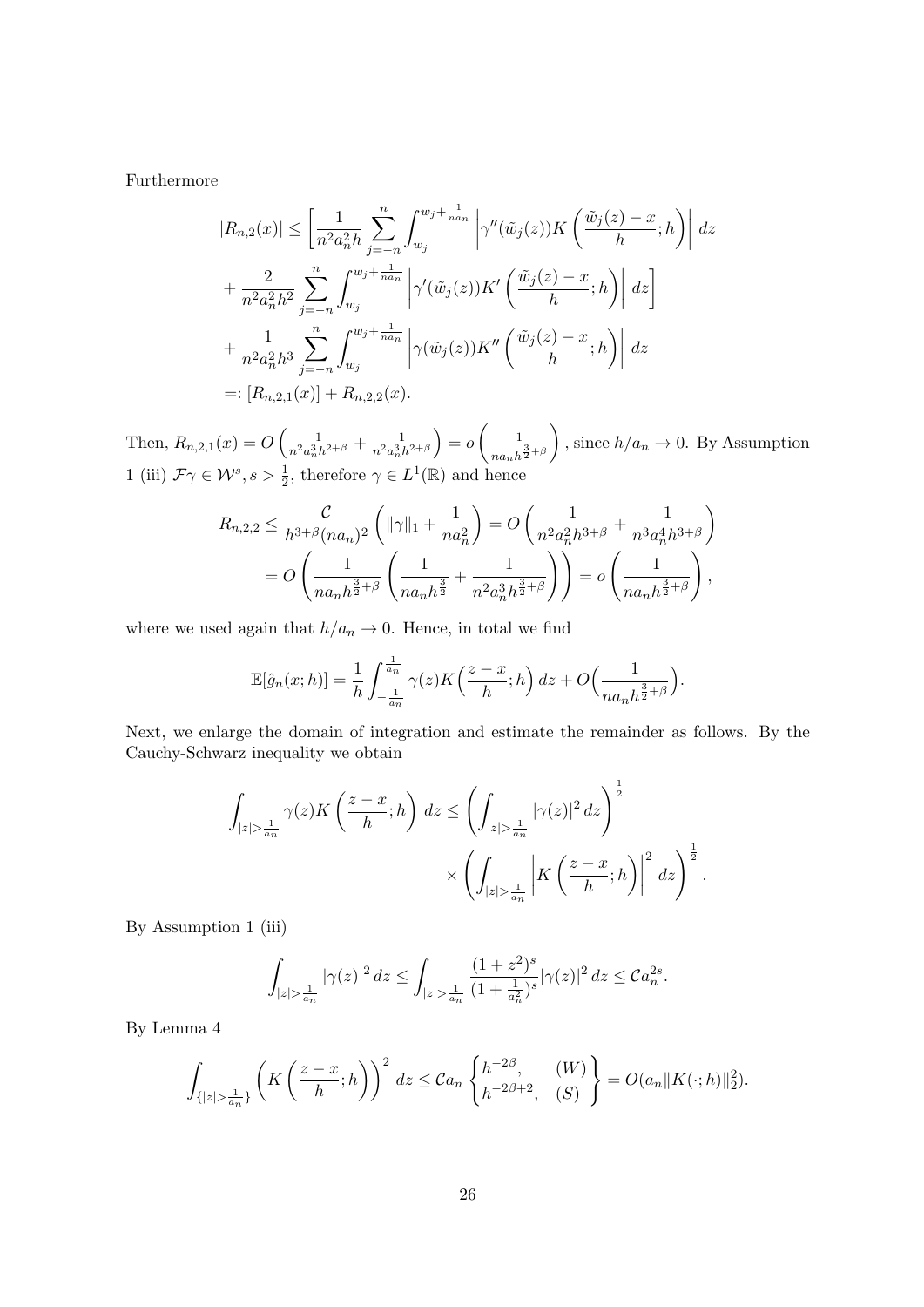Furthermore

$$
|R_{n,2}(x)| \leq \left[\frac{1}{n^2 a_n^2 h} \sum_{j=-n}^n \int_{w_j}^{w_j + \frac{1}{n a_n}} \left| \gamma''(\tilde{w}_j(z)) K\left(\frac{\tilde{w}_j(z) - x}{h}; h\right) \right| dz
$$
  
+ 
$$
\frac{2}{n^2 a_n^2 h^2} \sum_{j=-n}^n \int_{w_j}^{w_j + \frac{1}{n a_n}} \left| \gamma'(\tilde{w}_j(z)) K'\left(\frac{\tilde{w}_j(z) - x}{h}; h\right) \right| dz
$$
  
+ 
$$
\frac{1}{n^2 a_n^2 h^3} \sum_{j=-n}^n \int_{w_j}^{w_j + \frac{1}{n a_n}} \left| \gamma(\tilde{w}_j(z)) K''\left(\frac{\tilde{w}_j(z) - x}{h}; h\right) \right| dz
$$
  
=: 
$$
[R_{n,2,1}(x)] + R_{n,2,2}(x).
$$

Then,  $R_{n,2,1}(x) = O\left(\frac{1}{n^2 a_n^3 h^{2+\beta}} + \frac{1}{n^2 a_n^3 h^{2+\beta}}\right)$  $= o \left( \frac{1}{\sqrt{1-\frac{1}{2}}} \right)$  $\frac{3}{n a_n h^{\frac{3}{2}+\beta}}$ ), since  $h/a_n \to 0$ . By Assumption 1 (iii)  $\mathcal{F}\gamma \in \mathcal{W}^s, s > \frac{1}{2}$ , therefore  $\gamma \in L^1(\mathbb{R})$  and hence

$$
R_{n,2,2} \leq \frac{\mathcal{C}}{h^{3+\beta}(na_n)^2} \left( \|\gamma\|_1 + \frac{1}{na_n^2} \right) = O\left(\frac{1}{n^2 a_n^2 h^{3+\beta}} + \frac{1}{n^3 a_n^4 h^{3+\beta}} \right)
$$
  
= 
$$
O\left(\frac{1}{na_n h^{\frac{3}{2}+\beta}} \left(\frac{1}{na_n h^{\frac{3}{2}}} + \frac{1}{n^2 a_n^3 h^{\frac{3}{2}+\beta}} \right) \right) = o\left(\frac{1}{na_n h^{\frac{3}{2}+\beta}} \right),
$$

where we used again that  $h/a_n \to 0$  . Hence, in total we find

$$
\mathbb{E}[\hat{g}_n(x; h)] = \frac{1}{h} \int_{-\frac{1}{a_n}}^{\frac{1}{a_n}} \gamma(z) K\left(\frac{z-x}{h}; h\right) dz + O\left(\frac{1}{n a_n h^{\frac{3}{2} + \beta}}\right).
$$

Next, we enlarge the domain of integration and estimate the remainder as follows. By the Cauchy-Schwarz inequality we obtain

$$
\int_{|z|>\frac{1}{a_n}} \gamma(z) K\left(\frac{z-x}{h};h\right) dz \le \left(\int_{|z|>\frac{1}{a_n}} |\gamma(z)|^2 dz\right)^{\frac{1}{2}} \times \left(\int_{|z|>\frac{1}{a_n}} |K\left(\frac{z-x}{h};h\right)|^2 dz\right)^{\frac{1}{2}}.
$$

By Assumption 1 (iii)

$$
\int_{|z|>\frac{1}{a_n}} |\gamma(z)|^2 dz \le \int_{|z|>\frac{1}{a_n}} \frac{(1+z^2)^s}{(1+\frac{1}{a_n^2})^s} |\gamma(z)|^2 dz \le C a_n^{2s}.
$$

By Lemma 4

$$
\int_{\{|z|>\frac{1}{a_n}\}} \left( K\left(\frac{z-x}{h};h\right) \right)^2 dz \leq C a_n \left\{ h^{-2\beta}, \quad (W) \atop h^{-2\beta+2}, (S) \right\} = O(a_n \|K(\cdot;h)\|_2^2).
$$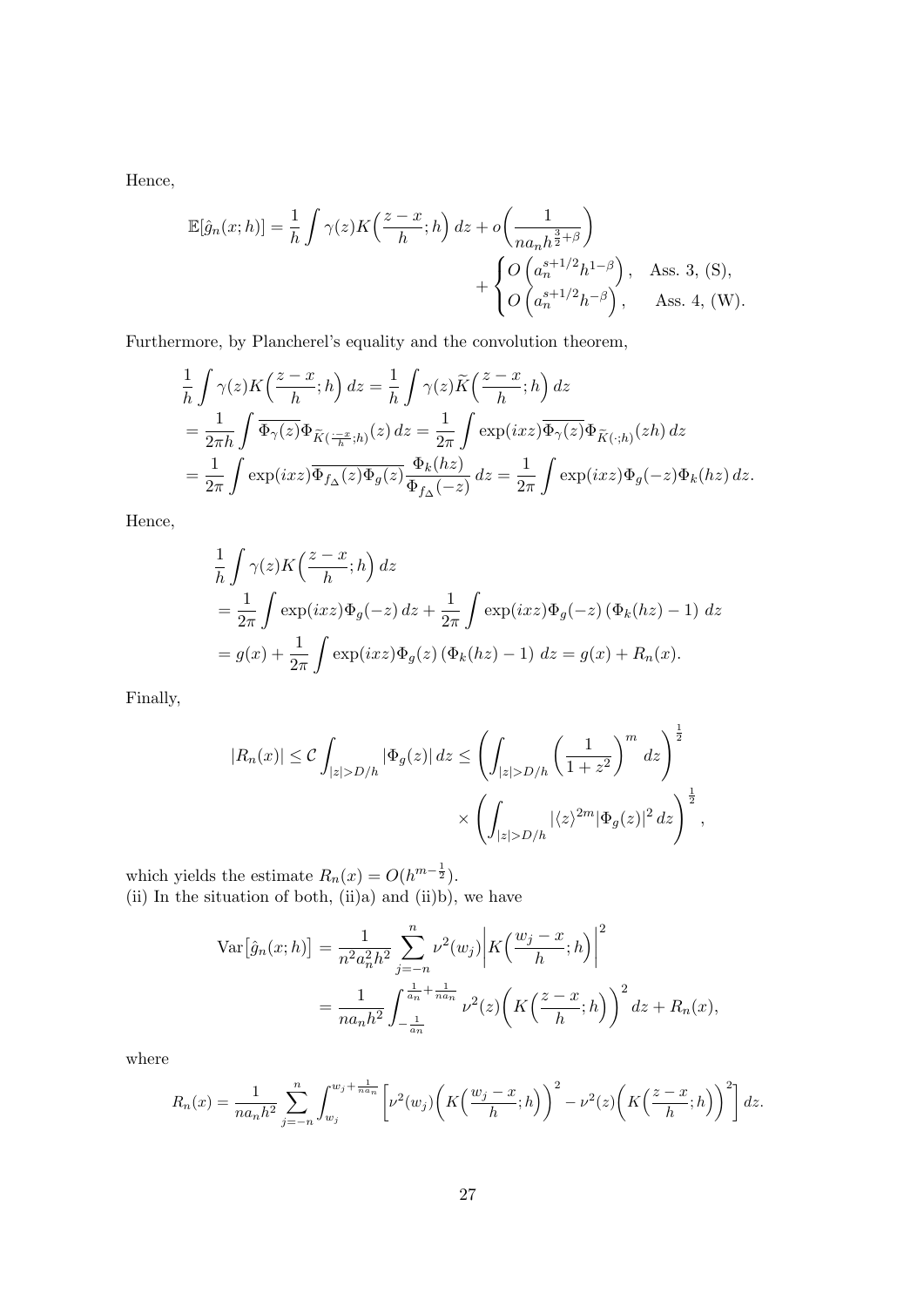Hence,

$$
\mathbb{E}[\hat{g}_n(x; h)] = \frac{1}{h} \int \gamma(z) K\left(\frac{z - x}{h}; h\right) dz + o\left(\frac{1}{n a_n h^{\frac{3}{2} + \beta}}\right) + \begin{cases} O\left(a_n^{s+1/2} h^{1-\beta}\right), & \text{Ass. } 3, (S), \\ O\left(a_n^{s+1/2} h^{-\beta}\right), & \text{Ass. } 4, (W). \end{cases}
$$

Furthermore, by Plancherel's equality and the convolution theorem,

$$
\frac{1}{h} \int \gamma(z) K\left(\frac{z-x}{h};h\right) dz = \frac{1}{h} \int \gamma(z) \widetilde{K}\left(\frac{z-x}{h};h\right) dz
$$
\n
$$
= \frac{1}{2\pi h} \int \overline{\Phi_{\gamma}(z)} \Phi_{\widetilde{K}(\frac{-x}{h};h)}(z) dz = \frac{1}{2\pi} \int \exp(ixz) \overline{\Phi_{\gamma}(z)} \Phi_{\widetilde{K}(\cdot;h)}(zh) dz
$$
\n
$$
= \frac{1}{2\pi} \int \exp(ixz) \overline{\Phi_{f\Delta}(z)} \Phi_{g}(z) \frac{\Phi_{k}(hz)}{\Phi_{f\Delta}(-z)} dz = \frac{1}{2\pi} \int \exp(ixz) \Phi_{g}(-z) \Phi_{k}(hz) dz.
$$

Hence,

$$
\frac{1}{h} \int \gamma(z) K\left(\frac{z-x}{h};h\right) dz
$$
\n
$$
= \frac{1}{2\pi} \int \exp(ixz) \Phi_g(-z) dz + \frac{1}{2\pi} \int \exp(ixz) \Phi_g(-z) \left(\Phi_k(hz) - 1\right) dz
$$
\n
$$
= g(x) + \frac{1}{2\pi} \int \exp(ixz) \Phi_g(z) \left(\Phi_k(hz) - 1\right) dz = g(x) + R_n(x).
$$

Finally,

$$
|R_n(x)| \leq C \int_{|z| > D/h} |\Phi_g(z)| dz \leq \left( \int_{|z| > D/h} \left( \frac{1}{1 + z^2} \right)^m dz \right)^{\frac{1}{2}}
$$

$$
\times \left( \int_{|z| > D/h} |\langle z \rangle^{2m} |\Phi_g(z)|^2 dz \right)^{\frac{1}{2}},
$$

which yields the estimate  $R_n(x) = O(h^{m-\frac{1}{2}})$ . (ii) In the situation of both,  $(ii)a)$  and  $(ii)b)$ , we have

$$
\begin{split} \text{Var}\big[\hat{g}_n(x;h)\big] &= \frac{1}{n^2 a_n^2 h^2} \sum_{j=-n}^n \nu^2(w_j) \bigg| K\Big(\frac{w_j - x}{h}; h\Big) \bigg|^2 \\ &= \frac{1}{n a_n h^2} \int_{-\frac{1}{a_n}}^{\frac{1}{a_n} + \frac{1}{n a_n}} \nu^2(z) \bigg( K\Big(\frac{z - x}{h}; h\Big) \bigg)^2 \, dz + R_n(x), \end{split}
$$

where

$$
R_n(x) = \frac{1}{na_nh^2} \sum_{j=-n}^n \int_{w_j}^{w_j + \frac{1}{na_n}} \left[ \nu^2(w_j) \left( K\left(\frac{w_j - x}{h}; h\right) \right)^2 - \nu^2(z) \left( K\left(\frac{z - x}{h}; h\right) \right)^2 \right] dz.
$$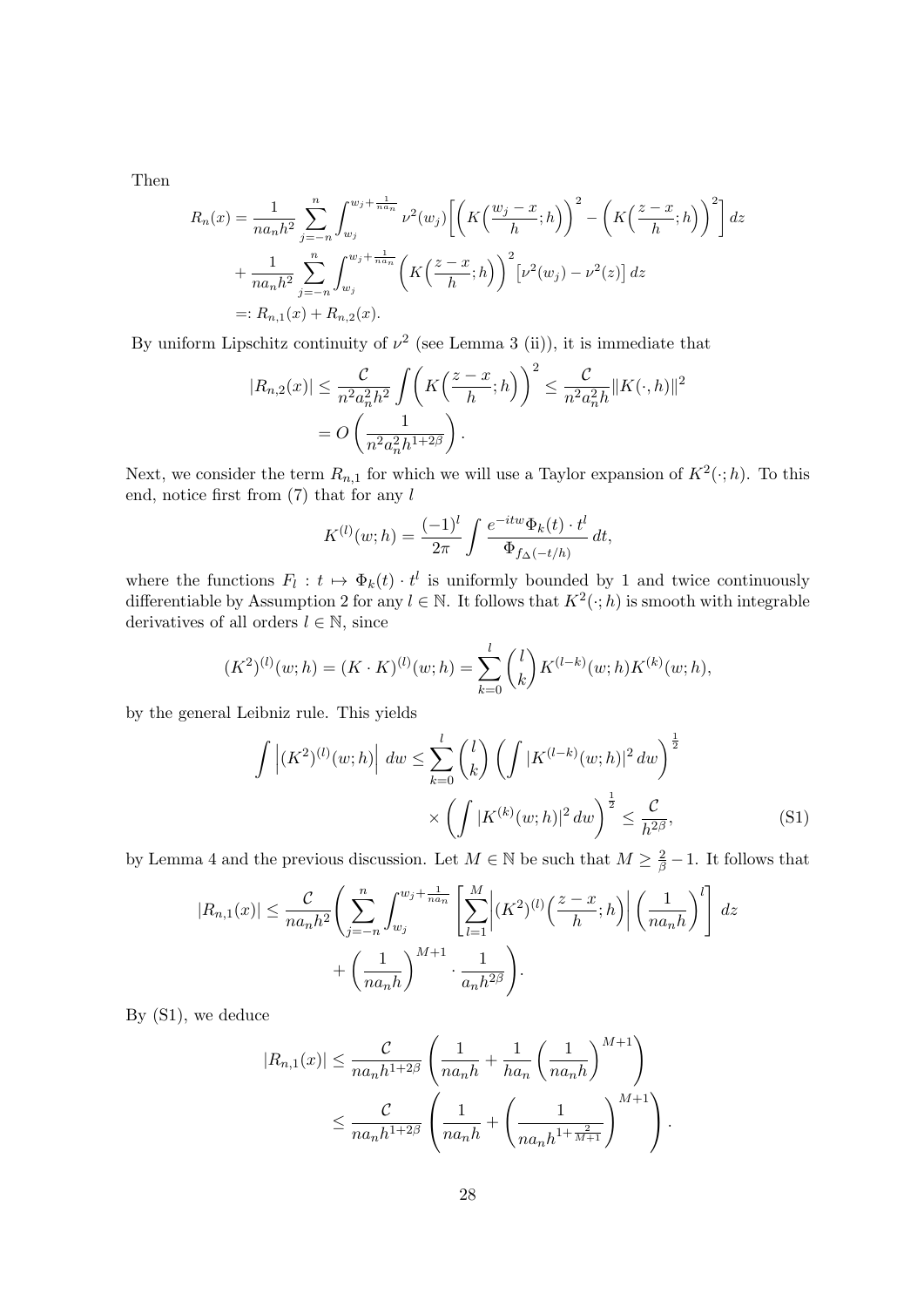Then

$$
R_n(x) = \frac{1}{na_nh^2} \sum_{j=-n}^{n} \int_{w_j}^{w_j + \frac{1}{na_n}} \nu^2(w_j) \left[ \left( K\left(\frac{w_j - x}{h}; h\right) \right)^2 - \left( K\left(\frac{z - x}{h}; h\right) \right)^2 \right] dz
$$
  
+ 
$$
\frac{1}{na_nh^2} \sum_{j=-n}^{n} \int_{w_j}^{w_j + \frac{1}{na_n}} \left( K\left(\frac{z - x}{h}; h\right) \right)^2 \left[ \nu^2(w_j) - \nu^2(z) \right] dz
$$
  
=: 
$$
R_{n,1}(x) + R_{n,2}(x).
$$

By uniform Lipschitz continuity of  $\nu^2$  (see Lemma 3 (ii)), it is immediate that

$$
|R_{n,2}(x)| \leq \frac{C}{n^2 a_n^2 h^2} \int \left( K\left(\frac{z-x}{h};h\right) \right)^2 \leq \frac{C}{n^2 a_n^2 h} \|K(\cdot,h)\|^2
$$

$$
= O\left(\frac{1}{n^2 a_n^2 h^{1+2\beta}}\right).
$$

Next, we consider the term  $R_{n,1}$  for which we will use a Taylor expansion of  $K^2(\cdot;h)$ . To this end, notice first from  $(7)$  that for any l

$$
K^{(l)}(w; h) = \frac{(-1)^l}{2\pi} \int \frac{e^{-itw} \Phi_k(t) \cdot t^l}{\Phi_{f_{\Delta}(-t/h)}} dt,
$$

where the functions  $F_l : t \mapsto \Phi_k(t) \cdot t^l$  is uniformly bounded by 1 and twice continuously differentiable by Assumption 2 for any  $l \in \mathbb{N}$ . It follows that  $K^2(\cdot; h)$  is smooth with integrable derivatives of all orders  $l \in \mathbb{N}$ , since

$$
(K^{2})^{(l)}(w;h) = (K \cdot K)^{(l)}(w;h) = \sum_{k=0}^{l} {l \choose k} K^{(l-k)}(w;h) K^{(k)}(w;h),
$$

by the general Leibniz rule. This yields

$$
\int |(K^{2})^{(l)}(w;h)| dw \leq \sum_{k=0}^{l} {l \choose k} \left( \int |K^{(l-k)}(w;h)|^{2} dw \right)^{\frac{1}{2}} \times \left( \int |K^{(k)}(w;h)|^{2} dw \right)^{\frac{1}{2}} \leq \frac{C}{h^{2\beta}},
$$
\n(S1)

by Lemma 4 and the previous discussion. Let  $M \in \mathbb{N}$  be such that  $M \geq \frac{2}{\beta} - 1$ . It follows that

$$
|R_{n,1}(x)| \leq \frac{C}{na_n h^2} \left( \sum_{j=-n}^n \int_{w_j}^{w_j + \frac{1}{na_n}} \left[ \sum_{l=1}^M \left| (K^2)^{(l)} \left( \frac{z-x}{h}; h \right) \right| \left( \frac{1}{na_n h} \right)^l \right] dz + \left( \frac{1}{na_n h} \right)^{M+1} \cdot \frac{1}{a_n h^{2\beta}} \right).
$$

By [\(S1\)](#page-24-1), we deduce

$$
|R_{n,1}(x)| \leq \frac{C}{na_n h^{1+2\beta}} \left(\frac{1}{na_n h} + \frac{1}{ha_n} \left(\frac{1}{na_n h}\right)^{M+1}\right)
$$
  

$$
\leq \frac{C}{na_n h^{1+2\beta}} \left(\frac{1}{na_n h} + \left(\frac{1}{na_n h^{1+\frac{2}{M+1}}}\right)^{M+1}\right).
$$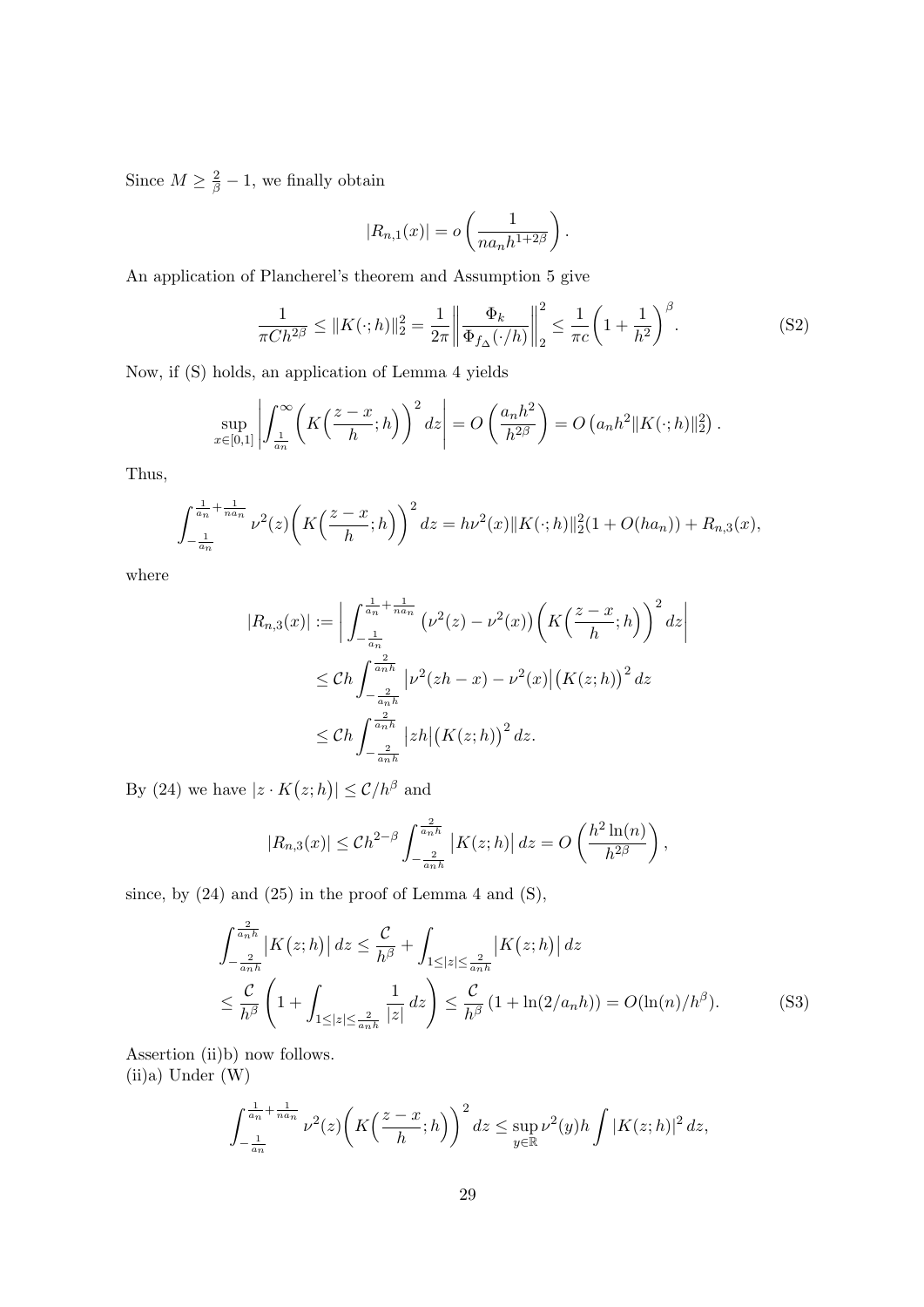Since  $M \geq \frac{2}{\beta} - 1$ , we finally obtain

$$
|R_{n,1}(x)| = o\left(\frac{1}{na_nh^{1+2\beta}}\right).
$$

An application of Plancherel's theorem and Assumption 5 give

$$
\frac{1}{\pi C h^{2\beta}} \le \|K(\cdot; h)\|_2^2 = \frac{1}{2\pi} \left\| \frac{\Phi_k}{\Phi_{f_\Delta}(\cdot/h)} \right\|_2^2 \le \frac{1}{\pi c} \left( 1 + \frac{1}{h^2} \right)^{\beta}.
$$
 (S2)

Now, if (S) holds, an application of Lemma 4 yields

$$
\sup_{x\in[0,1]}\left|\int_{\frac{1}{a_n}}^{\infty}\left(K\left(\frac{z-x}{h};h\right)\right)^2dz\right|=O\left(\frac{a_nh^2}{h^{2\beta}}\right)=O\left(a_nh^2\|K(\cdot;h)\|_2^2\right).
$$

Thus,

$$
\int_{-\frac{1}{a_n}}^{\frac{1}{a_n} + \frac{1}{n a_n}} \nu^2(z) \left( K\left(\frac{z - x}{h}; h\right) \right)^2 dz = h\nu^2(x) \| K(\cdot; h) \|_2^2 (1 + O(ha_n)) + R_{n,3}(x),
$$

where

$$
|R_{n,3}(x)| := \left| \int_{-\frac{1}{a_n}}^{\frac{1}{a_n} + \frac{1}{n a_n}} (\nu^2(z) - \nu^2(x)) \left( K\left(\frac{z - x}{h}; h\right) \right)^2 dz \right|
$$
  

$$
\leq Ch \int_{-\frac{2}{a_n h}}^{\frac{2}{a_n h}} |\nu^2(zh - x) - \nu^2(x)| (K(z; h))^2 dz
$$
  

$$
\leq Ch \int_{-\frac{2}{a_n h}}^{\frac{2}{a_n h}} |zh| (K(z; h))^2 dz.
$$

By (24) we have  $|z \cdot K(z; h)| \leq C/h^{\beta}$  and

$$
|R_{n,3}(x)| \le Ch^{2-\beta} \int_{-\frac{2}{a_n h}}^{\frac{2}{a_n h}} |K(z;h)| dz = O\left(\frac{h^2 \ln(n)}{h^{2\beta}}\right),
$$

since, by  $(24)$  and  $(25)$  in the proof of Lemma 4 and  $(S)$ ,

$$
\int_{-\frac{2}{a_n h}}^{\frac{2}{a_n h}} \left| K(z;h) \right| dz \leq \frac{C}{h^{\beta}} + \int_{1 \leq |z| \leq \frac{2}{a_n h}} \left| K(z;h) \right| dz
$$
  

$$
\leq \frac{C}{h^{\beta}} \left( 1 + \int_{1 \leq |z| \leq \frac{2}{a_n h}} \frac{1}{|z|} dz \right) \leq \frac{C}{h^{\beta}} \left( 1 + \ln(2/a_n h) \right) = O(\ln(n)/h^{\beta}). \tag{S3}
$$

Assertion (ii)b) now follows. (ii)a) Under (W)

$$
\int_{-\frac{1}{a_n}}^{\frac{1}{a_n} + \frac{1}{na_n}} \nu^2(z) \left( K\left(\frac{z-x}{h};h\right) \right)^2 dz \le \sup_{y \in \mathbb{R}} \nu^2(y) h \int |K(z;h)|^2 dz,
$$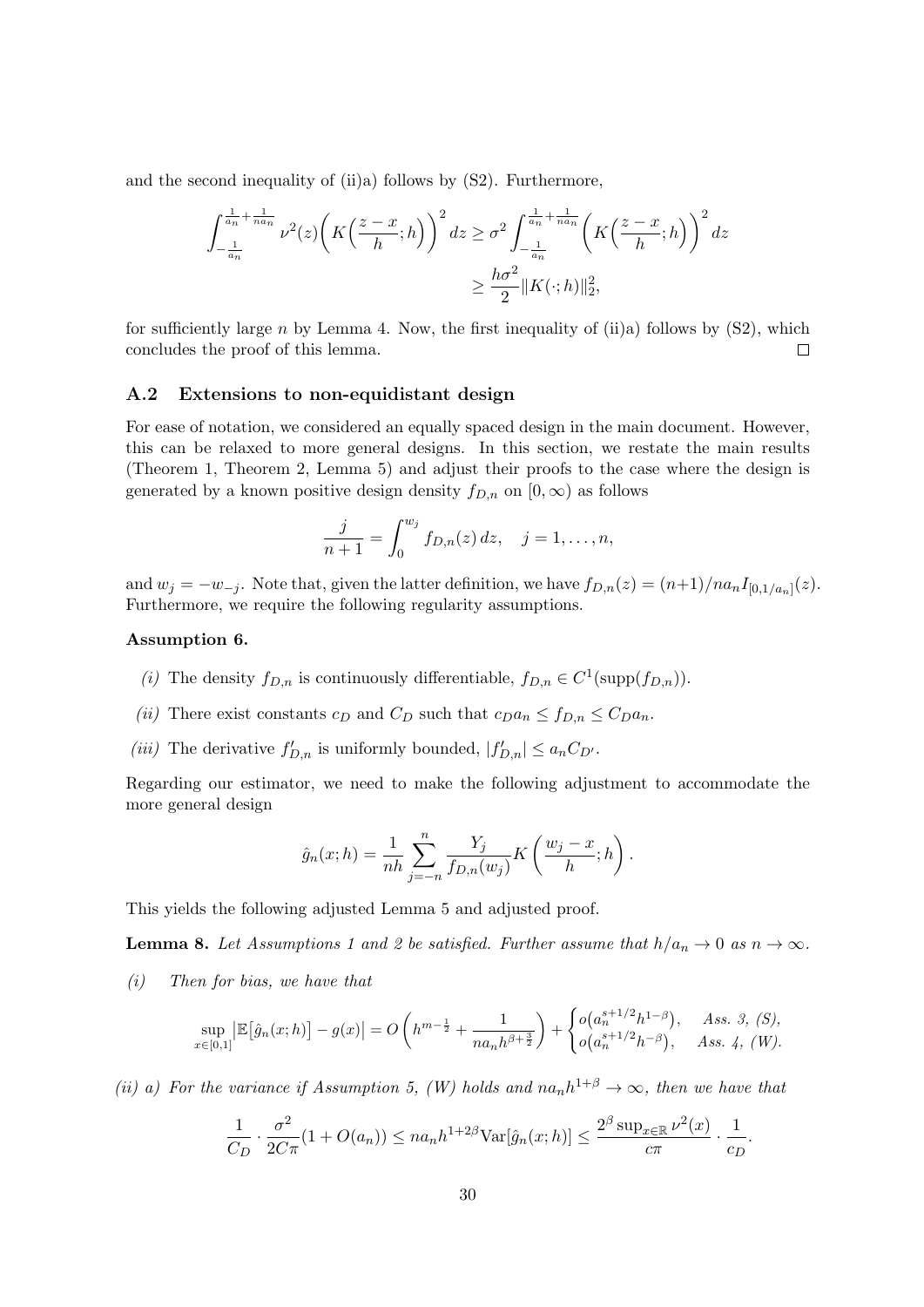and the second inequality of (ii)a) follows by [\(S2\)](#page-24-1). Furthermore,

$$
\int_{-\frac{1}{a_n}}^{\frac{1}{a_n} + \frac{1}{na_n}} \nu^2(z) \left( K\left(\frac{z-x}{h};h\right) \right)^2 dz \ge \sigma^2 \int_{-\frac{1}{a_n}}^{\frac{1}{a_n} + \frac{1}{na_n}} \left( K\left(\frac{z-x}{h};h\right) \right)^2 dz
$$
  

$$
\ge \frac{h\sigma^2}{2} \| K(\cdot;h) \|_2^2,
$$

for sufficiently large n by Lemma 4. Now, the first inequality of (ii)a) follows by  $(S2)$ , which concludes the proof of this lemma.  $\Box$ 

## <span id="page-29-0"></span>A.2 Extensions to non-equidistant design

For ease of notation, we considered an equally spaced design in the main document. However, this can be relaxed to more general designs. In this section, we restate the main results (Theorem 1, Theorem 2, Lemma 5) and adjust their proofs to the case where the design is generated by a known positive design density  $f_{D,n}$  on  $[0,\infty)$  as follows

$$
\frac{j}{n+1} = \int_0^{w_j} f_{D,n}(z) \, dz, \quad j = 1, \dots, n,
$$

and  $w_j = -w_{-j}$ . Note that, given the latter definition, we have  $f_{D,n}(z) = (n+1)/n a_n I_{[0,1/a_n]}(z)$ . Furthermore, we require the following regularity assumptions.

#### <span id="page-29-2"></span>Assumption 6.

- (i) The density  $f_{D,n}$  is continuously differentiable,  $f_{D,n} \in C^1(\text{supp}(f_{D,n}))$ .
- (ii) There exist constants  $c_D$  and  $C_D$  such that  $c_D a_n \leq f_{D,n} \leq C_D a_n$ .
- (*iii*) The derivative  $f'_{D,n}$  is uniformly bounded,  $|f'_{D,n}| \le a_n C_{D'}$ .

Regarding our estimator, we need to make the following adjustment to accommodate the more general design

$$
\hat{g}_n(x; h) = \frac{1}{nh} \sum_{j=-n}^n \frac{Y_j}{f_{D,n}(w_j)} K\left(\frac{w_j - x}{h}; h\right).
$$

This yields the following adjusted Lemma 5 and adjusted proof.

<span id="page-29-1"></span>**Lemma 8.** Let Assumptions 1 and 2 be satisfied. Further assume that  $h/a_n \to 0$  as  $n \to \infty$ .

(i) Then for bias, we have that

$$
\sup_{x\in[0,1]} \left| \mathbb{E}[\hat{g}_n(x;h)] - g(x) \right| = O\left(h^{m-\frac{1}{2}} + \frac{1}{na_n h^{\beta+\frac{3}{2}}}\right) + \begin{cases} o(a_n^{s+1/2}h^{1-\beta}), & Ass. 3, (S), \\ o(a_n^{s+1/2}h^{-\beta}), & Ass. 4, (W). \end{cases}
$$

(ii) a) For the variance if Assumption 5, (W) holds and  $na_n h^{1+\beta} \to \infty$ , then we have that

$$
\frac{1}{C_D} \cdot \frac{\sigma^2}{2C\pi} (1 + O(a_n)) \leq n a_n h^{1+2\beta} \text{Var}[\hat{g}_n(x; h)] \leq \frac{2^{\beta} \sup_{x \in \mathbb{R}} \nu^2(x)}{c\pi} \cdot \frac{1}{c_D}.
$$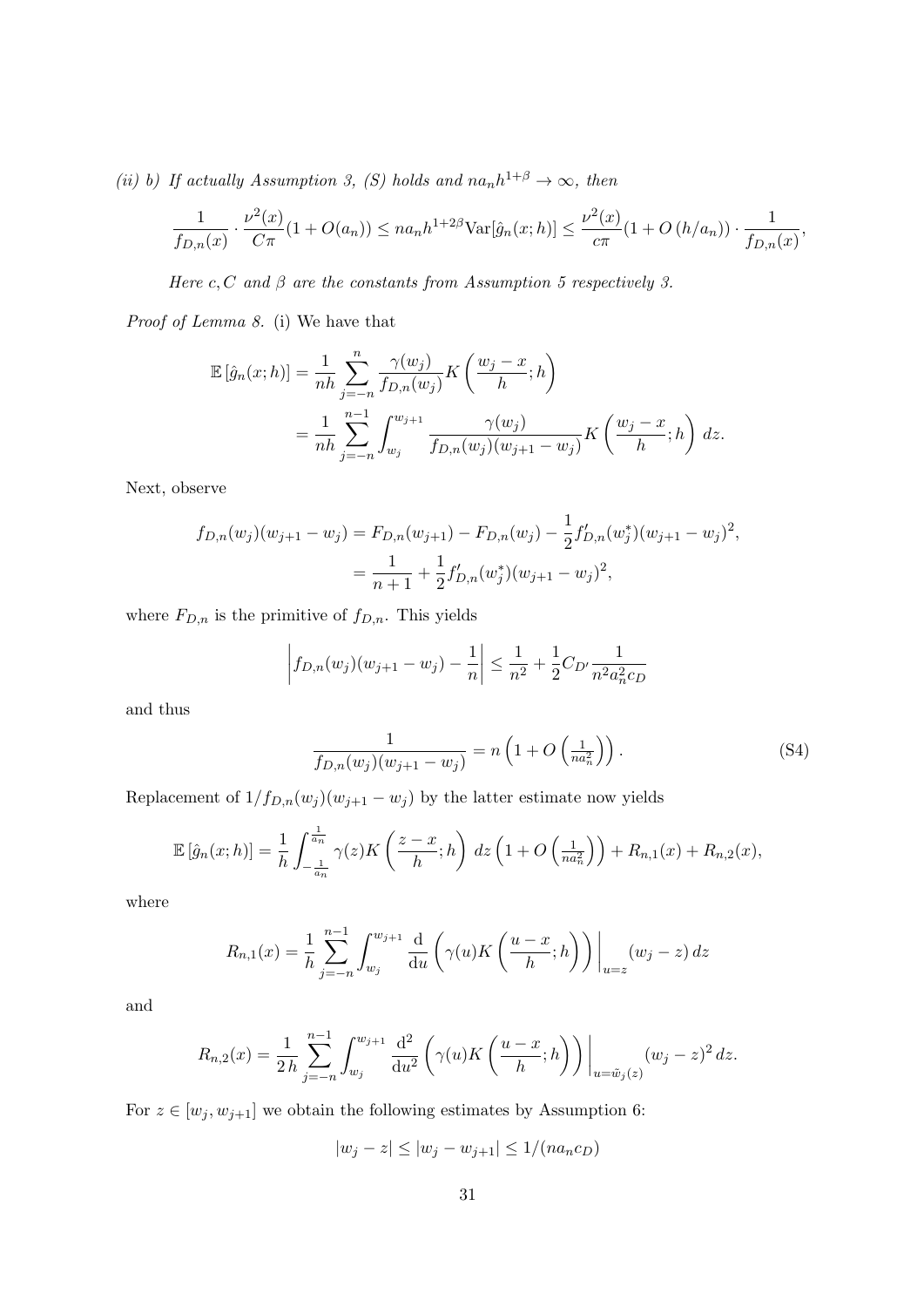(ii) b) If actually Assumption 3, (S) holds and  $n a_n h^{1+\beta} \to \infty$ , then

$$
\frac{1}{f_{D,n}(x)} \cdot \frac{\nu^2(x)}{C\pi} (1 + O(a_n)) \le na_n h^{1+2\beta} \text{Var}[\hat{g}_n(x; h)] \le \frac{\nu^2(x)}{c\pi} (1 + O(h/a_n)) \cdot \frac{1}{f_{D,n}(x)},
$$

Here c, C and  $\beta$  are the constants from Assumption 5 respectively 3.

Proof of Lemma [8.](#page-29-1) (i) We have that

$$
\mathbb{E}[\hat{g}_n(x; h)] = \frac{1}{nh} \sum_{j=-n}^n \frac{\gamma(w_j)}{f_{D,n}(w_j)} K\left(\frac{w_j - x}{h}; h\right)
$$
  
= 
$$
\frac{1}{nh} \sum_{j=-n}^{n-1} \int_{w_j}^{w_{j+1}} \frac{\gamma(w_j)}{f_{D,n}(w_j)(w_{j+1} - w_j)} K\left(\frac{w_j - x}{h}; h\right) dz.
$$

Next, observe

$$
f_{D,n}(w_j)(w_{j+1} - w_j) = F_{D,n}(w_{j+1}) - F_{D,n}(w_j) - \frac{1}{2} f'_{D,n}(w_j^*)(w_{j+1} - w_j)^2,
$$
  
= 
$$
\frac{1}{n+1} + \frac{1}{2} f'_{D,n}(w_j^*)(w_{j+1} - w_j)^2,
$$

where  $F_{D,n}$  is the primitive of  $f_{D,n}$ . This yields

$$
\left| f_{D,n}(w_j)(w_{j+1} - w_j) - \frac{1}{n} \right| \le \frac{1}{n^2} + \frac{1}{2} C_{D'} \frac{1}{n^2 a_n^2 c_D}
$$

and thus

$$
\frac{1}{f_{D,n}(w_j)(w_{j+1}-w_j)} = n\left(1 + O\left(\frac{1}{na_n^2}\right)\right). \tag{S4}
$$

Replacement of  $1/f_{D,n}(w_j)(w_{j+1} - w_j)$  by the latter estimate now yields

$$
\mathbb{E}\left[\hat{g}_n(x;h)\right] = \frac{1}{h} \int_{-\frac{1}{a_n}}^{\frac{1}{a_n}} \gamma(z) K\left(\frac{z-x}{h};h\right) dz \left(1 + O\left(\frac{1}{na_n^2}\right)\right) + R_{n,1}(x) + R_{n,2}(x),
$$

where

$$
R_{n,1}(x) = \frac{1}{h} \sum_{j=-n}^{n-1} \int_{w_j}^{w_{j+1}} \frac{d}{du} \left( \gamma(u) K\left(\frac{u-x}{h}; h\right) \right) \Big|_{u=z} (w_j - z) \, dz
$$

and

$$
R_{n,2}(x) = \frac{1}{2h} \sum_{j=-n}^{n-1} \int_{w_j}^{w_{j+1}} \frac{\mathrm{d}^2}{\mathrm{d}u^2} \left( \gamma(u) K\left(\frac{u-x}{h}; h\right) \right) \Big|_{u=\tilde{w}_j(z)} (w_j - z)^2 \, dz.
$$

For  $z \in [w_j, w_{j+1}]$  we obtain the following estimates by Assumption [6:](#page-29-2)

$$
|w_j - z| \le |w_j - w_{j+1}| \le 1/(na_n c_D)
$$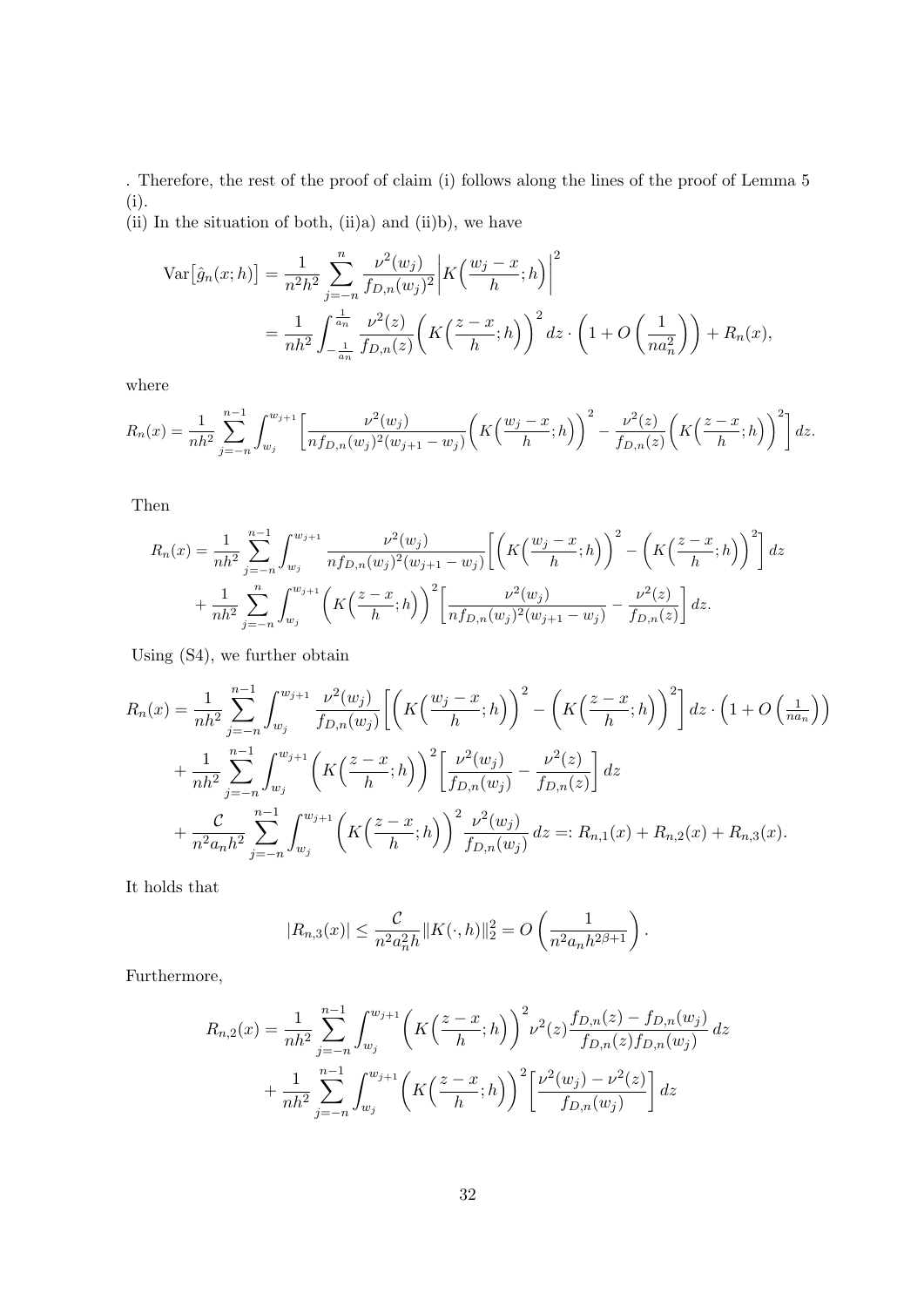. Therefore, the rest of the proof of claim (i) follows along the lines of the proof of Lemma 5 (i).

(ii) In the situation of both, (ii)a) and (ii)b), we have

$$
\begin{split} \text{Var}\big[\hat{g}_n(x;h)\big] &= \frac{1}{n^2h^2} \sum_{j=-n}^n \frac{\nu^2(w_j)}{f_{D,n}(w_j)^2} \bigg| K\Big(\frac{w_j-x}{h};h\Big) \bigg|^2 \\ &= \frac{1}{nh^2} \int_{-\frac{1}{a_n}}^{\frac{1}{a_n}} \frac{\nu^2(z)}{f_{D,n}(z)} \bigg( K\Big(\frac{z-x}{h};h\Big) \bigg)^2 \, dz \cdot \bigg( 1 + O\left(\frac{1}{na_n^2}\right) \bigg) + R_n(x), \end{split}
$$

where

$$
R_n(x) = \frac{1}{nh^2} \sum_{j=-n}^{n-1} \int_{w_j}^{w_{j+1}} \left[ \frac{\nu^2(w_j)}{n f_{D,n}(w_j)^2 (w_{j+1} - w_j)} \left( K \left( \frac{w_j - x}{h}; h \right) \right)^2 - \frac{\nu^2(z)}{f_{D,n}(z)} \left( K \left( \frac{z - x}{h}; h \right) \right)^2 \right] dz.
$$

Then

$$
R_n(x) = \frac{1}{nh^2} \sum_{j=-n}^{n-1} \int_{w_j}^{w_{j+1}} \frac{\nu^2(w_j)}{nf_{D,n}(w_j)^2(w_{j+1} - w_j)} \left[ \left( K\left(\frac{w_j - x}{h}; h\right) \right)^2 - \left( K\left(\frac{z - x}{h}; h\right) \right)^2 \right] dz + \frac{1}{nh^2} \sum_{j=-n}^{n} \int_{w_j}^{w_{j+1}} \left( K\left(\frac{z - x}{h}; h\right) \right)^2 \left[ \frac{\nu^2(w_j)}{nf_{D,n}(w_j)^2(w_{j+1} - w_j)} - \frac{\nu^2(z)}{fh_{D,n}(z)} \right] dz.
$$

Using [\(S4\)](#page-29-1), we further obtain

$$
R_n(x) = \frac{1}{nh^2} \sum_{j=-n}^{n-1} \int_{w_j}^{w_{j+1}} \frac{\nu^2(w_j)}{f_{D,n}(w_j)} \left[ \left( K\left(\frac{w_j - x}{h}; h\right) \right)^2 - \left( K\left(\frac{z - x}{h}; h\right) \right)^2 \right] dz \cdot \left( 1 + O\left(\frac{1}{n a_n}\right) \right)
$$
  
+ 
$$
\frac{1}{nh^2} \sum_{j=-n}^{n-1} \int_{w_j}^{w_{j+1}} \left( K\left(\frac{z - x}{h}; h\right) \right)^2 \left[ \frac{\nu^2(w_j)}{f_{D,n}(w_j)} - \frac{\nu^2(z)}{f_{D,n}(z)} \right] dz
$$
  
+ 
$$
\frac{C}{n^2 a_n h^2} \sum_{j=-n}^{n-1} \int_{w_j}^{w_{j+1}} \left( K\left(\frac{z - x}{h}; h\right) \right)^2 \frac{\nu^2(w_j)}{f_{D,n}(w_j)} dz =: R_{n,1}(x) + R_{n,2}(x) + R_{n,3}(x).
$$

It holds that

$$
|R_{n,3}(x)| \leq \frac{C}{n^2 a_n^2 h} ||K(\cdot, h)||_2^2 = O\left(\frac{1}{n^2 a_n h^{2\beta+1}}\right).
$$

Furthermore,

$$
R_{n,2}(x) = \frac{1}{nh^2} \sum_{j=-n}^{n-1} \int_{w_j}^{w_{j+1}} \left( K\left(\frac{z-x}{h};h\right) \right)^2 \nu^2(z) \frac{f_{D,n}(z) - f_{D,n}(w_j)}{f_{D,n}(z)f_{D,n}(w_j)} dz + \frac{1}{nh^2} \sum_{j=-n}^{n-1} \int_{w_j}^{w_{j+1}} \left( K\left(\frac{z-x}{h};h\right) \right)^2 \left[ \frac{\nu^2(w_j) - \nu^2(z)}{f_{D,n}(w_j)} \right] dz
$$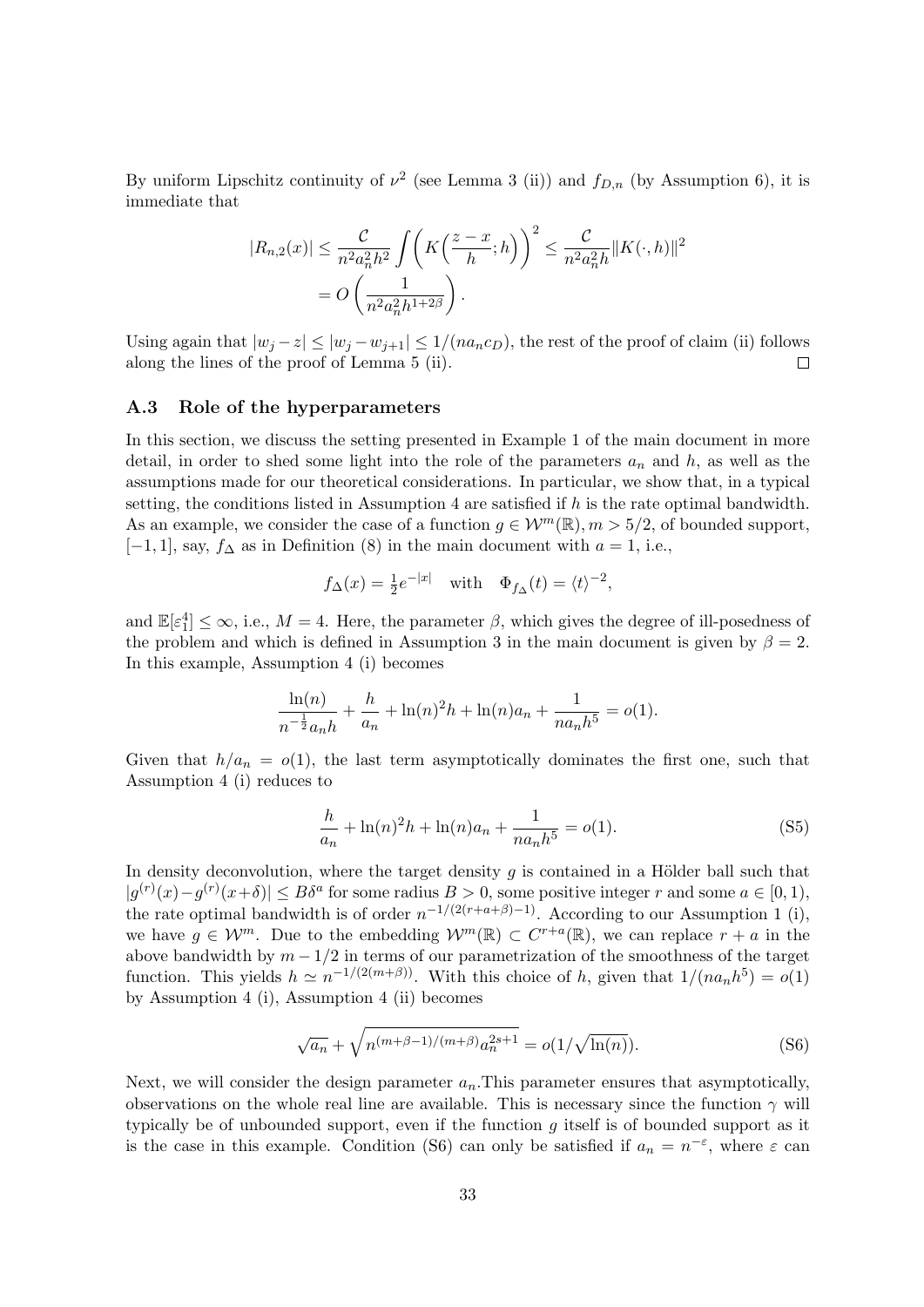By uniform Lipschitz continuity of  $\nu^2$  (see Lemma 3 (ii)) and  $f_{D,n}$  (by Assumption [6\)](#page-29-2), it is immediate that

$$
|R_{n,2}(x)| \leq \frac{C}{n^2 a_n^2 h^2} \int \left( K\left(\frac{z-x}{h};h\right) \right)^2 \leq \frac{C}{n^2 a_n^2 h} \|K(\cdot,h)\|^2
$$
  
=  $O\left(\frac{1}{n^2 a_n^2 h^{1+2\beta}}\right).$ 

Using again that  $|w_j - z| \le |w_j - w_{j+1}| \le 1/(na_n c_D)$ , the rest of the proof of claim (ii) follows along the lines of the proof of Lemma 5 (ii).  $\Box$ 

#### <span id="page-32-0"></span>A.3 Role of the hyperparameters

In this section, we discuss the setting presented in Example 1 of the main document in more detail, in order to shed some light into the role of the parameters  $a_n$  and h, as well as the assumptions made for our theoretical considerations. In particular, we show that, in a typical setting, the conditions listed in Assumption 4 are satisfied if  $h$  is the rate optimal bandwidth. As an example, we consider the case of a function  $q \in \mathcal{W}^m(\mathbb{R}), m > 5/2$ , of bounded support,  $[-1, 1]$ , say,  $f_{\Delta}$  as in Definition (8) in the main document with  $a = 1$ , i.e.,

$$
f_{\Delta}(x) = \frac{1}{2}e^{-|x|}
$$
 with  $\Phi_{f_{\Delta}}(t) = \langle t \rangle^{-2}$ ,

and  $\mathbb{E}[\varepsilon_1^4] \leq \infty$ , i.e.,  $M = 4$ . Here, the parameter  $\beta$ , which gives the degree of ill-posedness of the problem and which is defined in Assumption 3 in the main document is given by  $\beta = 2$ . In this example, Assumption 4 (i) becomes

$$
\frac{\ln(n)}{n^{-\frac{1}{2}}a_n h} + \frac{h}{a_n} + \ln(n)^2 h + \ln(n)a_n + \frac{1}{na_n h^5} = o(1).
$$

Given that  $h/a_n = o(1)$ , the last term asymptotically dominates the first one, such that Assumption 4 (i) reduces to

$$
\frac{h}{a_n} + \ln(n)^2 h + \ln(n) a_n + \frac{1}{n a_n h^5} = o(1).
$$
 (S5)

In density deconvolution, where the target density  $g$  is contained in a Hölder ball such that  $|g^{(r)}(x)-g^{(r)}(x+\delta)| \leq B\delta^a$  for some radius  $B > 0$ , some positive integer r and some  $a \in [0,1)$ , the rate optimal bandwidth is of order  $n^{-1/(2(r+a+\beta)-1)}$ . According to our Assumption 1 (i), we have  $g \in \mathcal{W}^m$ . Due to the embedding  $\mathcal{W}^m(\mathbb{R}) \subset C^{r+a}(\mathbb{R})$ , we can replace  $r + a$  in the above bandwidth by  $m - 1/2$  in terms of our parametrization of the smoothness of the target function. This yields  $h \simeq n^{-1/(2(m+\beta))}$ . With this choice of h, given that  $1/(na_n h^5) = o(1)$ by Assumption 4 (i), Assumption 4 (ii) becomes

$$
\sqrt{a_n} + \sqrt{n^{(m+\beta-1)/(m+\beta)} a_n^{2s+1}} = o(1/\sqrt{\ln(n)}).
$$
 (S6)

Next, we will consider the design parameter  $a_n$ . This parameter ensures that asymptotically, observations on the whole real line are available. This is necessary since the function  $\gamma$  will typically be of unbounded support, even if the function  $q$  itself is of bounded support as it is the case in this example. Condition [\(S6\)](#page-32-0) can only be satisfied if  $a_n = n^{-\epsilon}$ , where  $\epsilon$  can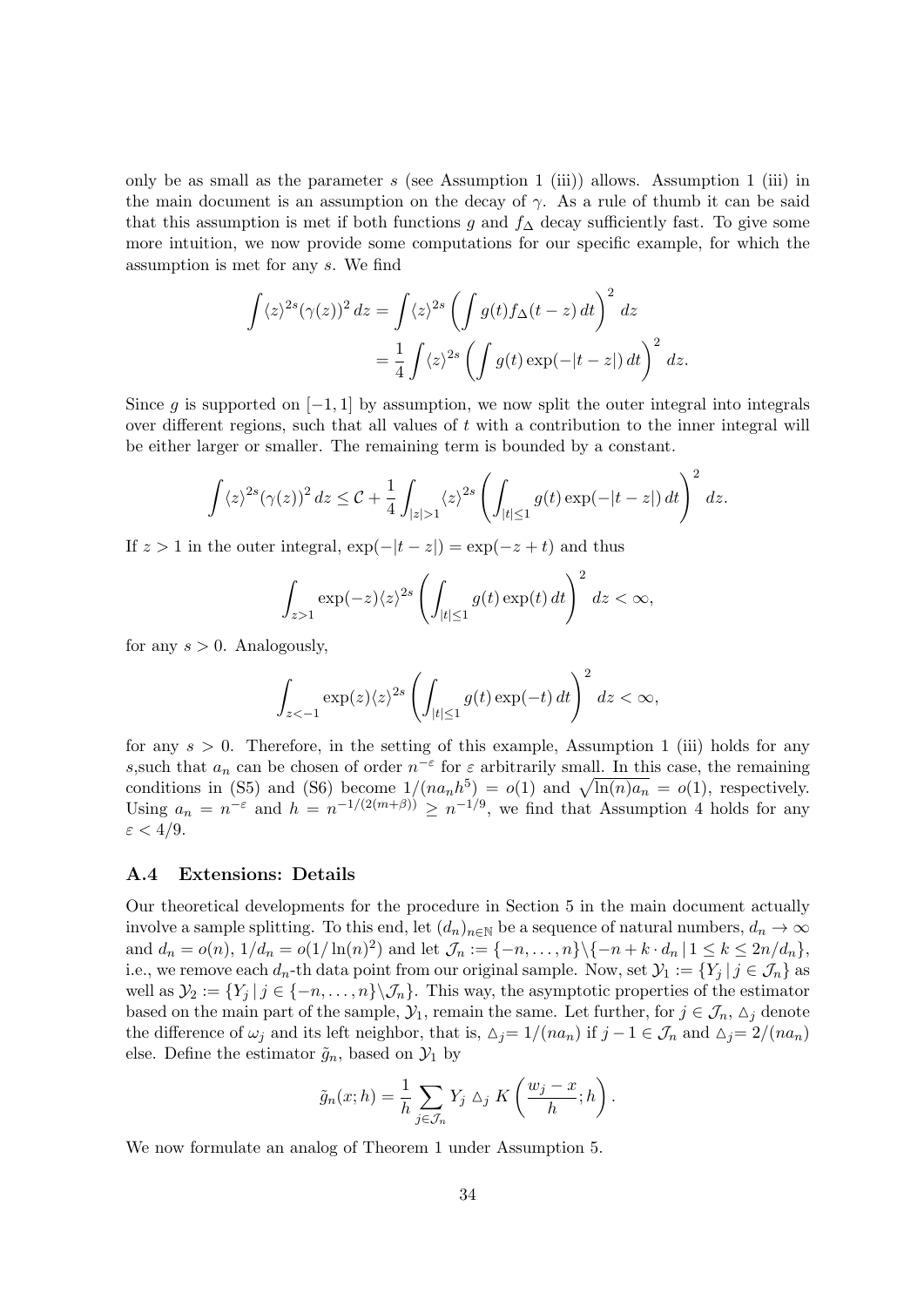only be as small as the parameter s (see Assumption 1 (iii)) allows. Assumption 1 (iii) in the main document is an assumption on the decay of  $\gamma$ . As a rule of thumb it can be said that this assumption is met if both functions g and  $f<sub>\Delta</sub>$  decay sufficiently fast. To give some more intuition, we now provide some computations for our specific example, for which the assumption is met for any s. We find

$$
\int \langle z \rangle^{2s} (\gamma(z))^2 dz = \int \langle z \rangle^{2s} \left( \int g(t) f_{\Delta}(t-z) dt \right)^2 dz
$$
  
= 
$$
\frac{1}{4} \int \langle z \rangle^{2s} \left( \int g(t) \exp(-|t-z|) dt \right)^2 dz.
$$

Since q is supported on  $[-1, 1]$  by assumption, we now split the outer integral into integrals over different regions, such that all values of  $t$  with a contribution to the inner integral will be either larger or smaller. The remaining term is bounded by a constant.

$$
\int \langle z \rangle^{2s} (\gamma(z))^2 dz \leq C + \frac{1}{4} \int_{|z| > 1} \langle z \rangle^{2s} \left( \int_{|t| \leq 1} g(t) \exp(-|t-z|) dt \right)^2 dz.
$$

If  $z > 1$  in the outer integral,  $\exp(-|t - z|) = \exp(-z + t)$  and thus

$$
\int_{z>1} \exp(-z)\langle z\rangle^{2s} \left(\int_{|t|\leq 1} g(t) \exp(t) dt\right)^2 dz < \infty,
$$

for any  $s > 0$ . Analogously,

$$
\int_{z<-1} \exp(z)\langle z\rangle^{2s} \left(\int_{|t|\leq 1} g(t) \exp(-t)\,dt\right)^2\,dz < \infty,
$$

for any  $s > 0$ . Therefore, in the setting of this example, Assumption 1 (iii) holds for any s, such that  $a_n$  can be chosen of order  $n^{-\epsilon}$  for  $\varepsilon$  arbitrarily small. In this case, the remaining conditions in [\(S5\)](#page-32-0) and [\(S6\)](#page-32-0) become  $1/(na_n h^5) = o(1)$  and  $\sqrt{\ln(n)a_n} = o(1)$ , respectively. Using  $a_n = n^{-\varepsilon}$  and  $h = n^{-1/(2(m+\beta))} \ge n^{-1/9}$ , we find that Assumption 4 holds for any  $\varepsilon < 4/9$ .

#### <span id="page-33-0"></span>A.4 Extensions: Details

Our theoretical developments for the procedure in Section 5 in the main document actually involve a sample splitting. To this end, let  $(d_n)_{n\in\mathbb{N}}$  be a sequence of natural numbers,  $d_n \to \infty$ and  $d_n = o(n)$ ,  $1/d_n = o(1/\ln(n)^2)$  and let  $\mathcal{J}_n := \{-n, \ldots, n\} \setminus \{-n + k \cdot d_n | 1 \leq k \leq 2n/d_n\},\$ i.e., we remove each  $d_n$ -th data point from our original sample. Now, set  $\mathcal{Y}_1 := \{Y_i | j \in \mathcal{J}_n\}$  as well as  $\mathcal{Y}_2 := \{Y_j \mid j \in \{-n, \ldots, n\} \setminus \mathcal{J}_n\}.$  This way, the asymptotic properties of the estimator based on the main part of the sample,  $\mathcal{Y}_1$ , remain the same. Let further, for  $j \in \mathcal{J}_n$ ,  $\Delta_j$  denote the difference of  $\omega_j$  and its left neighbor, that is,  $\Delta_j = 1/(na_n)$  if  $j - 1 \in \mathcal{J}_n$  and  $\Delta_j = 2/(na_n)$ else. Define the estimator  $\tilde{g}_n$ , based on  $\mathcal{Y}_1$  by

$$
\tilde{g}_n(x; h) = \frac{1}{h} \sum_{j \in \mathcal{J}_n} Y_j \, \triangle_j \, K\left(\frac{w_j - x}{h}; h\right).
$$

We now formulate an analog of Theorem 1 under Assumption 5.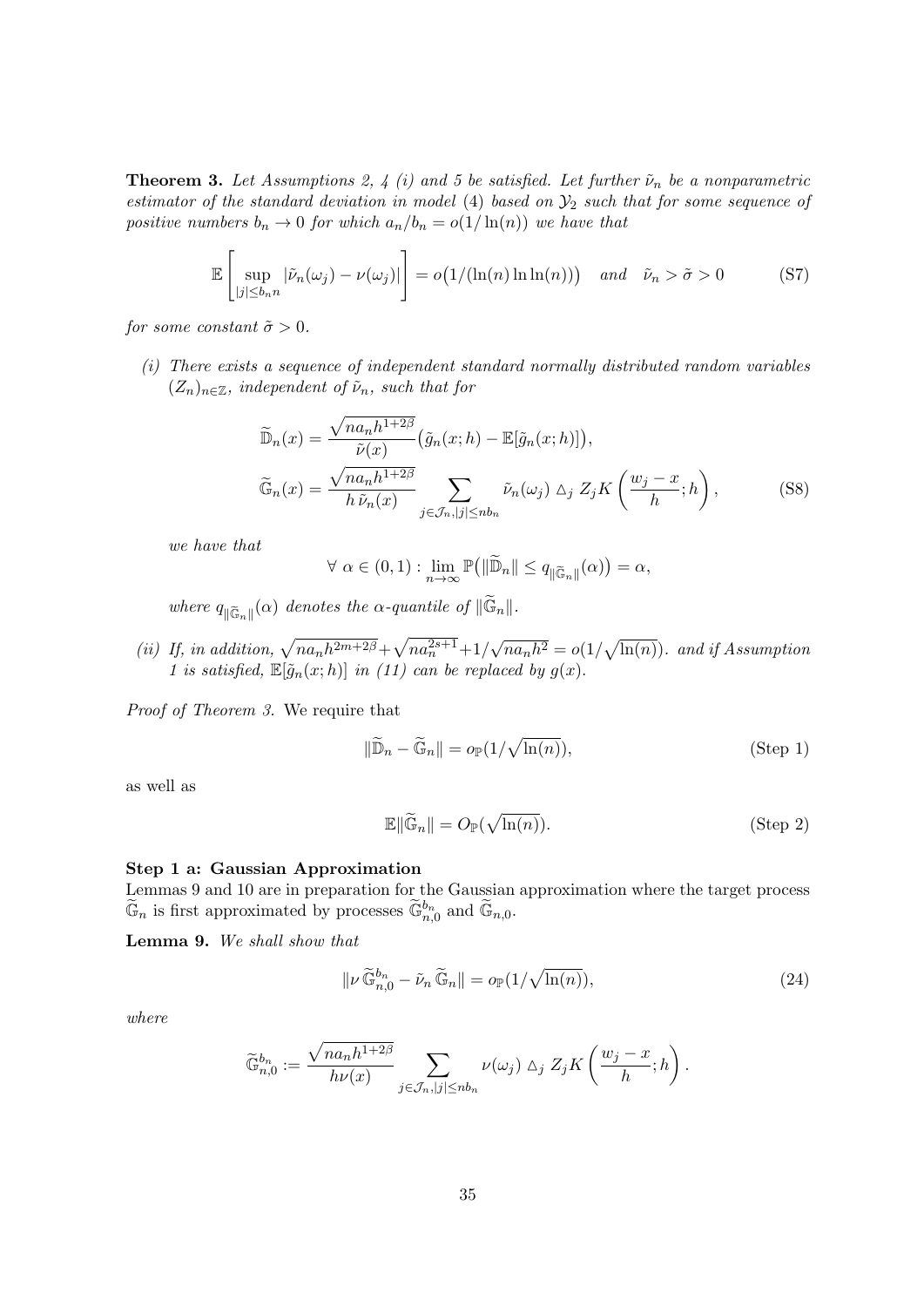<span id="page-34-0"></span>**Theorem 3.** Let Assumptions [2,](#page-5-0) 4 (i) and 5 be satisfied. Let further  $\tilde{\nu}_n$  be a nonparametric estimator of the standard deviation in model [\(4\)](#page-3-1) based on  $\mathcal{Y}_2$  such that for some sequence of positive numbers  $b_n \to 0$  for which  $a_n/b_n = o(1/\ln(n))$  we have that

$$
\mathbb{E}\left[\sup_{|j| \le b_n n} |\tilde{\nu}_n(\omega_j) - \nu(\omega_j)|\right] = o\big(1/(\ln(n)\ln\ln(n))\big) \quad \text{and} \quad \tilde{\nu}_n > \tilde{\sigma} > 0 \tag{S7}
$$

for some constant  $\tilde{\sigma} > 0$ .

(i) There exists a sequence of independent standard normally distributed random variables  $(Z_n)_{n\in\mathbb{Z}}$ , independent of  $\tilde{\nu}_n$ , such that for

$$
\widetilde{\mathbb{D}}_n(x) = \frac{\sqrt{na_n h^{1+2\beta}}}{\widetilde{\nu}(x)} \left( \widetilde{g}_n(x; h) - \mathbb{E}[\widetilde{g}_n(x; h)] \right),
$$
  

$$
\widetilde{\mathbb{G}}_n(x) = \frac{\sqrt{na_n h^{1+2\beta}}}{h \widetilde{\nu}_n(x)} \sum_{j \in \mathcal{J}_n, |j| \le nb_n} \widetilde{\nu}_n(\omega_j) \Delta_j Z_j K\left(\frac{w_j - x}{h}; h\right),
$$
 (S8)

we have that

$$
\forall \alpha \in (0,1) : \lim_{n \to \infty} \mathbb{P} \big( \|\widetilde{\mathbb{D}}_n\| \le q_{\|\widetilde{\mathbb{G}}_n\|}(\alpha) \big) = \alpha,
$$

where  $q_{\parallel \widetilde{\mathbb{G}}_n \parallel}(\alpha)$  denotes the  $\alpha$ -quantile of  $\Vert \widetilde{\mathbb{G}}_n \Vert$ .

(ii) If, in addition,  $\sqrt{na_nh^{2m+2\beta}} + \sqrt{na_n^{2s+1}} + 1$ / √  $\overline{na_n h^2} = o(1/\sqrt{\ln(n)})$ . and if Assumption [1](#page-4-2) is satisfied,  $\mathbb{E}[\tilde{q}_n(x; h)]$  in (11) can be replaced by  $q(x)$ .

Proof of Theorem [3.](#page-34-0) We require that

$$
\|\widetilde{\mathbb{D}}_n - \widetilde{\mathbb{G}}_n\| = o_{\mathbb{P}}(1/\sqrt{\ln(n)}),\tag{Step 1}
$$

as well as

$$
\mathbb{E}\|\widetilde{\mathbb{G}}_n\| = O_{\mathbb{P}}(\sqrt{\ln(n)}).
$$
 (Step 2)

#### Step 1 a: Gaussian Approximation

Lemmas [9](#page-34-1) and [10](#page-35-0) are in preparation for the Gaussian approximation where the target process  $\widetilde{\mathbb{G}}_n$  is first approximated by processes  $\widetilde{\mathbb{G}}_{n,0}^{b_n}$  and  $\widetilde{\mathbb{G}}_{n,0}$ .

<span id="page-34-1"></span>Lemma 9. We shall show that

$$
\|\nu \widetilde{\mathbb{G}}_{n,0}^{b_n} - \widetilde{\nu}_n \widetilde{\mathbb{G}}_n\| = o_{\mathbb{P}}(1/\sqrt{\ln(n)}),\tag{24}
$$

where

$$
\widetilde{\mathbb{G}}_{n,0}^{b_n} := \frac{\sqrt{na_n h^{1+2\beta}}}{h\nu(x)} \sum_{j \in \mathcal{J}_n, |j| \le nb_n} \nu(\omega_j) \wedge_j Z_j K\left(\frac{w_j - x}{h}; h\right).
$$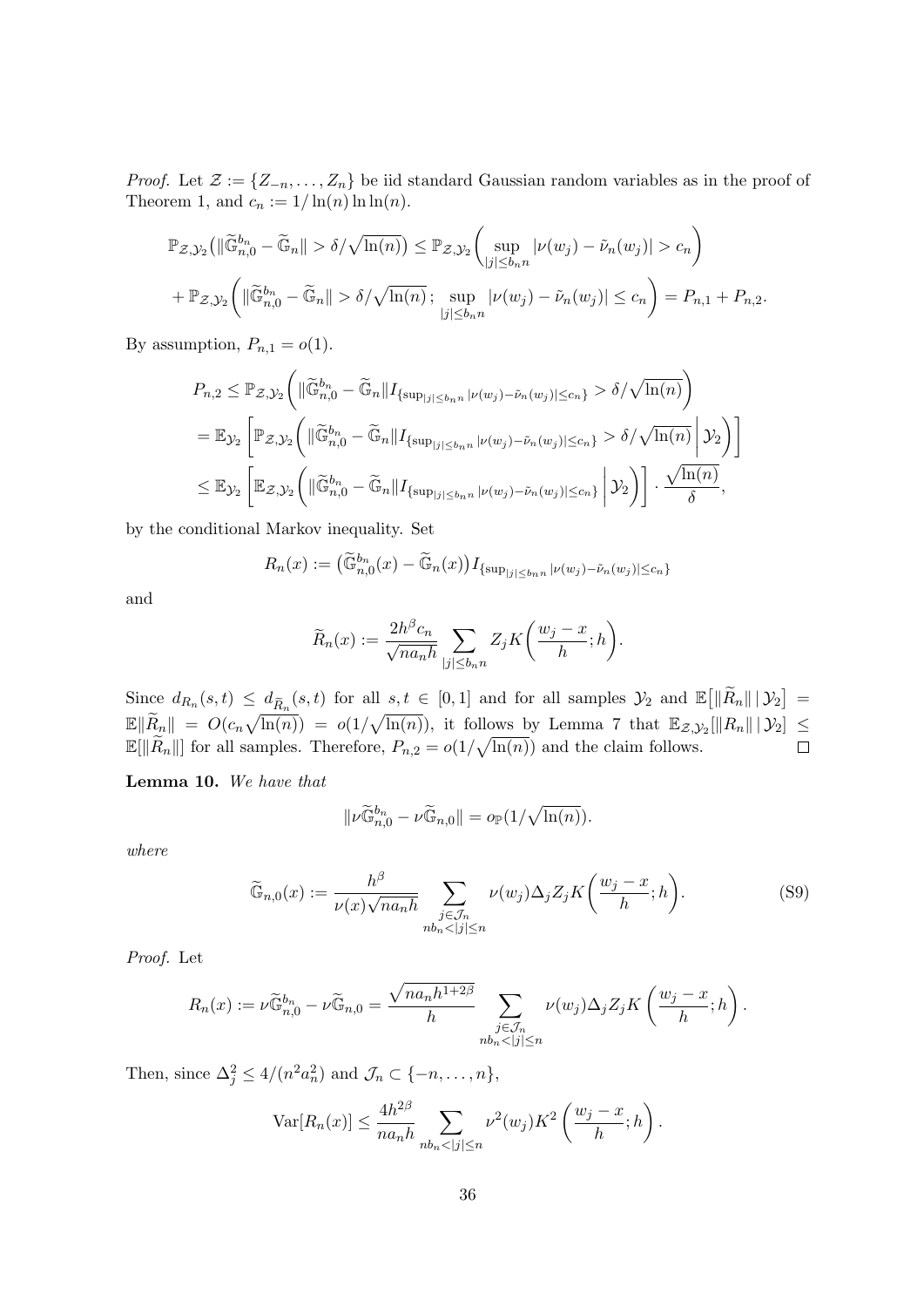*Proof.* Let  $\mathcal{Z} := \{Z_{-n}, \ldots, Z_n\}$  be iid standard Gaussian random variables as in the proof of Theorem 1, and  $c_n := 1/\ln(n) \ln \ln(n)$ .

$$
\mathbb{P}_{\mathcal{Z},\mathcal{Y}_2} \left( \|\widetilde{\mathbb{G}}_{n,0}^{b_n} - \widetilde{\mathbb{G}}_n\| > \delta/\sqrt{\ln(n)} \right) \leq \mathbb{P}_{\mathcal{Z},\mathcal{Y}_2} \left( \sup_{|j| \leq b_n n} |\nu(w_j) - \widetilde{\nu}_n(w_j)| > c_n \right) + \mathbb{P}_{\mathcal{Z},\mathcal{Y}_2} \left( \|\widetilde{\mathbb{G}}_{n,0}^{b_n} - \widetilde{\mathbb{G}}_n\| > \delta/\sqrt{\ln(n)} \, ; \sup_{|j| \leq b_n n} |\nu(w_j) - \widetilde{\nu}_n(w_j)| \leq c_n \right) = P_{n,1} + P_{n,2}.
$$

By assumption,  $P_{n,1} = o(1)$ .

$$
P_{n,2} \leq \mathbb{P}_{\mathcal{Z},\mathcal{Y}_2} \Big( \| \widetilde{\mathbb{G}}_{n,0}^{b_n} - \widetilde{\mathbb{G}}_n \| I_{\{\sup_{|j| \leq b_n n} |\nu(w_j) - \tilde{\nu}_n(w_j)| \leq c_n \}} > \delta/\sqrt{\ln(n)} \Big)
$$
  
=  $\mathbb{E}_{\mathcal{Y}_2} \Bigg[ \mathbb{P}_{\mathcal{Z},\mathcal{Y}_2} \Big( \| \widetilde{\mathbb{G}}_{n,0}^{b_n} - \widetilde{\mathbb{G}}_n \| I_{\{\sup_{|j| \leq b_n n} |\nu(w_j) - \tilde{\nu}_n(w_j)| \leq c_n \}} > \delta/\sqrt{\ln(n)} \Big| \mathcal{Y}_2 \Big) \Bigg]$   

$$
\leq \mathbb{E}_{\mathcal{Y}_2} \Bigg[ \mathbb{E}_{\mathcal{Z},\mathcal{Y}_2} \Bigg( \| \widetilde{\mathbb{G}}_{n,0}^{b_n} - \widetilde{\mathbb{G}}_n \| I_{\{\sup_{|j| \leq b_n n} |\nu(w_j) - \tilde{\nu}_n(w_j)| \leq c_n \}} \Big| \mathcal{Y}_2 \Bigg) \Bigg] \cdot \frac{\sqrt{\ln(n)}}{\delta},
$$

by the conditional Markov inequality. Set

$$
R_n(x) := \left(\widetilde{\mathbb{G}}_{n,0}^{b_n}(x) - \widetilde{\mathbb{G}}_n(x)\right) I_{\{\sup_{|j| \le b_n n} |\nu(w_j) - \tilde{\nu}_n(w_j)| \le c_n\}}
$$

and

$$
\widetilde{R}_n(x) := \frac{2h^{\beta}c_n}{\sqrt{na_n h}} \sum_{|j| \le b_n n} Z_j K\bigg(\frac{w_j - x}{h}; h\bigg).
$$

Since  $d_{R_n}(s,t) \leq d_{\widetilde{R}_n}(s,t)$  for all  $s,t \in [0,1]$  and for all samples  $\mathcal{Y}_2$  and  $\mathbb{E}[\|\widetilde{R}_n\| \, |\, \mathcal{Y}_2] =$  $\mathbb{E} \|\widetilde{R}_n\| = O(c_n \sqrt{\ln(n)}) = o(1/\sqrt{\ln(n)})$ , it follows by Lemma 7 that  $\mathbb{E}_{\mathcal{Z},\mathcal{Y}_2}[\|R_n\| \,|\, \mathcal{Y}_2] \leq$  $\mathbb{E}[\|\widetilde{R}_n\|]$  for all samples. Therefore,  $P_{n,2} = o(1/\sqrt{\ln(n)})$  and the claim follows.  $\Box$ 

<span id="page-35-0"></span>Lemma 10. We have that

$$
\|\nu \widetilde{\mathbb{G}}_{n,0}^{b_n}-\nu \widetilde{\mathbb{G}}_{n,0}\|=o_{\mathbb{P}}(1/\sqrt{\ln(n)}).
$$

where

$$
\widetilde{\mathbb{G}}_{n,0}(x) := \frac{h^{\beta}}{\nu(x)\sqrt{na_n h}} \sum_{\substack{j \in \mathcal{J}_n \\ nb_n < |j| \le n}} \nu(w_j) \Delta_j Z_j K\left(\frac{w_j - x}{h}; h\right). \tag{S9}
$$

Proof. Let

$$
R_n(x) := \nu \widetilde{\mathbb{G}}_{n,0}^{b_n} - \nu \widetilde{\mathbb{G}}_{n,0} = \frac{\sqrt{n a_n h^{1+2\beta}}}{h} \sum_{\substack{j \in \mathcal{J}_n \\ nb_n < |j| \le n}} \nu(w_j) \Delta_j Z_j K\left(\frac{w_j - x}{h}; h\right).
$$

Then, since  $\Delta_j^2 \leq 4/(n^2 a_n^2)$  and  $\mathcal{J}_n \subset \{-n, \ldots, n\},$ 

$$
\operatorname{Var}[R_n(x)] \le \frac{4h^{2\beta}}{na_n h} \sum_{nb_n < |j| \le n} \nu^2(w_j) K^2\left(\frac{w_j - x}{h}; h\right).
$$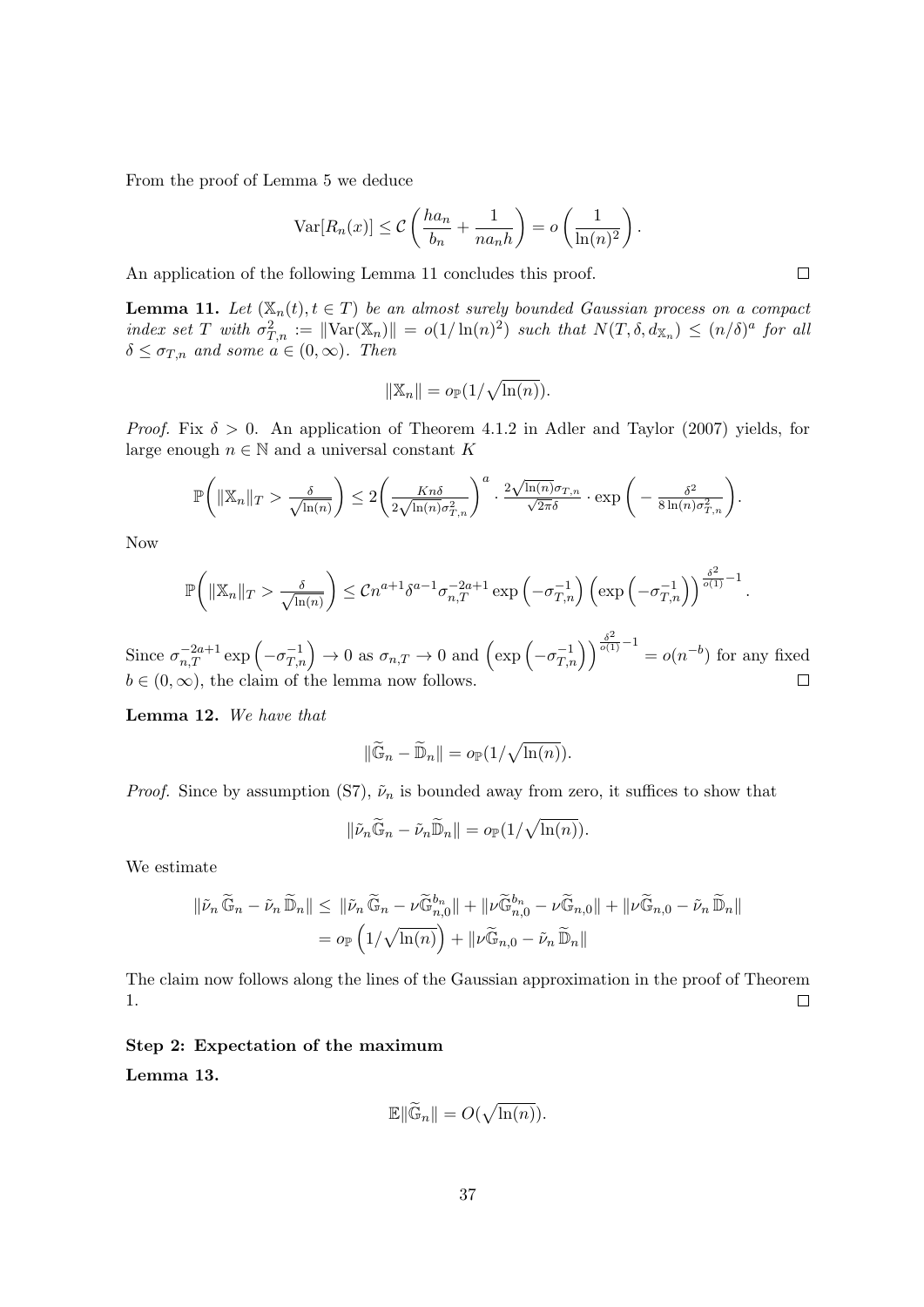From the proof of Lemma [5](#page-13-2) we deduce

$$
\operatorname{Var}[R_n(x)] \le C\left(\frac{ha_n}{b_n} + \frac{1}{na_nh}\right) = o\left(\frac{1}{\ln(n)^2}\right).
$$

An application of the following Lemma [11](#page-36-0) concludes this proof.

<span id="page-36-0"></span>**Lemma 11.** Let  $(\mathbb{X}_n(t), t \in T)$  be an almost surely bounded Gaussian process on a compact index set T with  $\sigma_{T,n}^2 := ||\text{Var}(\mathbb{X}_n)|| = o(1/\ln(n)^2)$  such that  $N(T, \delta, d_{\mathbb{X}_n}) \leq (n/\delta)^a$  for all  $\delta \leq \sigma_{T,n}$  and some  $a \in (0,\infty)$ . Then

$$
\|\mathbb{X}_n\| = o_{\mathbb{P}}(1/\sqrt{\ln(n)}).
$$

*Proof.* Fix  $\delta > 0$ . An application of Theorem 4.1.2 in [Adler and Taylor](#page-22-15) [\(2007\)](#page-22-15) yields, for large enough  $n \in \mathbb{N}$  and a universal constant K

$$
\mathbb{P}\left(\|\mathbb{X}_n\|_T > \frac{\delta}{\sqrt{\ln(n)}}\right) \le 2\left(\frac{Kn\delta}{2\sqrt{\ln(n)}\sigma_{T,n}^2}\right)^a \cdot \frac{2\sqrt{\ln(n)}\sigma_{T,n}}{\sqrt{2\pi}\delta} \cdot \exp\bigg(-\frac{\delta^2}{8\ln(n)\sigma_{T,n}^2}\bigg).
$$

Now

$$
\mathbb{P}\bigg(\|\mathbb{X}_n\|_T > \frac{\delta}{\sqrt{\ln(n)}}\bigg) \leq Cn^{a+1}\delta^{a-1}\sigma_{n,T}^{-2a+1}\exp\left(-\sigma_{T,n}^{-1}\right)\left(\exp\left(-\sigma_{T,n}^{-1}\right)\right)^{\frac{\delta^2}{o(1)}-1}.
$$

Since  $\sigma_{n,T}^{-2a+1} \exp\left(-\sigma_{T,n}^{-1}\right) \to 0$  as  $\sigma_{n,T} \to 0$  and  $\left(\exp\left(-\sigma_{T,n}^{-1}\right)\right)^{\frac{\delta^2}{o(1)}-1} = o(n^{-b})$  for any fixed  $b \in (0, \infty)$ , the claim of the lemma now follows.  $\Box$ 

Lemma 12. We have that

$$
\|\widetilde{\mathbb{G}}_n - \widetilde{\mathbb{D}}_n\| = o_{\mathbb{P}}(1/\sqrt{\ln(n)}).
$$

*Proof.* Since by assumption [\(S7\)](#page-34-0),  $\tilde{\nu}_n$  is bounded away from zero, it suffices to show that

$$
\|\tilde{\nu}_n\widetilde{\mathbb{G}}_n-\tilde{\nu}_n\widetilde{\mathbb{D}}_n\|=o_{\mathbb{P}}(1/\sqrt{\ln(n)}).
$$

We estimate

$$
\begin{aligned} \|\tilde{\nu}_n\,\widetilde{\mathbb{G}}_n - \tilde{\nu}_n\,\widetilde{\mathbb{D}}_n\| &\leq \|\tilde{\nu}_n\,\widetilde{\mathbb{G}}_n - \nu \widetilde{\mathbb{G}}_{n,0}^{b_n}\| + \|\nu \widetilde{\mathbb{G}}_{n,0}^{b_n} - \nu \widetilde{\mathbb{G}}_{n,0}\| + \|\nu \widetilde{\mathbb{G}}_{n,0} - \tilde{\nu}_n\,\widetilde{\mathbb{D}}_n\| \\ &= o_\mathbb{P}\left(1/\sqrt{\ln(n)}\right) + \|\nu \widetilde{\mathbb{G}}_{n,0} - \tilde{\nu}_n\,\widetilde{\mathbb{D}}_n\| \end{aligned}
$$

The claim now follows along the lines of the Gaussian approximation in the proof of Theorem 1.  $\Box$ 

### Step 2: Expectation of the maximum

Lemma 13.

$$
\mathbb{E}\|\widetilde{\mathbb{G}}_n\| = O(\sqrt{\ln(n)}).
$$

 $\Box$